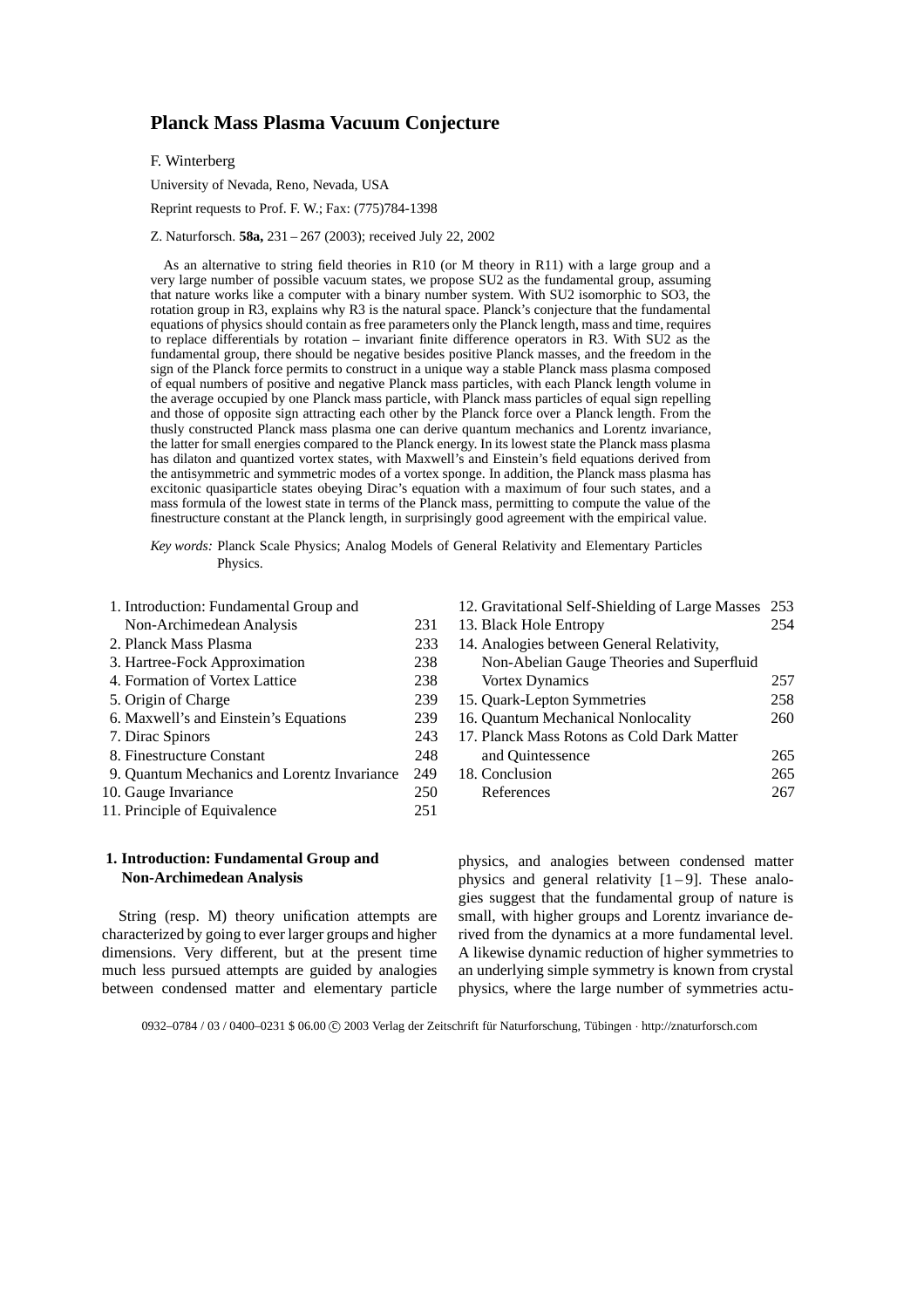# **Planck Mass Plasma Vacuum Conjecture**

F. Winterberg

University of Nevada, Reno, Nevada, USA

Reprint requests to Prof. F. W.; Fax: (775)784-1398

Z. Naturforsch. **58a,** 231 – 267 (2003); received July 22, 2002

As an alternative to string field theories in R10 (or M theory in R11) with a large group and a very large number of possible vacuum states, we propose SU2 as the fundamental group, assuming that nature works like a computer with a binary number system. With SU2 isomorphic to SO3, the rotation group in R3, explains why R3 is the natural space. Planck's conjecture that the fundamental equations of physics should contain as free parameters only the Planck length, mass and time, requires to replace differentials by rotation – invariant finite difference operators in R3. With SU2 as the fundamental group, there should be negative besides positive Planck masses, and the freedom in the sign of the Planck force permits to construct in a unique way a stable Planck mass plasma composed of equal numbers of positive and negative Planck mass particles, with each Planck length volume in the average occupied by one Planck mass particle, with Planck mass particles of equal sign repelling and those of opposite sign attracting each other by the Planck force over a Planck length. From the thusly constructed Planck mass plasma one can derive quantum mechanics and Lorentz invariance, the latter for small energies compared to the Planck energy. In its lowest state the Planck mass plasma has dilaton and quantized vortex states, with Maxwell's and Einstein's field equations derived from the antisymmetric and symmetric modes of a vortex sponge. In addition, the Planck mass plasma has excitonic quasiparticle states obeying Dirac's equation with a maximum of four such states, and a mass formula of the lowest state in terms of the Planck mass, permitting to compute the value of the finestructure constant at the Planck length, in surprisingly good agreement with the empirical value.

*Key words:* Planck Scale Physics; Analog Models of General Relativity and Elementary Particles Physics.

| 1. Introduction: Fundamental Group and      |     |
|---------------------------------------------|-----|
| Non-Archimedean Analysis                    | 231 |
| 2. Planck Mass Plasma                       | 233 |
| 3. Hartree-Fock Approximation               | 238 |
| 4. Formation of Vortex Lattice              | 238 |
| 5. Origin of Charge                         | 239 |
| 6. Maxwell's and Einstein's Equations       | 239 |
| 7. Dirac Spinors                            | 243 |
| 8. Finestructure Constant                   | 248 |
| 9. Quantum Mechanics and Lorentz Invariance | 249 |
| 10. Gauge Invariance                        | 250 |
| 11. Principle of Equivalence                | 251 |
|                                             |     |

# **1. Introduction: Fundamental Group and Non-Archimedean Analysis**

String (resp. M) theory unification attempts are characterized by going to ever larger groups and higher dimensions. Very different, but at the present time much less pursued attempts are guided by analogies between condensed matter and elementary particle

| 12. Gravitational Self-Shielding of Large Masses | 253 |
|--------------------------------------------------|-----|
| 13. Black Hole Entropy                           | 254 |
| 14. Analogies between General Relativity,        |     |
| Non-Abelian Gauge Theories and Superfluid        |     |
| Vortex Dynamics                                  | 257 |
| 15. Quark-Lepton Symmetries                      | 258 |
| 16. Quantum Mechanical Nonlocality               | 260 |
| 17. Planck Mass Rotons as Cold Dark Matter       |     |
| and Ouintessence                                 | 265 |
| 18. Conclusion                                   | 265 |
| References                                       | 267 |
|                                                  |     |

physics, and analogies between condensed matter physics and general relativity  $[1-9]$ . These analogies suggest that the fundamental group of nature is small, with higher groups and Lorentz invariance derived from the dynamics at a more fundamental level. A likewise dynamic reduction of higher symmetries to an underlying simple symmetry is known from crystal physics, where the large number of symmetries actu-

0932–0784 / 03 / 0400–0231 \$ 06.00 C 2003 Verlag der Zeitschrift für Naturforschung, Tübingen · http://znaturforsch.com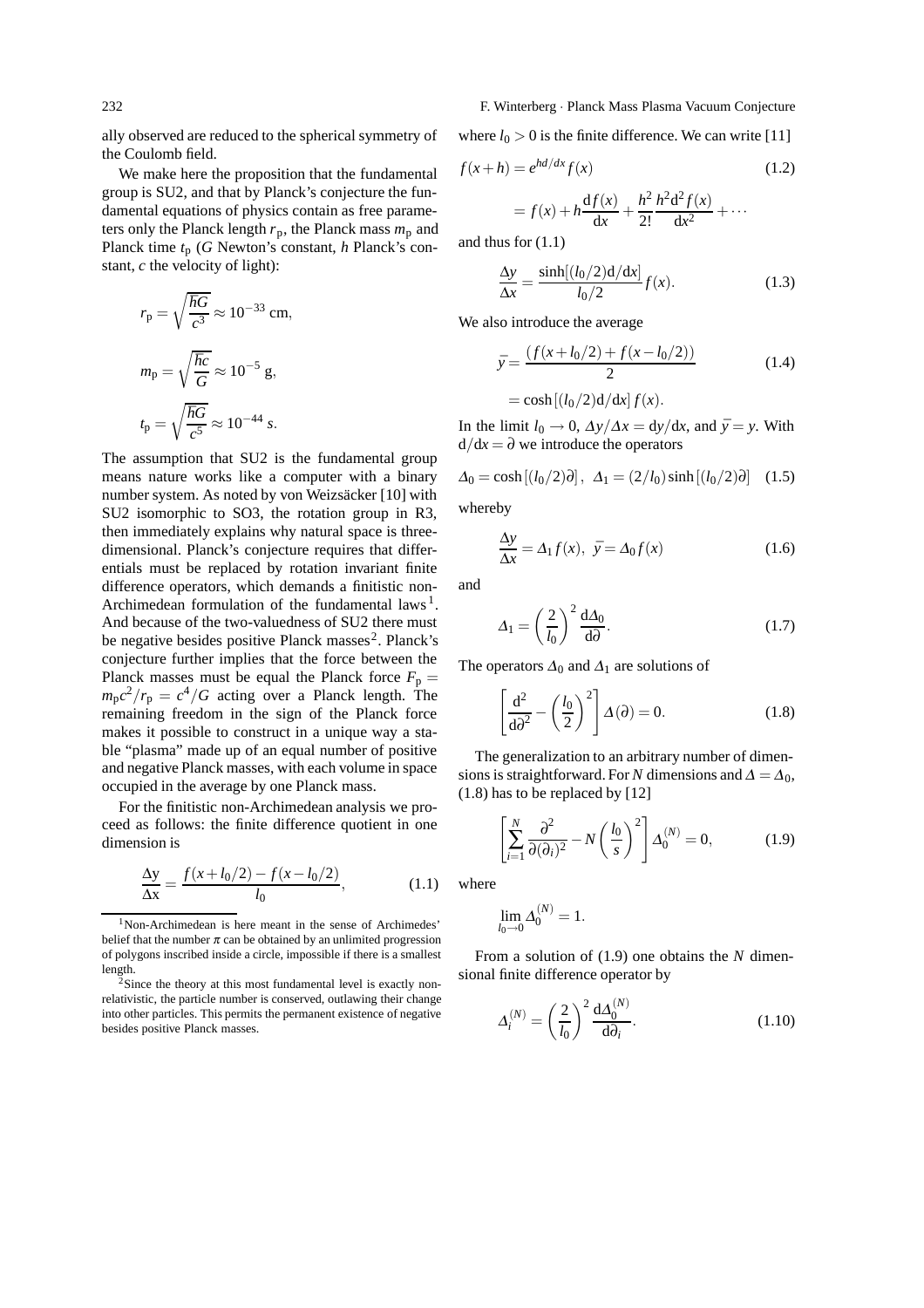ally observed are reduced to the spherical symmetry of the Coulomb field.

We make here the proposition that the fundamental group is SU2, and that by Planck's conjecture the fundamental equations of physics contain as free parameters only the Planck length  $r_p$ , the Planck mass  $m_p$  and Planck time *t*<sup>p</sup> (*G* Newton's constant, *h* Planck's constant, *c* the velocity of light):

$$
r_{\rm p} = \sqrt{\frac{\hbar G}{c^3}} \approx 10^{-33} \text{ cm},
$$

$$
m_{\rm p} = \sqrt{\frac{\hbar c}{G}} \approx 10^{-5} \text{ g},
$$

$$
t_{\rm p} = \sqrt{\frac{\hbar G}{c^5}} \approx 10^{-44} \text{ s}.
$$

The assumption that SU2 is the fundamental group means nature works like a computer with a binary number system. As noted by von Weizsäcker [10] with SU2 isomorphic to SO3, the rotation group in R3, then immediately explains why natural space is threedimensional. Planck's conjecture requires that differentials must be replaced by rotation invariant finite difference operators, which demands a finitistic non-Archimedean formulation of the fundamental laws<sup>1</sup>. And because of the two-valuedness of SU2 there must be negative besides positive Planck masses<sup>2</sup>. Planck's conjecture further implies that the force between the Planck masses must be equal the Planck force  $F_p =$  $m_p c^2/r_p = c^4/G$  acting over a Planck length. The remaining freedom in the sign of the Planck force makes it possible to construct in a unique way a stable "plasma" made up of an equal number of positive and negative Planck masses, with each volume in space occupied in the average by one Planck mass.

For the finitistic non-Archimedean analysis we proceed as follows: the finite difference quotient in one dimension is

$$
\frac{\Delta y}{\Delta x} = \frac{f(x + l_0/2) - f(x - l_0/2)}{l_0},
$$
\n(1.1)

<sup>1</sup>Non-Archimedean is here meant in the sense of Archimedes' belief that the number  $\pi$  can be obtained by an unlimited progression of polygons inscribed inside a circle, impossible if there is a smallest length.

 $2$ Since the theory at this most fundamental level is exactly nonrelativistic, the particle number is conserved, outlawing their change into other particles. This permits the permanent existence of negative besides positive Planck masses.

where  $l_0 > 0$  is the finite difference. We can write [11]

$$
f(x+h) = e^{hd/dx} f(x)
$$
\n(1.2)

$$
= f(x) + h \frac{df(x)}{dx} + \frac{h^2}{2!} \frac{h^2 d^2 f(x)}{dx^2} + \cdots
$$

and thus for (1.1)

$$
\frac{\Delta y}{\Delta x} = \frac{\sinh[(l_0/2)d/dx]}{l_0/2}f(x).
$$
\n(1.3)

We also introduce the average

$$
\bar{y} = \frac{(f(x + l_0/2) + f(x - l_0/2))}{2}
$$
\n
$$
= \cosh[(l_0/2)d/dx] f(x).
$$
\n(1.4)

In the limit  $l_0 \rightarrow 0$ ,  $\Delta y / \Delta x = dy / dx$ , and  $\bar{y} = y$ . With  $d/dx = \partial$  we introduce the operators

$$
\Delta_0 = \cosh[(l_0/2)\partial], \ \Delta_1 = (2/l_0)\sinh[(l_0/2)\partial] \quad (1.5)
$$

whereby

$$
\frac{\Delta y}{\Delta x} = \Delta_1 f(x), \ \ \bar{y} = \Delta_0 f(x) \tag{1.6}
$$

and

$$
\Delta_1 = \left(\frac{2}{l_0}\right)^2 \frac{\mathrm{d}\Delta_0}{\mathrm{d}\partial}.\tag{1.7}
$$

The operators  $\Delta_0$  and  $\Delta_1$  are solutions of

$$
\left[\frac{d^2}{d\partial^2} - \left(\frac{l_0}{2}\right)^2\right] \Delta(\partial) = 0.
$$
 (1.8)

The generalization to an arbitrary number of dimensions is straightforward. For *N* dimensions and  $\Delta = \Delta_0$ , (1.8) has to be replaced by [12]

$$
\left[\sum_{i=1}^{N} \frac{\partial^2}{\partial(\partial_i)^2} - N\left(\frac{l_0}{s}\right)^2\right] \Delta_0^{(N)} = 0, \tag{1.9}
$$

where

$$
\lim_{l_0 \to 0} \Delta_0^{(N)} = 1.
$$

From a solution of (1.9) one obtains the *N* dimensional finite difference operator by

$$
\Delta_i^{(N)} = \left(\frac{2}{l_0}\right)^2 \frac{\mathrm{d}\Delta_0^{(N)}}{\mathrm{d}\partial_i}.\tag{1.10}
$$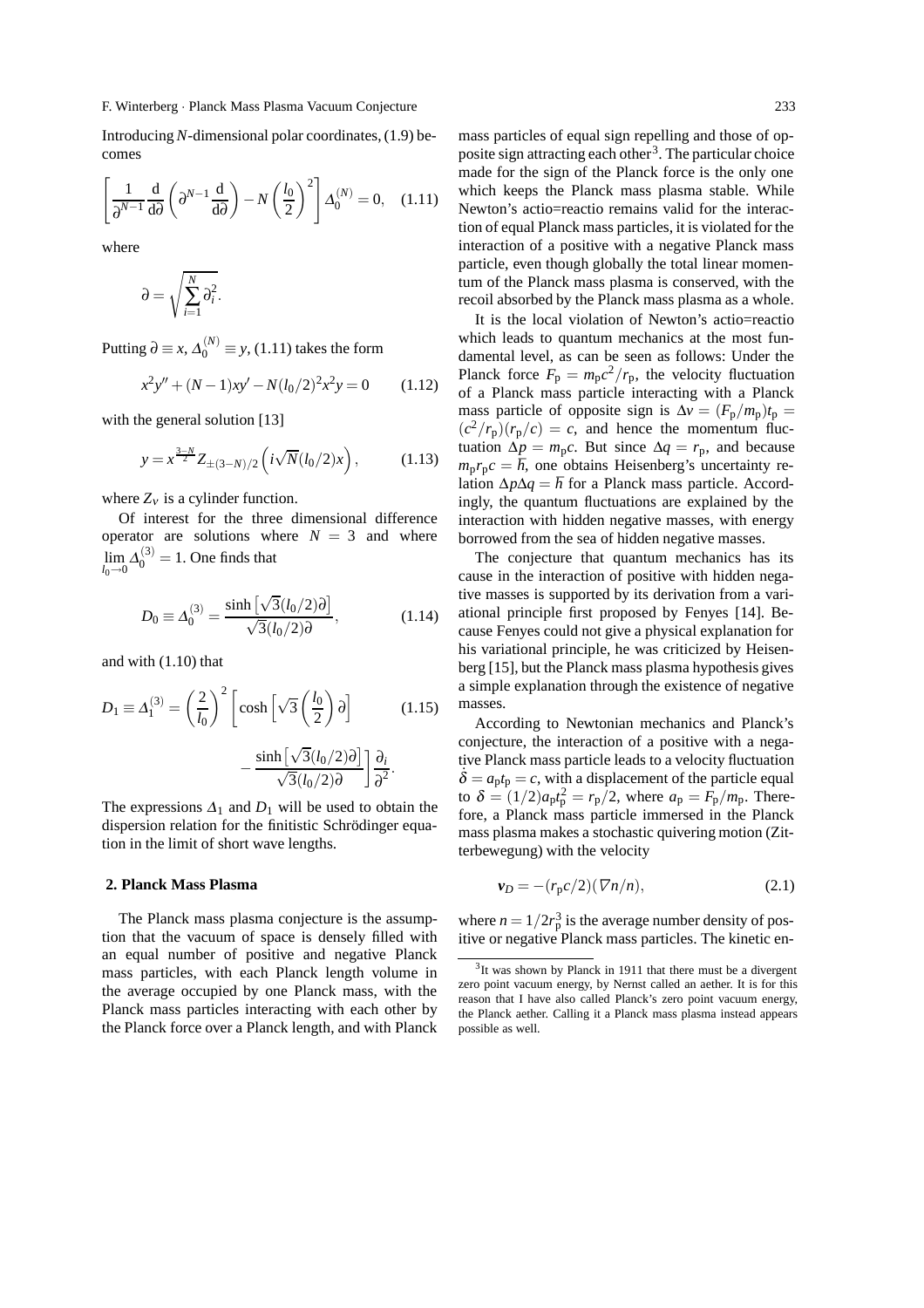Introducing*N*-dimensional polar coordinates, (1.9) becomes

$$
\left[\frac{1}{\partial^{N-1}}\frac{\mathrm{d}}{\mathrm{d}\partial}\left(\partial^{N-1}\frac{\mathrm{d}}{\mathrm{d}\partial}\right) - N\left(\frac{l_0}{2}\right)^2\right]\Delta_0^{(N)} = 0, \quad (1.11)
$$

where

$$
\partial = \sqrt{\sum_{i=1}^N \partial_i^2}.
$$

Putting  $\partial \equiv x, \Delta_0^{(N)} \equiv y, (1.11)$  takes the form

$$
x^{2}y'' + (N-1)xy' - N(l_{0}/2)^{2}x^{2}y = 0
$$
 (1.12)

with the general solution [13]

$$
y = x^{\frac{3-N}{2}} Z_{\pm (3-N)/2} \left( i \sqrt{N} (l_0/2) x \right), \quad (1.13)
$$

where  $Z_v$  is a cylinder function.

Of interest for the three dimensional difference operator are solutions where  $N = 3$  and where  $\lim_{l_0\to 0}$  $\Delta_0^{(3)} = 1$ . One finds that

$$
D_0 \equiv \Delta_0^{(3)} = \frac{\sinh\left[\sqrt{3}(l_0/2)\partial\right]}{\sqrt{3}(l_0/2)\partial},\tag{1.14}
$$

and with (1.10) that

$$
D_1 \equiv \Delta_1^{(3)} = \left(\frac{2}{l_0}\right)^2 \left[\cosh\left[\sqrt{3}\left(\frac{l_0}{2}\right)\partial\right]\right]
$$
 (1.15)

$$
-\frac{\sinh\left[\sqrt{3}(l_0/2)\partial\right]}{\sqrt{3}(l_0/2)\partial}\bigg]\frac{\partial i}{\partial^2}.
$$

The expressions  $\Delta_1$  and  $D_1$  will be used to obtain the dispersion relation for the finitistic Schrödinger equation in the limit of short wave lengths.

## **2. Planck Mass Plasma**

The Planck mass plasma conjecture is the assumption that the vacuum of space is densely filled with an equal number of positive and negative Planck mass particles, with each Planck length volume in the average occupied by one Planck mass, with the Planck mass particles interacting with each other by the Planck force over a Planck length, and with Planck mass particles of equal sign repelling and those of opposite sign attracting each other<sup>3</sup>. The particular choice made for the sign of the Planck force is the only one which keeps the Planck mass plasma stable. While Newton's actio=reactio remains valid for the interaction of equal Planck mass particles, it is violated for the interaction of a positive with a negative Planck mass particle, even though globally the total linear momentum of the Planck mass plasma is conserved, with the recoil absorbed by the Planck mass plasma as a whole.

It is the local violation of Newton's actio=reactio which leads to quantum mechanics at the most fundamental level, as can be seen as follows: Under the Planck force  $F_p = m_p c^2/r_p$ , the velocity fluctuation of a Planck mass particle interacting with a Planck mass particle of opposite sign is  $\Delta v = (F_p/m_p)t_p =$  $(c^2/r_p)(r_p/c) = c$ , and hence the momentum fluctuation  $\Delta p = m_p c$ . But since  $\Delta q = r_p$ , and because  $m_p r_p c = \hbar$ , one obtains Heisenberg's uncertainty relation  $\Delta p \Delta q = \hbar$  for a Planck mass particle. Accordingly, the quantum fluctuations are explained by the interaction with hidden negative masses, with energy borrowed from the sea of hidden negative masses.

The conjecture that quantum mechanics has its cause in the interaction of positive with hidden negative masses is supported by its derivation from a variational principle first proposed by Fenyes [14]. Because Fenyes could not give a physical explanation for his variational principle, he was criticized by Heisenberg [15], but the Planck mass plasma hypothesis gives a simple explanation through the existence of negative masses.

According to Newtonian mechanics and Planck's conjecture, the interaction of a positive with a negative Planck mass particle leads to a velocity fluctuation  $\dot{\delta} = a_p t_p = c$ , with a displacement of the particle equal to  $\delta = (1/2)a_p t_p^2 = r_p/2$ , where  $a_p = F_p/m_p$ . Therefore, a Planck mass particle immersed in the Planck mass plasma makes a stochastic quivering motion (Zitterbewegung) with the velocity

$$
\mathbf{v}_D = -(r_p c/2)(\nabla n/n),\tag{2.1}
$$

where  $n = 1/2r_p^3$  is the average number density of positive or negative Planck mass particles. The kinetic en-

 $3$ It was shown by Planck in 1911 that there must be a divergent zero point vacuum energy, by Nernst called an aether. It is for this reason that I have also called Planck's zero point vacuum energy, the Planck aether. Calling it a Planck mass plasma instead appears possible as well.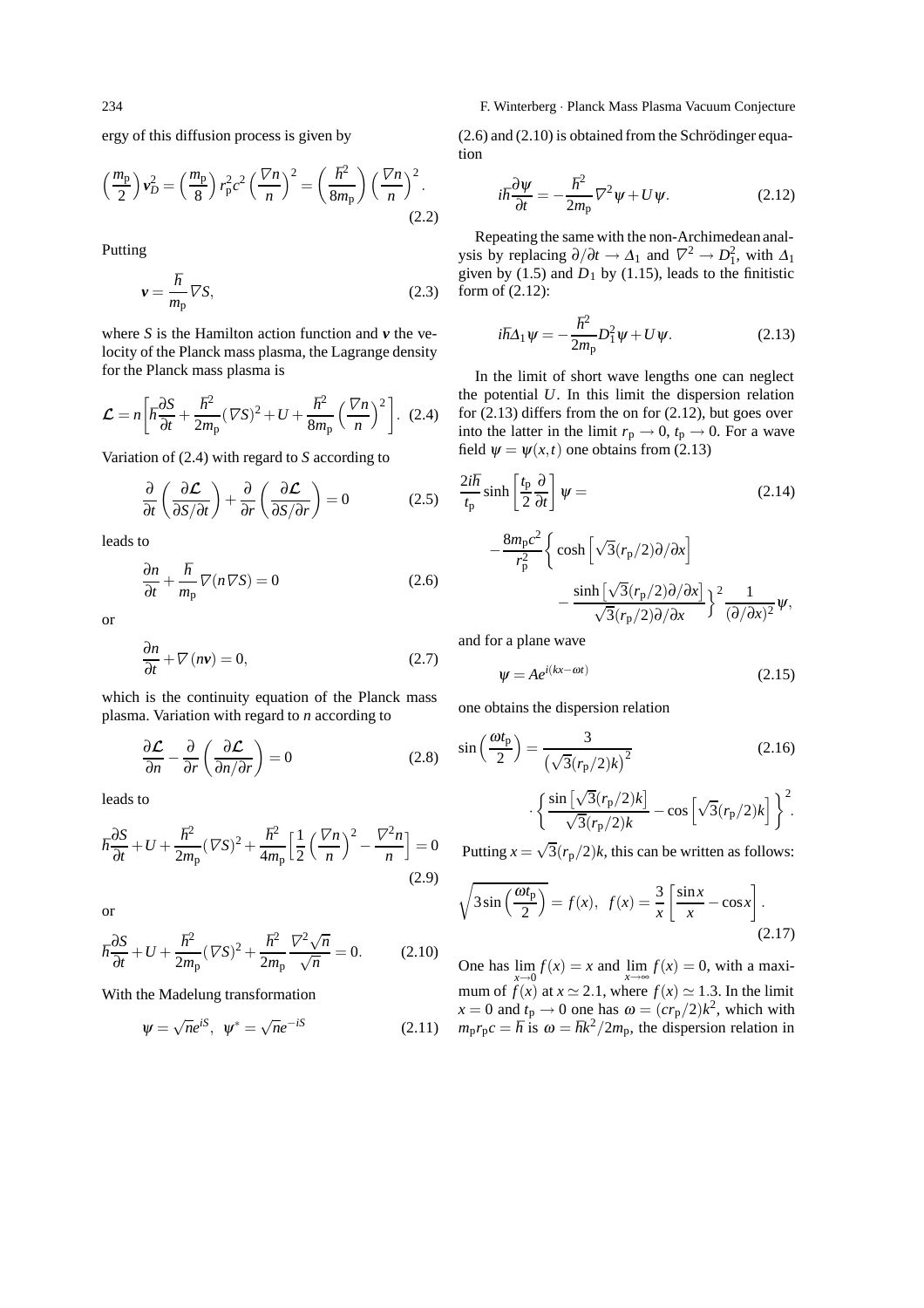ergy of this diffusion process is given by

$$
\left(\frac{m_{\rm p}}{2}\right)\mathbf{v}_D^2 = \left(\frac{m_{\rm p}}{8}\right)r_{\rm p}^2c^2\left(\frac{\nabla n}{n}\right)^2 = \left(\frac{\hbar^2}{8m_{\rm p}}\right)\left(\frac{\nabla n}{n}\right)^2.
$$
\n(2.2)

Putting

$$
v = \frac{\hbar}{m_{\rm p}} \nabla S,\tag{2.3}
$$

where *S* is the Hamilton action function and  $\nu$  the velocity of the Planck mass plasma, the Lagrange density for the Planck mass plasma is

$$
\mathcal{L} = n \left[ \hbar \frac{\partial S}{\partial t} + \frac{\hbar^2}{2m_\text{p}} (\nabla S)^2 + U + \frac{\hbar^2}{8m_\text{p}} \left( \frac{\nabla n}{n} \right)^2 \right]. \tag{2.4}
$$

Variation of (2.4) with regard to *S* according to

$$
\frac{\partial}{\partial t} \left( \frac{\partial \mathcal{L}}{\partial S / \partial t} \right) + \frac{\partial}{\partial r} \left( \frac{\partial \mathcal{L}}{\partial S / \partial r} \right) = 0 \tag{2.5}
$$

leads to

$$
\frac{\partial n}{\partial t} + \frac{\hbar}{m_{\rm p}} \nabla (n \nabla S) = 0 \tag{2.6}
$$

or

$$
\frac{\partial n}{\partial t} + \nabla (n\mathbf{v}) = 0, \tag{2.7}
$$

which is the continuity equation of the Planck mass plasma. Variation with regard to *n* according to

$$
\frac{\partial \mathcal{L}}{\partial n} - \frac{\partial}{\partial r} \left( \frac{\partial \mathcal{L}}{\partial n / \partial r} \right) = 0
$$
 (2.8)

leads to

$$
\hbar \frac{\partial S}{\partial t} + U + \frac{\hbar^2}{2m_\text{p}} (\nabla S)^2 + \frac{\hbar^2}{4m_\text{p}} \left[ \frac{1}{2} \left( \frac{\nabla n}{n} \right)^2 - \frac{\nabla^2 n}{n} \right] = 0
$$
\n(2.9)

or

$$
\hbar \frac{\partial S}{\partial t} + U + \frac{\hbar^2}{2m_\text{p}} (\nabla S)^2 + \frac{\hbar^2}{2m_\text{p}} \frac{\nabla^2 \sqrt{n}}{\sqrt{n}} = 0. \tag{2.10}
$$

With the Madelung transformation

$$
\psi = \sqrt{n}e^{iS}, \quad \psi^* = \sqrt{n}e^{-iS} \tag{2.11}
$$

 $(2.6)$  and  $(2.10)$  is obtained from the Schrödinger equation

$$
i\hbar \frac{\partial \psi}{\partial t} = -\frac{\hbar^2}{2m_\text{p}} \nabla^2 \psi + U \psi. \tag{2.12}
$$

Repeating the same with the non-Archimedean analysis by replacing  $\partial/\partial t \to \Delta_1$  and  $\nabla^2 \to D_1^2$ , with  $\Delta_1$ given by  $(1.5)$  and  $D_1$  by  $(1.15)$ , leads to the finitistic form of (2.12):

$$
i\hbar\Delta_1\psi = -\frac{\hbar^2}{2m_\text{p}}D_1^2\psi + U\psi.
$$
 (2.13)

In the limit of short wave lengths one can neglect the potential *U*. In this limit the dispersion relation for (2.13) differs from the on for (2.12), but goes over into the latter in the limit  $r_p \rightarrow 0$ ,  $t_p \rightarrow 0$ . For a wave field  $\psi = \psi(x, t)$  one obtains from (2.13)

$$
\frac{2i\hbar}{t_{\rm p}}\sinh\left[\frac{t_{\rm p}}{2}\frac{\partial}{\partial t}\right]\psi =
$$
\n
$$
-\frac{8m_{\rm p}c^2}{r_{\rm p}^2}\left\{\cosh\left[\sqrt{3}(r_{\rm p}/2)\partial/\partial x\right]\right.
$$
\n
$$
-\frac{\sinh\left[\sqrt{3}(r_{\rm p}/2)\partial/\partial x\right]}{\sqrt{3}(r_{\rm p}/2)\partial/\partial x}\right\}^2\frac{1}{(\partial/\partial x)^2}\psi,
$$
\n(2.14)

and for a plane wave

$$
\psi = Ae^{i(kx - \omega t)} \tag{2.15}
$$

one obtains the dispersion relation

$$
\sin\left(\frac{\omega t_{p}}{2}\right) = \frac{3}{\left(\sqrt{3}(r_{p}/2)k\right)^{2}}\tag{2.16}
$$
\n
$$
\cdot \left\{\frac{\sin\left[\sqrt{3}(r_{p}/2)k\right]}{\sqrt{3}(r_{p}/2)k} - \cos\left[\sqrt{3}(r_{p}/2)k\right]\right\}^{2}.
$$

Putting  $x = \sqrt{3}(r_p/2)k$ , this can be written as follows:

$$
\sqrt{3\sin\left(\frac{\omega t_{\rm p}}{2}\right)} = f(x), \ f(x) = \frac{3}{x} \left[ \frac{\sin x}{x} - \cos x \right]. \tag{2.17}
$$

One has  $\lim_{x \to 0} f(x) = x$  and  $\lim_{x \to \infty} f(x) = 0$ , with a maximum of  $f(x)$  at  $x \approx 2.1$ , where  $f(x) \approx 1.3$ . In the limit  $x = 0$  and  $t_p \rightarrow 0$  one has  $\omega = (c r_p/2)k^2$ , which with  $m_p r_p c = \hbar$  is  $\omega = \hbar k^2 / 2m_p$ , the dispersion relation in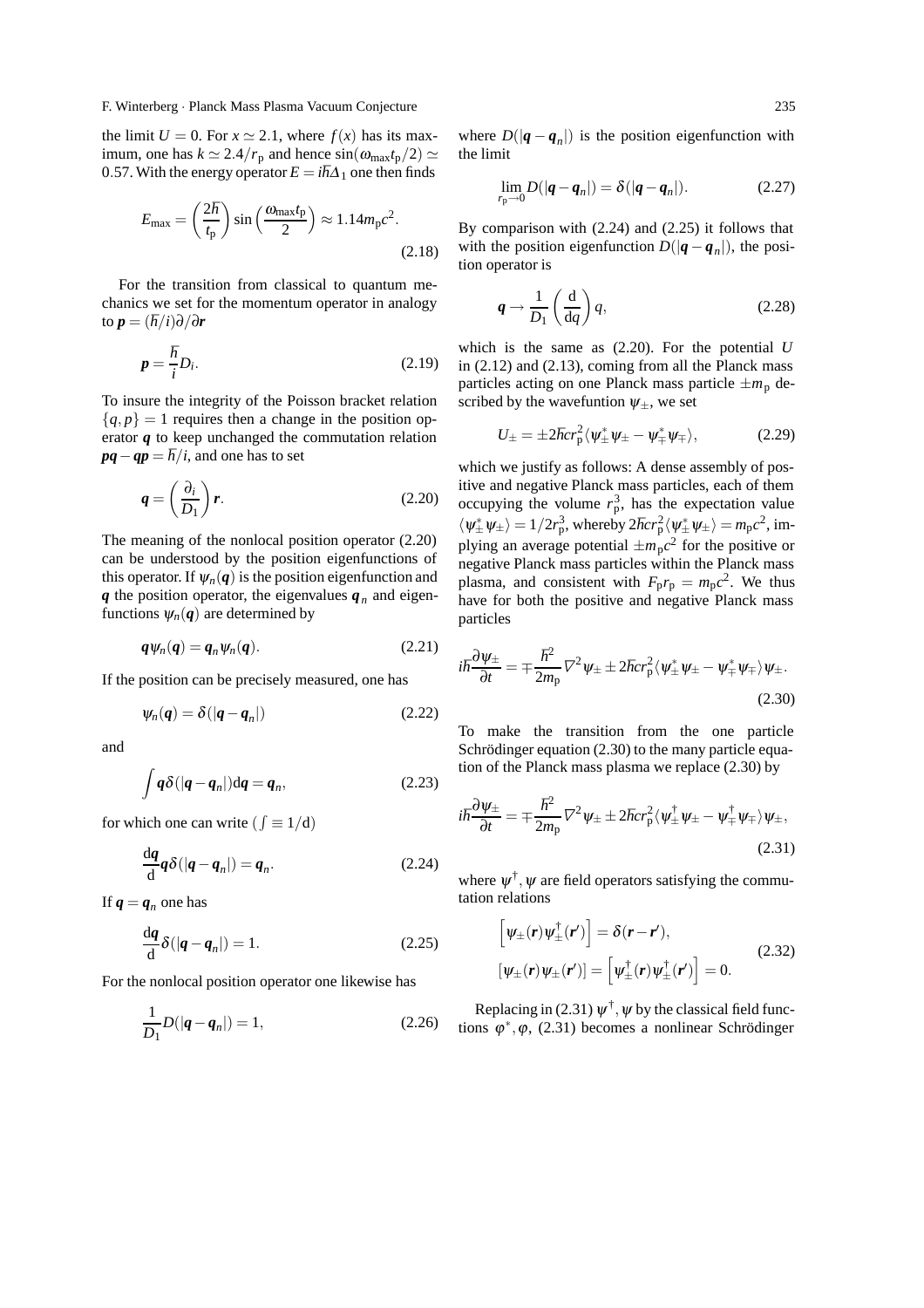the limit  $U = 0$ . For  $x \approx 2.1$ , where  $f(x)$  has its maximum, one has  $k \approx 2.4/r_p$  and hence  $\sin(\omega_{\text{max}} t_p/2) \simeq$ 0.57. With the energy operator  $E = i\hbar\Delta_1$  one then finds

$$
E_{\text{max}} = \left(\frac{2\hbar}{t_{\text{p}}}\right) \sin\left(\frac{\omega_{\text{max}}t_{\text{p}}}{2}\right) \approx 1.14 m_{\text{p}}c^2.
$$
\n(2.18)

For the transition from classical to quantum mechanics we set for the momentum operator in analogy to  $p = (h/i)∂/∂r$ 

$$
p = \frac{\hbar}{i} D_i. \tag{2.19}
$$

To insure the integrity of the Poisson bracket relation  ${q, p} = 1$  requires then a change in the position operator *q* to keep unchanged the commutation relation  $pq - qp = \hbar/i$ , and one has to set

$$
\boldsymbol{q} = \left(\frac{\partial_i}{D_1}\right) \boldsymbol{r}.\tag{2.20}
$$

The meaning of the nonlocal position operator (2.20) can be understood by the position eigenfunctions of this operator. If  $\psi_n(q)$  is the position eigenfunction and  $q$  the position operator, the eigenvalues  $q_n$  and eigenfunctions  $\psi_n(q)$  are determined by

$$
\boldsymbol{q}\boldsymbol{\psi}_n(\boldsymbol{q}) = \boldsymbol{q}_n\boldsymbol{\psi}_n(\boldsymbol{q}). \tag{2.21}
$$

If the position can be precisely measured, one has

$$
\psi_n(\boldsymbol{q}) = \delta(|\boldsymbol{q} - \boldsymbol{q}_n|) \tag{2.22}
$$

and

$$
\int q\delta(|q-q_n|)dq = q_n, \qquad (2.23)
$$

for which one can write ( $\int \equiv 1/d$ )

$$
\frac{\mathrm{d}q}{\mathrm{d}}q\delta(|q-q_n|)=q_n.\tag{2.24}
$$

If  $q = q_n$  one has

$$
\frac{\mathrm{d}q}{\mathrm{d}}\delta(|q-q_n|) = 1.\tag{2.25}
$$

For the nonlocal position operator one likewise has

$$
\frac{1}{D_1}D(|q-q_n|) = 1,
$$
\n(2.26)

where  $D(|q - q_n|)$  is the position eigenfunction with the limit

$$
\lim_{r_p \to 0} D(|q - q_n|) = \delta(|q - q_n|). \tag{2.27}
$$

By comparison with (2.24) and (2.25) it follows that with the position eigenfunction  $D(|q - q_n|)$ , the position operator is

$$
\boldsymbol{q} \to \frac{1}{D_1} \left( \frac{\mathrm{d}}{\mathrm{d}q} \right) q,\tag{2.28}
$$

which is the same as (2.20). For the potential *U* in (2.12) and (2.13), coming from all the Planck mass particles acting on one Planck mass particle  $\pm m_p$  described by the wavefuntion  $\psi_{\pm}$ , we set

$$
U_{\pm} = \pm 2\hbar c r_{\rm p}^2 \langle \psi_{\pm}^* \psi_{\pm} - \psi_{\mp}^* \psi_{\mp} \rangle, \tag{2.29}
$$

which we justify as follows: A dense assembly of positive and negative Planck mass particles, each of them occupying the volume  $r_p^3$ , has the expectation value  $\langle \psi_{\pm}^* \psi_{\pm} \rangle = 1/2r_p^3$ , whereby  $2\hbar c r_p^2 \langle \psi_{\pm}^* \psi_{\pm} \rangle = m_p c^2$ , implying an average potential  $\pm m_p c^2$  for the positive or negative Planck mass particles within the Planck mass plasma, and consistent with  $F_p r_p = m_p c^2$ . We thus have for both the positive and negative Planck mass particles

$$
i\hbar \frac{\partial \psi_{\pm}}{\partial t} = \mp \frac{\hbar^2}{2m_\text{p}} \nabla^2 \psi_{\pm} \pm 2\hbar c r_\text{p}^2 \langle \psi_{\pm}^* \psi_{\pm} - \psi_{\mp}^* \psi_{\mp} \rangle \psi_{\pm}.
$$
\n(2.30)

To make the transition from the one particle Schrödinger equation  $(2.30)$  to the many particle equation of the Planck mass plasma we replace (2.30) by

$$
i\hbar \frac{\partial \psi_{\pm}}{\partial t} = \mp \frac{\hbar^2}{2m_{\rm p}} \nabla^2 \psi_{\pm} \pm 2\hbar c r_{\rm p}^2 \langle \psi_{\pm}^{\dagger} \psi_{\pm} - \psi_{\mp}^{\dagger} \psi_{\mp} \rangle \psi_{\pm},
$$
\n(2.31)

where  $\psi^{\dagger}$ ,  $\psi$  are field operators satisfying the commutation relations

$$
\[\psi_{\pm}(\mathbf{r})\psi_{\pm}^{\dagger}(\mathbf{r}')\] = \delta(\mathbf{r} - \mathbf{r}'),\n[\psi_{\pm}(\mathbf{r})\psi_{\pm}(\mathbf{r}')] = \left[\psi_{\pm}^{\dagger}(\mathbf{r})\psi_{\pm}^{\dagger}(\mathbf{r}')\right] = 0.
$$
\n(2.32)

Replacing in (2.31)  $\psi^{\dagger}$ ,  $\psi$  by the classical field functions  $\varphi^*, \varphi$ , (2.31) becomes a nonlinear Schrödinger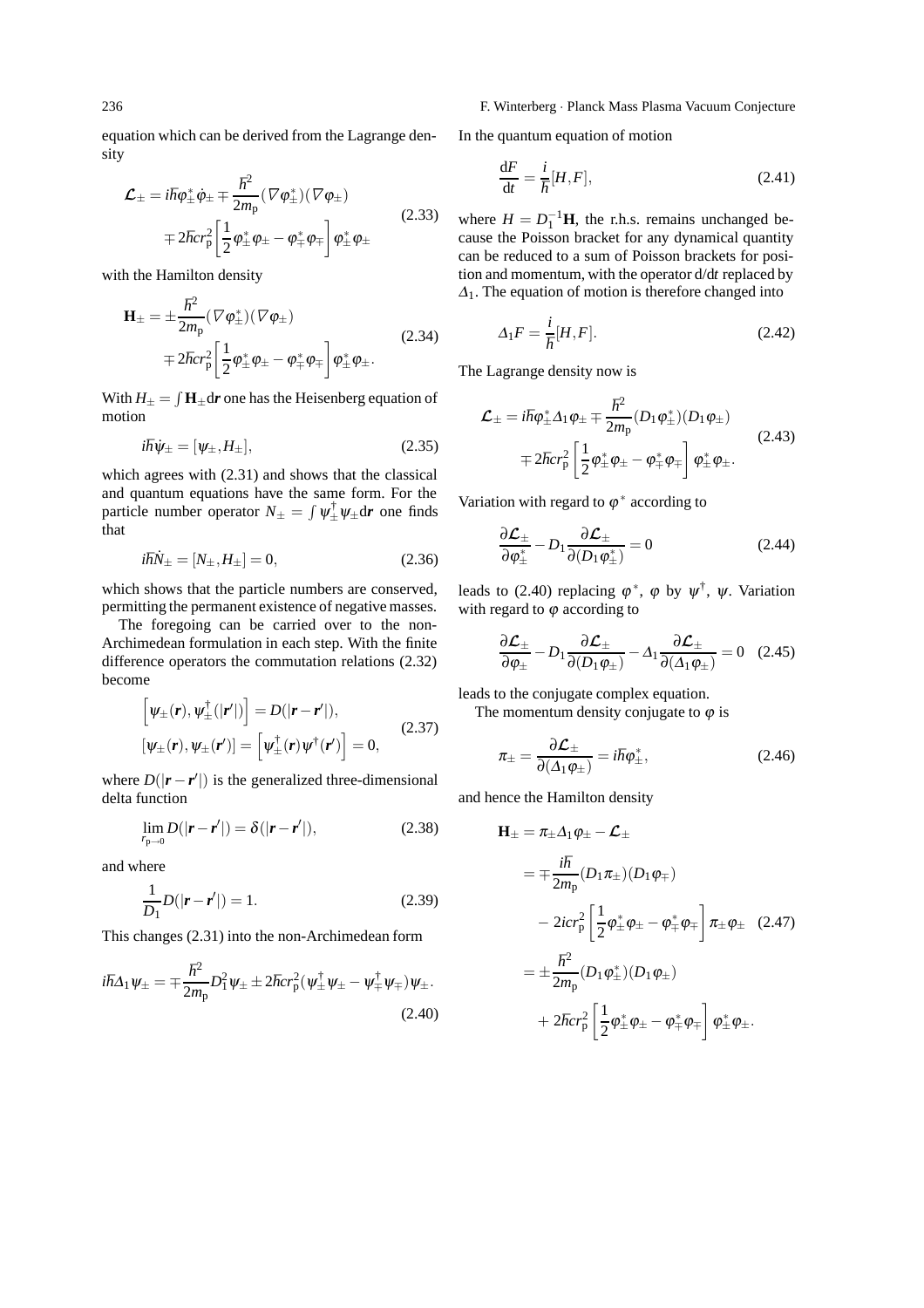equation which can be derived from the Lagrange density

$$
\mathcal{L}_{\pm} = i\hbar \varphi_{\pm}^* \dot{\varphi}_{\pm} \mp \frac{\hbar^2}{2m_p} (\nabla \varphi_{\pm}^*) (\nabla \varphi_{\pm}) \n\mp 2\hbar c r_p^2 \left[ \frac{1}{2} \varphi_{\pm}^* \varphi_{\pm} - \varphi_{\mp}^* \varphi_{\mp} \right] \varphi_{\pm}^* \varphi_{\pm}
$$
\n(2.33)

with the Hamilton density

$$
\mathbf{H}_{\pm} = \pm \frac{\hbar^2}{2m_{\text{p}}} (\nabla \varphi_{\pm}^*) (\nabla \varphi_{\pm})
$$
  

$$
\mp 2\hbar c r_{\text{p}}^2 \left[ \frac{1}{2} \varphi_{\pm}^* \varphi_{\pm} - \varphi_{\mp}^* \varphi_{\mp} \right] \varphi_{\pm}^* \varphi_{\pm}.
$$
 (2.34)

With  $H_{\pm} = \int \mathbf{H}_{\pm} \mathbf{d} \mathbf{r}$  one has the Heisenberg equation of motion

$$
i\hbar \dot{\psi}_{\pm} = [\psi_{\pm}, H_{\pm}], \qquad (2.35)
$$

which agrees with (2.31) and shows that the classical and quantum equations have the same form. For the particle number operator  $N_{\pm} = \int \psi_{\pm}^{\dagger} \psi_{\pm} d\mathbf{r}$  one finds that

$$
i\hbar \dot{N}_{\pm} = [N_{\pm}, H_{\pm}] = 0, \tag{2.36}
$$

which shows that the particle numbers are conserved, permitting the permanent existence of negative masses.

The foregoing can be carried over to the non-Archimedean formulation in each step. With the finite difference operators the commutation relations (2.32) become

$$
\begin{aligned}\n\left[\psi_{\pm}(r), \psi_{\pm}^{\dagger}(|r'|)\right] &= D(|r-r'|),\\ \n\left[\psi_{\pm}(r), \psi_{\pm}(r')\right] &= \left[\psi_{\pm}^{\dagger}(r) \psi^{\dagger}(r')\right] = 0,\n\end{aligned} \tag{2.37}
$$

where  $D(|\mathbf{r} - \mathbf{r}'|)$  is the generalized three-dimensional delta function

$$
\lim_{r_{\rm p}\to 0} D(|r-r'|) = \delta(|r-r'|),\tag{2.38}
$$

and where

$$
\frac{1}{D_1}D(|\mathbf{r} - \mathbf{r}'|) = 1.
$$
 (2.39)

This changes (2.31) into the non-Archimedean form

$$
i\hbar\Delta_1 \psi_{\pm} = \mp \frac{\hbar^2}{2m_{\rm p}} D_1^2 \psi_{\pm} \pm 2\hbar c r_{\rm p}^2 (\psi_{\pm}^{\dagger} \psi_{\pm} - \psi_{\mp}^{\dagger} \psi_{\mp}) \psi_{\pm}.
$$
\n(2.40)

In the quantum equation of motion

$$
\frac{\mathrm{d}F}{\mathrm{d}t} = \frac{i}{\hbar} [H, F],\tag{2.41}
$$

where  $H = D_1^{-1}$ **H**, the r.h.s. remains unchanged because the Poisson bracket for any dynamical quantity can be reduced to a sum of Poisson brackets for position and momentum, with the operator d/d*t* replaced by  $\Delta_1$ . The equation of motion is therefore changed into

$$
\Delta_1 F = \frac{i}{\hbar} [H, F]. \tag{2.42}
$$

The Lagrange density now is

$$
\mathcal{L}_{\pm} = i\hbar \varphi_{\pm}^* \Delta_1 \varphi_{\pm} \mp \frac{\hbar^2}{2m_p} (D_1 \varphi_{\pm}^*) (D_1 \varphi_{\pm})
$$
  

$$
\mp 2\hbar c r_p^2 \left[ \frac{1}{2} \varphi_{\pm}^* \varphi_{\pm} - \varphi_{\mp}^* \varphi_{\mp} \right] \varphi_{\pm}^* \varphi_{\pm}.
$$
 (2.43)

Variation with regard to  $\varphi^*$  according to

$$
\frac{\partial \mathcal{L}_{\pm}}{\partial \varphi_{\pm}^*} - D_1 \frac{\partial \mathcal{L}_{\pm}}{\partial (D_1 \varphi_{\pm}^*)} = 0 \tag{2.44}
$$

leads to (2.40) replacing  $\varphi^*$ ,  $\varphi$  by  $\psi^{\dagger}$ ,  $\psi$ . Variation with regard to  $\varphi$  according to

$$
\frac{\partial \mathcal{L}_{\pm}}{\partial \varphi_{\pm}} - D_1 \frac{\partial \mathcal{L}_{\pm}}{\partial (D_1 \varphi_{\pm})} - \Delta_1 \frac{\partial \mathcal{L}_{\pm}}{\partial (\Delta_1 \varphi_{\pm})} = 0 \quad (2.45)
$$

leads to the conjugate complex equation.

The momentum density conjugate to  $\varphi$  is

$$
\pi_{\pm} = \frac{\partial \mathcal{L}_{\pm}}{\partial (\Delta_1 \varphi_{\pm})} = i\hbar \varphi_{\pm}^*,\tag{2.46}
$$

and hence the Hamilton density

$$
\mathbf{H}_{\pm} = \pi_{\pm} \Delta_{1} \varphi_{\pm} - \mathcal{L}_{\pm}
$$
\n
$$
= \mp \frac{i\hbar}{2m_{p}} (D_{1} \pi_{\pm}) (D_{1} \varphi_{\mp})
$$
\n
$$
- 2ic r_{p}^{2} \left[ \frac{1}{2} \varphi_{\pm}^{*} \varphi_{\pm} - \varphi_{\mp}^{*} \varphi_{\mp} \right] \pi_{\pm} \varphi_{\pm} \quad (2.47)
$$
\n
$$
= \pm \frac{\hbar^{2}}{2m_{p}} (D_{1} \varphi_{\pm}^{*}) (D_{1} \varphi_{\pm})
$$
\n
$$
+ 2\hbar c r_{p}^{2} \left[ \frac{1}{2} \varphi_{\pm}^{*} \varphi_{\pm} - \varphi_{\mp}^{*} \varphi_{\mp} \right] \varphi_{\pm}^{*} \varphi_{\pm}.
$$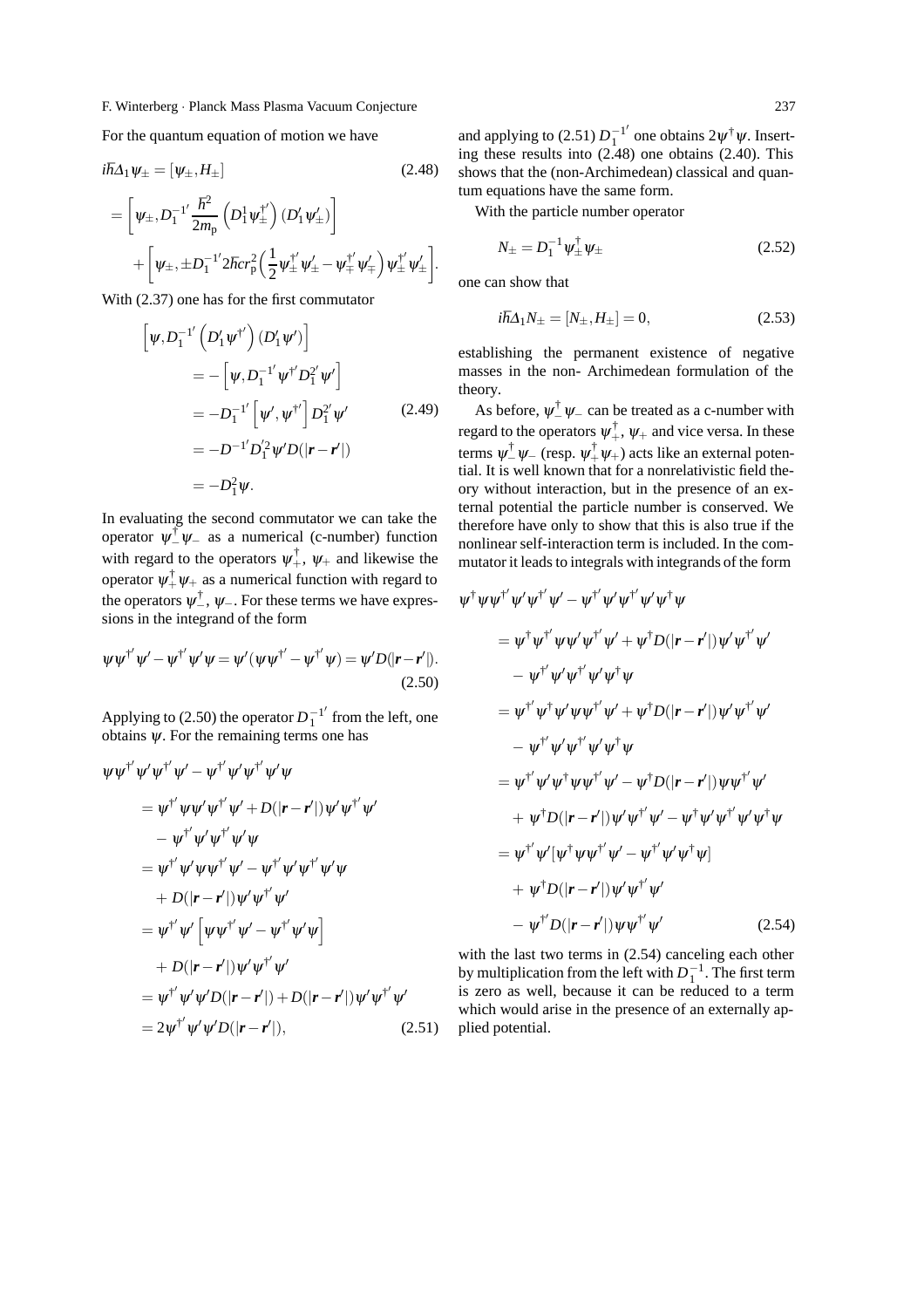For the quantum equation of motion we have

$$
i\hbar\Delta_1 \psi_{\pm} = [\psi_{\pm}, H_{\pm}]
$$
\n
$$
= \left[ \psi_{\pm}, D_1^{-1'} \frac{\hbar^2}{2m_p} \left( D_1^1 \psi_{\pm}^{\dagger'} \right) (D_1' \psi_{\pm}') \right]
$$
\n
$$
+ \left[ \psi_{\pm}, \pm D_1^{-1'} 2 \hbar c r_p^2 \left( \frac{1}{2} \psi_{\pm}^{\dagger'} \psi_{\pm}' - \psi_{\mp}^{\dagger'} \psi_{\mp}' \right) \psi_{\pm}^{\dagger'} \psi_{\pm}' \right].
$$
\n(2.48)

With (2.37) one has for the first commutator

$$
\begin{aligned}\n\left[\psi, D_1^{-1'} \left(D_1' \psi^{\dagger'}\right) (D_1' \psi')\right] \\
&= -\left[\psi, D_1^{-1'} \psi^{\dagger'} D_1^{2'} \psi'\right] \\
&= -D_1^{-1'} \left[\psi', \psi^{\dagger'}\right] D_1^{2'} \psi'\n\end{aligned} \tag{2.49}
$$
\n
$$
= -D^{-1'} D_1^{'2} \psi' D(|\mathbf{r} - \mathbf{r}'|)
$$
\n
$$
= -D_1^2 \psi.
$$

In evaluating the second commutator we can take the operator  $\psi_-^{\dagger} \psi_-$  as a numerical (c-number) function with regard to the operators  $\psi_+^{\dagger}$ ,  $\psi_+$  and likewise the operator  $\psi_+^{\dagger} \psi_+$  as a numerical function with regard to the operators  $\psi_{-}^{\dagger}$ ,  $\psi_{-}$ . For these terms we have expressions in the integrand of the form

$$
\psi \psi^{\dagger'} \psi' - \psi^{\dagger'} \psi' \psi = \psi' (\psi \psi^{\dagger'} - \psi^{\dagger'} \psi) = \psi' D(|\mathbf{r} - \mathbf{r}'|). \tag{2.50}
$$

Applying to (2.50) the operator  $D_1^{-1'}$  from the left, one obtains  $\psi$ . For the remaining terms one has

$$
\psi \psi^{\dagger'} \psi' \psi' \psi'' + \psi^{\dagger'} \psi' \psi' \psi'
$$
\n
$$
= \psi^{\dagger'} \psi \psi' \psi^{\dagger'} \psi' + D(|\mathbf{r} - \mathbf{r}'|) \psi' \psi^{\dagger'} \psi'
$$
\n
$$
- \psi^{\dagger'} \psi' \psi^{\dagger'} \psi' \psi
$$
\n
$$
= \psi^{\dagger'} \psi' \psi \psi^{\dagger'} \psi' \psi
$$
\n
$$
+ D(|\mathbf{r} - \mathbf{r}'|) \psi' \psi^{\dagger'} \psi'
$$
\n
$$
+ D(|\mathbf{r} - \mathbf{r}'|) \psi' \psi^{\dagger'} \psi'
$$
\n
$$
= \psi^{\dagger'} \psi' \left[ \psi \psi^{\dagger'} \psi' - \psi^{\dagger'} \psi' \psi \right]
$$
\n
$$
+ D(|\mathbf{r} - \mathbf{r}'|) \psi' \psi^{\dagger'} \psi'
$$
\n
$$
= \psi^{\dagger'} \psi' \psi' D(|\mathbf{r} - \mathbf{r}'|) + D(|\mathbf{r} - \mathbf{r}'|) \psi' \psi^{\dagger'} \psi'
$$
\n
$$
= 2 \psi^{\dagger'} \psi' \psi' D(|\mathbf{r} - \mathbf{r}'|), \qquad (2.51)
$$

and applying to (2.51)  $D_1^{-1'}$  one obtains  $2\psi^{\dagger}\psi$ . Inserting these results into  $(2.48)$  one obtains  $(2.40)$ . This shows that the (non-Archimedean) classical and quantum equations have the same form.

With the particle number operator

$$
N_{\pm} = D_1^{-1} \psi_{\pm}^{\dagger} \psi_{\pm}
$$
 (2.52)

one can show that

$$
i\hbar\Delta_1 N_{\pm} = [N_{\pm}, H_{\pm}] = 0, \tag{2.53}
$$

establishing the permanent existence of negative masses in the non- Archimedean formulation of the theory.

As before,  $\psi^{\dagger}$   $\psi$  can be treated as a c-number with regard to the operators  $\psi_+^{\dagger}$ ,  $\psi_+$  and vice versa. In these terms  $\psi_{-}^{\dagger}\psi_{-}$  (resp.  $\psi_{+}^{\dagger}\psi_{+}$ ) acts like an external potential. It is well known that for a nonrelativistic field theory without interaction, but in the presence of an external potential the particle number is conserved. We therefore have only to show that this is also true if the nonlinear self-interaction term is included. In the commutator it leads to integrals with integrands of the form

$$
\psi^{\dagger} \psi \psi^{\dagger'} \psi' \psi'^{\dagger'} \psi' - \psi^{\dagger'} \psi' \psi'^{\dagger'} \psi' \psi^{\dagger} \psi
$$
\n
$$
= \psi^{\dagger} \psi^{\dagger'} \psi \psi' \psi^{\dagger'} \psi' + \psi^{\dagger} D(|\mathbf{r} - \mathbf{r}'|) \psi' \psi^{\dagger'} \psi'
$$
\n
$$
- \psi^{\dagger'} \psi' \psi^{\dagger'} \psi' \psi^{\dagger} \psi
$$
\n
$$
= \psi^{\dagger'} \psi^{\dagger} \psi' \psi \psi^{\dagger'} \psi' + \psi^{\dagger} D(|\mathbf{r} - \mathbf{r}'|) \psi' \psi^{\dagger'} \psi'
$$
\n
$$
- \psi^{\dagger'} \psi' \psi^{\dagger'} \psi \psi^{\dagger'} \psi
$$
\n
$$
= \psi^{\dagger'} \psi' \psi^{\dagger} \psi \psi^{\dagger'} \psi' - \psi^{\dagger} D(|\mathbf{r} - \mathbf{r}'|) \psi \psi^{\dagger'} \psi'
$$
\n
$$
+ \psi^{\dagger} D(|\mathbf{r} - \mathbf{r}'|) \psi' \psi^{\dagger'} \psi' - \psi^{\dagger} \psi' \psi^{\dagger'} \psi' \psi^{\dagger} \psi
$$
\n
$$
= \psi^{\dagger'} \psi' [\psi^{\dagger} \psi \psi^{\dagger'} \psi' - \psi^{\dagger'} \psi' \psi^{\dagger} \psi]
$$
\n
$$
+ \psi^{\dagger} D(|\mathbf{r} - \mathbf{r}'|) \psi' \psi^{\dagger'} \psi'
$$
\n
$$
- \psi^{\dagger'} D(|\mathbf{r} - \mathbf{r}'|) \psi \psi^{\dagger'} \psi'
$$
\n(2.54)

with the last two terms in (2.54) canceling each other by multiplication from the left with *D*−<sup>1</sup> <sup>1</sup> . The first term is zero as well, because it can be reduced to a term which would arise in the presence of an externally applied potential.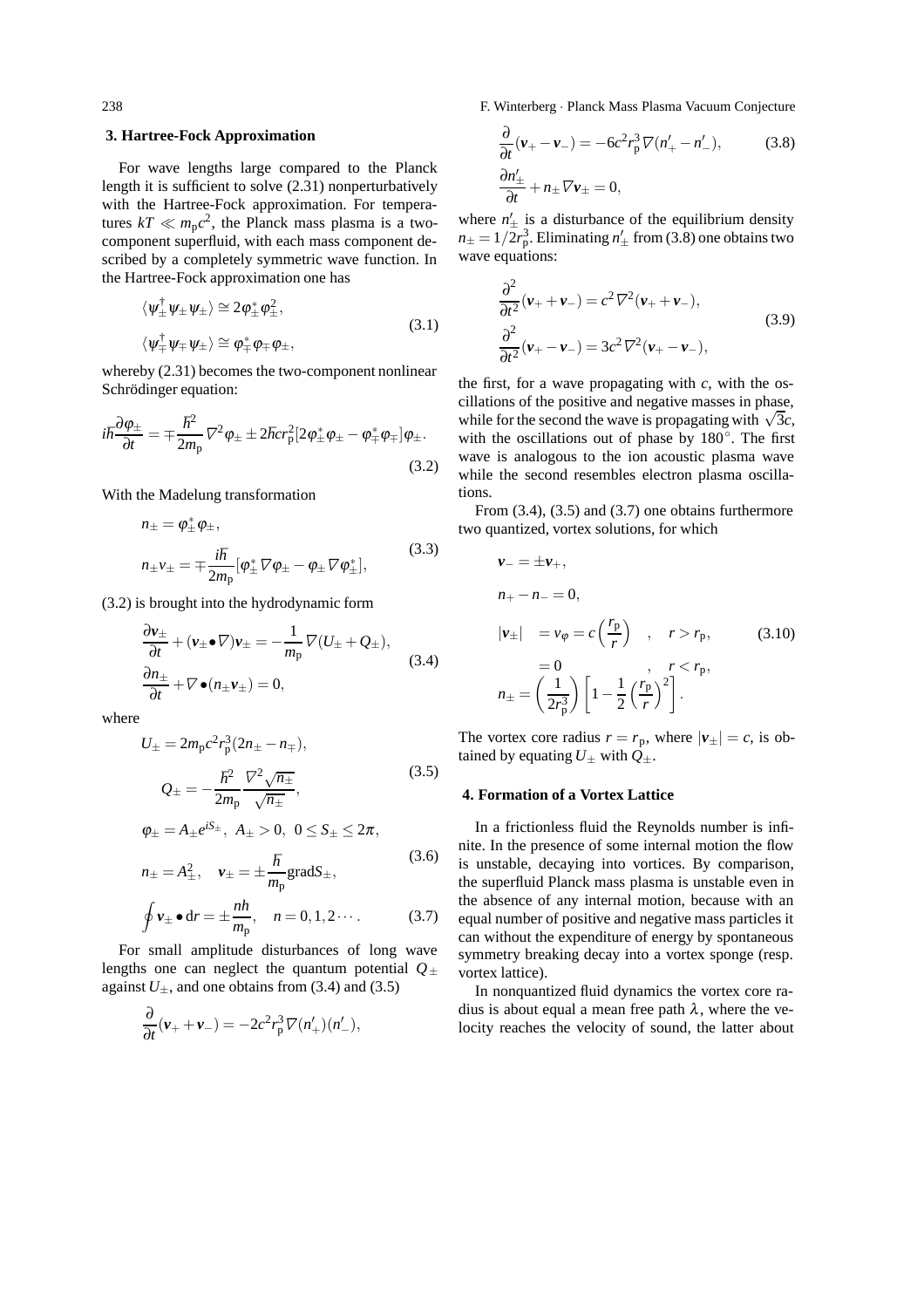## **3. Hartree-Fock Approximation**

For wave lengths large compared to the Planck length it is sufficient to solve (2.31) nonperturbatively with the Hartree-Fock approximation. For temperatures  $kT \ll m_p c^2$ , the Planck mass plasma is a twocomponent superfluid, with each mass component described by a completely symmetric wave function. In the Hartree-Fock approximation one has

$$
\langle \psi_{\pm}^{\dagger} \psi_{\pm} \psi_{\pm} \rangle \cong 2 \phi_{\pm}^* \phi_{\pm}^2,
$$
  

$$
\langle \psi_{\mp}^{\dagger} \psi_{\mp} \psi_{\pm} \rangle \cong \phi_{\mp}^* \phi_{\mp} \phi_{\pm},
$$
 (3.1)

whereby  $(2.31)$  becomes the two-component nonlinear Schrödinger equation:

$$
i\hbar \frac{\partial \varphi_{\pm}}{\partial t} = \mp \frac{\hbar^2}{2m_{\rm p}} \nabla^2 \varphi_{\pm} \pm 2\hbar c r_{\rm p}^2 [2\varphi_{\pm}^* \varphi_{\pm} - \varphi_{\mp}^* \varphi_{\mp}] \varphi_{\pm}.
$$
\n(3.2)

With the Madelung transformation

$$
n_{\pm} = \varphi_{\pm}^* \varphi_{\pm},
$$
  
\n
$$
n_{\pm} v_{\pm} = \mp \frac{i\hbar}{2m_p} [\varphi_{\pm}^* \nabla \varphi_{\pm} - \varphi_{\pm} \nabla \varphi_{\pm}^*],
$$
\n(3.3)

(3.2) is brought into the hydrodynamic form

$$
\frac{\partial \mathbf{v}_{\pm}}{\partial t} + (\mathbf{v}_{\pm} \bullet \nabla) \mathbf{v}_{\pm} = -\frac{1}{m_{\text{p}}} \nabla (U_{\pm} + Q_{\pm}),
$$
  
\n
$$
\frac{\partial n_{\pm}}{\partial t} + \nabla \bullet (n_{\pm} \mathbf{v}_{\pm}) = 0,
$$
\n(3.4)

where

$$
U_{\pm} = 2m_{\rm p}c^2 r_{\rm p}^3 (2n_{\pm} - n_{\mp}),
$$
  
\n
$$
Q_{\pm} = -\frac{\hbar^2}{2m_{\rm p}} \frac{\nabla^2 \sqrt{n_{\pm}}}{\sqrt{n_{\pm}}},
$$
\n(3.5)

$$
\varphi_{\pm}=A_{\pm}e^{iS_{\pm}},\,\,A_{\pm}>0,\ 0\leq S_{\pm}\leq 2\pi,
$$

$$
n_{\pm} = A_{\pm}^{2}, \quad v_{\pm} = \pm \frac{\hbar}{m_{p}} \text{grad} S_{\pm},
$$
\n
$$
\oint v_{\pm} \bullet dr = \pm \frac{n h}{m_{p}}, \quad n = 0, 1, 2 \cdots.
$$
\n(3.7)

 $(2.6)$ 

For small amplitude disturbances of long wave lengths one can neglect the quantum potential  $Q_{\pm}$ against  $U_{\pm}$ , and one obtains from (3.4) and (3.5)

$$
\frac{\partial}{\partial t}(\mathbf{v}_+ + \mathbf{v}_-) = -2c^2 r_\mathrm{p}^3 \nabla(n'_+)(n'_-),
$$

238 F. Winterberg · Planck Mass Plasma Vacuum Conjecture

$$
\frac{\partial}{\partial t}(\mathbf{v}_{+}-\mathbf{v}_{-})=-6c^{2}r_{p}^{3}\nabla(n'_{+}-n'_{-}),
$$
\n
$$
\frac{\partial n'_{\pm}}{\partial t}+n_{\pm}\nabla\mathbf{v}_{\pm}=0,
$$
\n(3.8)

where  $n'_{\pm}$  is a disturbance of the equilibrium density  $n_\pm = 1/2 r_{\rm p}^3$ . Eliminating  $n_\pm'$  from (3.8) one obtains two wave equations:

$$
\frac{\partial^2}{\partial t^2}(\mathbf{v}_+ + \mathbf{v}_-) = c^2 \nabla^2 (\mathbf{v}_+ + \mathbf{v}_-),
$$
  
\n
$$
\frac{\partial^2}{\partial t^2}(\mathbf{v}_+ - \mathbf{v}_-) = 3c^2 \nabla^2 (\mathbf{v}_+ - \mathbf{v}_-),
$$
\n(3.9)

the first, for a wave propagating with  $c$ , with the oscillations of the positive and negative masses in phase, while for the second the wave is propagating with  $\sqrt{3}c$ , with the oscillations out of phase by 180◦. The first wave is analogous to the ion acoustic plasma wave while the second resembles electron plasma oscillations.

From (3.4), (3.5) and (3.7) one obtains furthermore two quantized, vortex solutions, for which

$$
\nu_{-} = \pm \nu_{+},
$$
\n
$$
n_{+} - n_{-} = 0,
$$
\n
$$
|\nu_{\pm}| = \nu_{\varphi} = c \left(\frac{r_{p}}{r}\right), \quad r > r_{p}, \quad (3.10)
$$
\n
$$
= 0, \quad r < r_{p},
$$
\n
$$
n_{\pm} = \left(\frac{1}{2r_{p}^{3}}\right) \left[1 - \frac{1}{2} \left(\frac{r_{p}}{r}\right)^{2}\right].
$$

The vortex core radius  $r = r_p$ , where  $|\nu_{\pm}| = c$ , is obtained by equating  $U_{\pm}$  with  $Q_{\pm}$ .

## **4. Formation of a Vortex Lattice**

In a frictionless fluid the Reynolds number is infinite. In the presence of some internal motion the flow is unstable, decaying into vortices. By comparison, the superfluid Planck mass plasma is unstable even in the absence of any internal motion, because with an equal number of positive and negative mass particles it can without the expenditure of energy by spontaneous symmetry breaking decay into a vortex sponge (resp. vortex lattice).

In nonquantized fluid dynamics the vortex core radius is about equal a mean free path  $\lambda$ , where the velocity reaches the velocity of sound, the latter about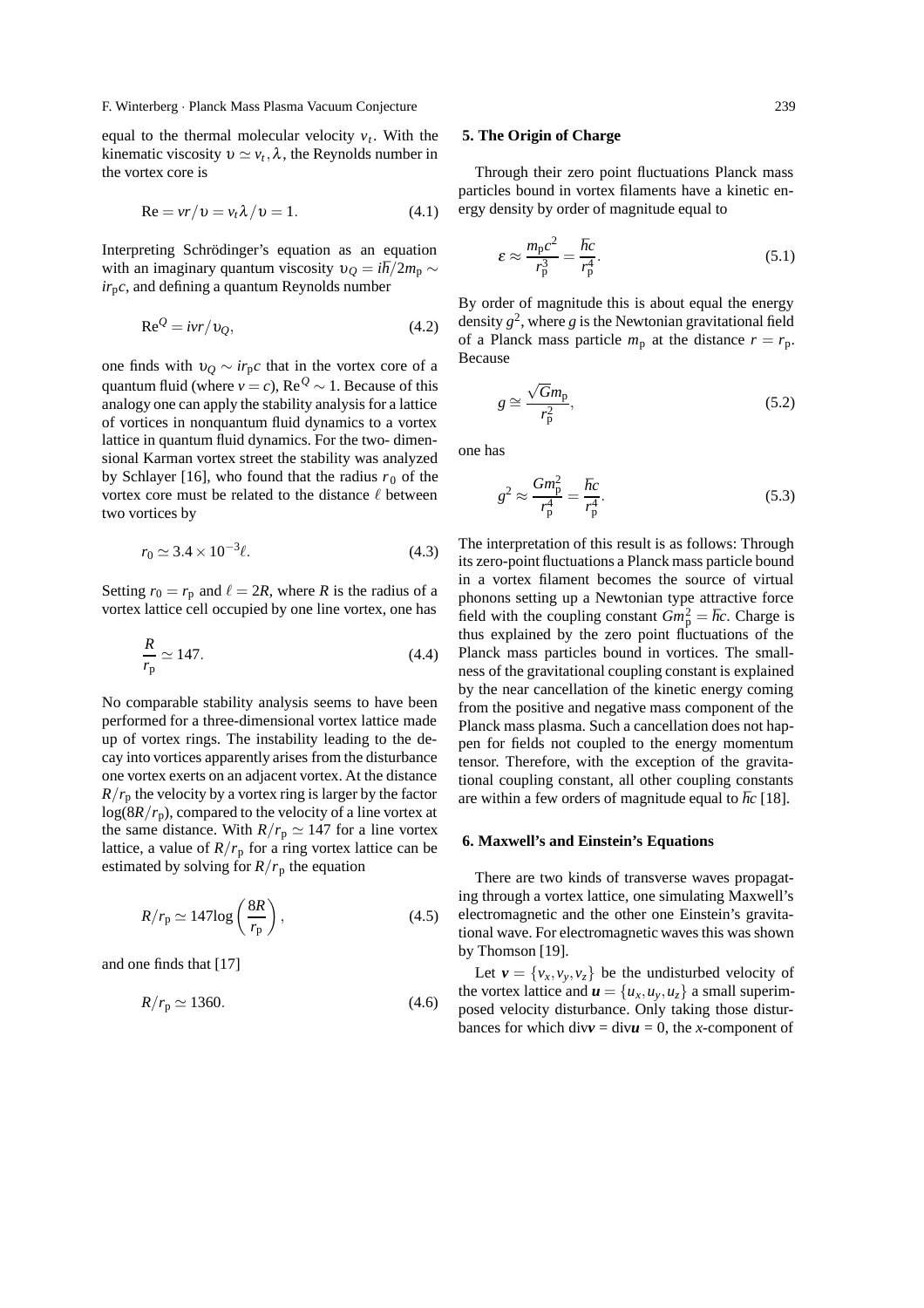equal to the thermal molecular velocity  $v_t$ . With the kinematic viscosity  $v \simeq v_t, \lambda$ , the Reynolds number in the vortex core is

$$
Re = v r/v = v_t \lambda/v = 1.
$$
 (4.1)

Interpreting Schrödinger's equation as an equation with an imaginary quantum viscosity  $v_Q = i\hbar/2m_p \sim$  $ir_p c$ , and defining a quantum Reynolds number

$$
Re^Q = i v r / v_Q, \qquad (4.2)
$$

one finds with  $v_Q \sim ir_p c$  that in the vortex core of a quantum fluid (where  $v = c$ ), Re<sup>Q</sup> ∼ 1. Because of this analogy one can apply the stability analysis for a lattice of vortices in nonquantum fluid dynamics to a vortex lattice in quantum fluid dynamics. For the two- dimensional Karman vortex street the stability was analyzed by Schlayer [16], who found that the radius  $r_0$  of the vortex core must be related to the distance  $\ell$  between two vortices by

$$
r_0 \simeq 3.4 \times 10^{-3} \ell. \tag{4.3}
$$

Setting  $r_0 = r_p$  and  $\ell = 2R$ , where *R* is the radius of a vortex lattice cell occupied by one line vortex, one has

$$
\frac{R}{r_{\rm p}} \simeq 147.\tag{4.4}
$$

No comparable stability analysis seems to have been performed for a three-dimensional vortex lattice made up of vortex rings. The instability leading to the decay into vortices apparently arises from the disturbance one vortex exerts on an adjacent vortex. At the distance  $R/r_p$  the velocity by a vortex ring is larger by the factor  $log(8R/r_p)$ , compared to the velocity of a line vortex at the same distance. With  $R/r_p \simeq 147$  for a line vortex lattice, a value of  $R/r_p$  for a ring vortex lattice can be estimated by solving for  $R/r_p$  the equation

$$
R/r_{\rm p} \simeq 147 \log \left(\frac{8R}{r_{\rm p}}\right),\tag{4.5}
$$

and one finds that [17]

$$
R/r_{\rm p} \simeq 1360. \tag{4.6}
$$

#### **5. The Origin of Charge**

Through their zero point fluctuations Planck mass particles bound in vortex filaments have a kinetic energy density by order of magnitude equal to

$$
\varepsilon \approx \frac{m_{\rm p}c^2}{r_{\rm p}^3} = \frac{\hbar c}{r_{\rm p}^4}.
$$
\n(5.1)

By order of magnitude this is about equal the energy density  $g^2$ , where  $g$  is the Newtonian gravitational field of a Planck mass particle  $m_p$  at the distance  $r = r_p$ . Because

$$
g \cong \frac{\sqrt{G}m_{\rm p}}{r_{\rm p}^2},\tag{5.2}
$$

one has

$$
g^2 \approx \frac{Gm_p^2}{r_p^4} = \frac{\hbar c}{r_p^4}.
$$
\n(5.3)

The interpretation of this result is as follows: Through its zero-point fluctuations a Planck mass particle bound in a vortex filament becomes the source of virtual phonons setting up a Newtonian type attractive force field with the coupling constant  $Gm_p^2 = \hbar c$ . Charge is thus explained by the zero point fluctuations of the Planck mass particles bound in vortices. The smallness of the gravitational coupling constant is explained by the near cancellation of the kinetic energy coming from the positive and negative mass component of the Planck mass plasma. Such a cancellation does not happen for fields not coupled to the energy momentum tensor. Therefore, with the exception of the gravitational coupling constant, all other coupling constants are within a few orders of magnitude equal to  $\hbar c$  [18].

#### **6. Maxwell's and Einstein's Equations**

There are two kinds of transverse waves propagating through a vortex lattice, one simulating Maxwell's electromagnetic and the other one Einstein's gravitational wave. For electromagnetic waves this was shown by Thomson [19].

Let  $v = \{v_x, v_y, v_z\}$  be the undisturbed velocity of the vortex lattice and  $\mathbf{u} = \{u_x, u_y, u_z\}$  a small superimposed velocity disturbance. Only taking those disturbances for which div $v = \text{div}u = 0$ , the *x*-component of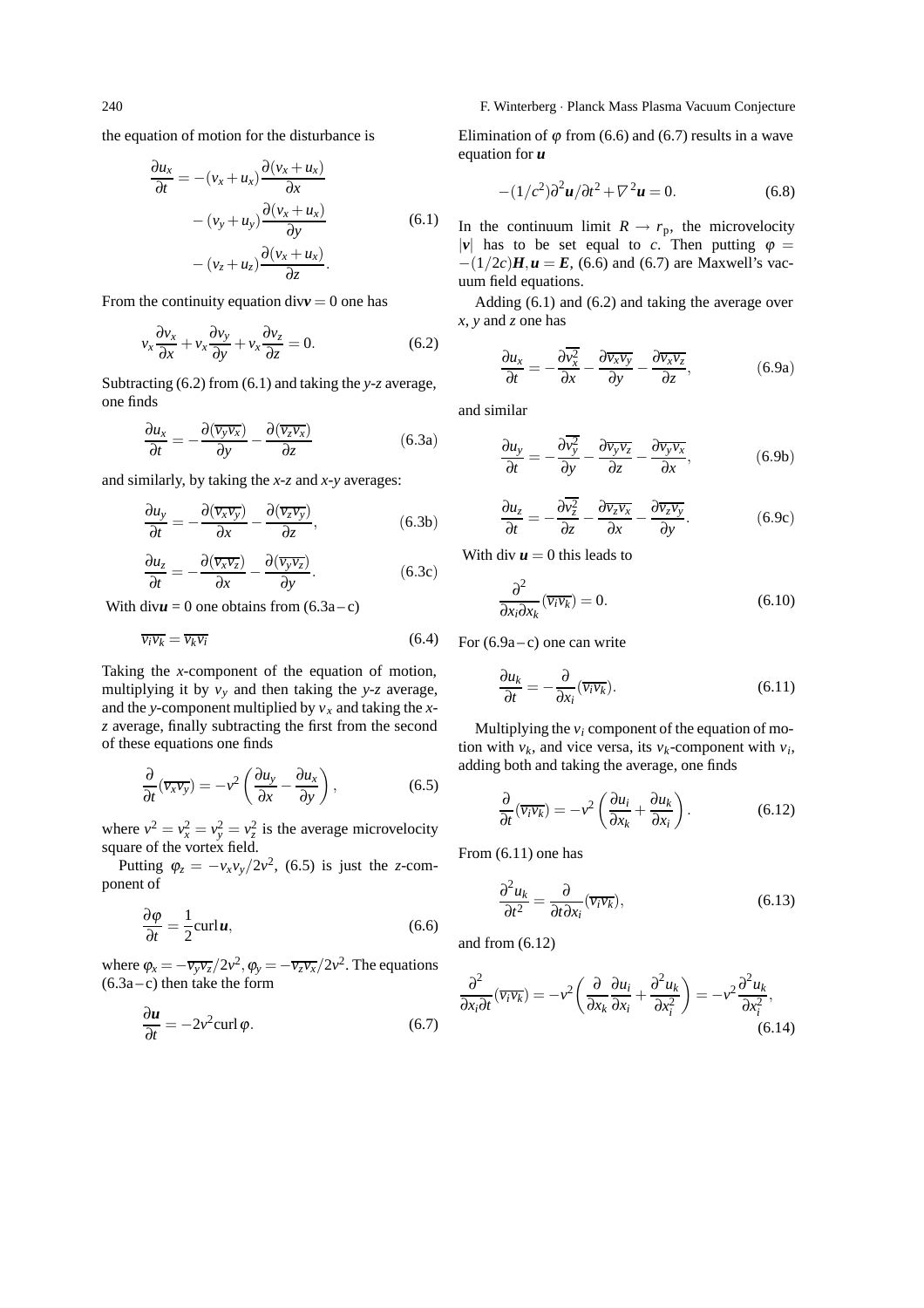the equation of motion for the disturbance is

$$
\frac{\partial u_x}{\partial t} = -(v_x + u_x) \frac{\partial (v_x + u_x)}{\partial x}
$$

$$
- (v_y + u_y) \frac{\partial (v_x + u_x)}{\partial y}
$$

$$
- (v_z + u_z) \frac{\partial (v_x + u_x)}{\partial z}.
$$
(6.1)

From the continuity equation div $v = 0$  one has

$$
v_x \frac{\partial v_x}{\partial x} + v_x \frac{\partial v_y}{\partial y} + v_x \frac{\partial v_z}{\partial z} = 0.
$$
 (6.2)

Subtracting (6.2) from (6.1) and taking the *y-z* average, one finds

$$
\frac{\partial u_x}{\partial t} = -\frac{\partial (\overline{v_y v_x})}{\partial y} - \frac{\partial (\overline{v_z v_x})}{\partial z} \tag{6.3a}
$$

and similarly, by taking the *x-z* and *x-y* averages:

$$
\frac{\partial u_y}{\partial t} = -\frac{\partial (\overline{v_x v_y})}{\partial x} - \frac{\partial (\overline{v_z v_y})}{\partial z},\tag{6.3b}
$$

$$
\frac{\partial u_z}{\partial t} = -\frac{\partial (\overline{v_x v_z})}{\partial x} - \frac{\partial (\overline{v_y v_z})}{\partial y}.
$$
 (6.3c)

With div $u = 0$  one obtains from  $(6.3a - c)$ 

$$
\overline{v_i v_k} = \overline{v_k v_i} \tag{6.4}
$$

Taking the *x*-component of the equation of motion, multiplying it by  $v_y$  and then taking the *y*-*z* average, and the *y*-component multiplied by  $v_x$  and taking the *xz* average, finally subtracting the first from the second of these equations one finds

$$
\frac{\partial}{\partial t}(\overline{v_x v_y}) = -v^2 \left(\frac{\partial u_y}{\partial x} - \frac{\partial u_x}{\partial y}\right),\tag{6.5}
$$

where  $v^2 = v_x^2 = v_y^2 = v_z^2$  is the average microvelocity square of the vortex field.

Putting  $\varphi_z = -v_x v_y/2v^2$ , (6.5) is just the *z*-component of

$$
\frac{\partial \varphi}{\partial t} = \frac{1}{2} \text{curl} \,\mathbf{u},\tag{6.6}
$$

where  $\varphi_x = -\overline{v_yv_z}/2v^2$ ,  $\varphi_y = -\overline{v_zv_x}/2v^2$ . The equations  $(6.3a-c)$  then take the form

$$
\frac{\partial u}{\partial t} = -2v^2 \operatorname{curl} \varphi. \tag{6.7}
$$

240 F. Winterberg · Planck Mass Plasma Vacuum Conjecture

Elimination of  $\varphi$  from (6.6) and (6.7) results in a wave equation for *u*

$$
-(1/c2)\partial2u/\partial t2 + \nabla2u = 0.
$$
 (6.8)

In the continuum limit  $R \rightarrow r_p$ , the microvelocity |*v*| has to be set equal to *c*. Then putting  $\varphi$  =  $-(1/2c)H, u = E$ , (6.6) and (6.7) are Maxwell's vacuum field equations.

Adding (6.1) and (6.2) and taking the average over *x*, *y* and *z* one has

$$
\frac{\partial u_x}{\partial t} = -\frac{\partial v_x^2}{\partial x} - \frac{\partial \overline{v_x v_y}}{\partial y} - \frac{\partial \overline{v_x v_z}}{\partial z},
$$
(6.9a)

and similar

$$
\frac{\partial u_y}{\partial t} = -\frac{\partial v_y^2}{\partial y} - \frac{\partial \overline{v_y v_z}}{\partial z} - \frac{\partial \overline{v_y v_x}}{\partial x},\tag{6.9b}
$$

$$
\frac{\partial u_z}{\partial t} = -\frac{\partial v_z^2}{\partial z} - \frac{\partial \overline{v_z v_x}}{\partial x} - \frac{\partial \overline{v_z v_y}}{\partial y}.
$$
 (6.9c)

With div  $\mathbf{u} = 0$  this leads to

$$
\frac{\partial^2}{\partial x_i \partial x_k} (\overline{v_i v_k}) = 0.
$$
\n(6.10)

For  $(6.9a - c)$  one can write

$$
\frac{\partial u_k}{\partial t} = -\frac{\partial}{\partial x_i} (\overline{v_i v_k}).\tag{6.11}
$$

Multiplying the  $v_i$  component of the equation of motion with  $v_k$ , and vice versa, its  $v_k$ -component with  $v_i$ , adding both and taking the average, one finds

$$
\frac{\partial}{\partial t}(\overline{v_i v_k}) = -v^2 \left( \frac{\partial u_i}{\partial x_k} + \frac{\partial u_k}{\partial x_i} \right).
$$
 (6.12)

From (6.11) one has

$$
\frac{\partial^2 u_k}{\partial t^2} = \frac{\partial}{\partial t \partial x_i} (\overline{v_i v_k}),\tag{6.13}
$$

and from (6.12)

$$
\frac{\partial^2}{\partial x_i \partial t} (\overline{v_i v_k}) = -v^2 \left( \frac{\partial}{\partial x_k} \frac{\partial u_i}{\partial x_i} + \frac{\partial^2 u_k}{\partial x_i^2} \right) = -v^2 \frac{\partial^2 u_k}{\partial x_i^2},
$$
\n(6.14)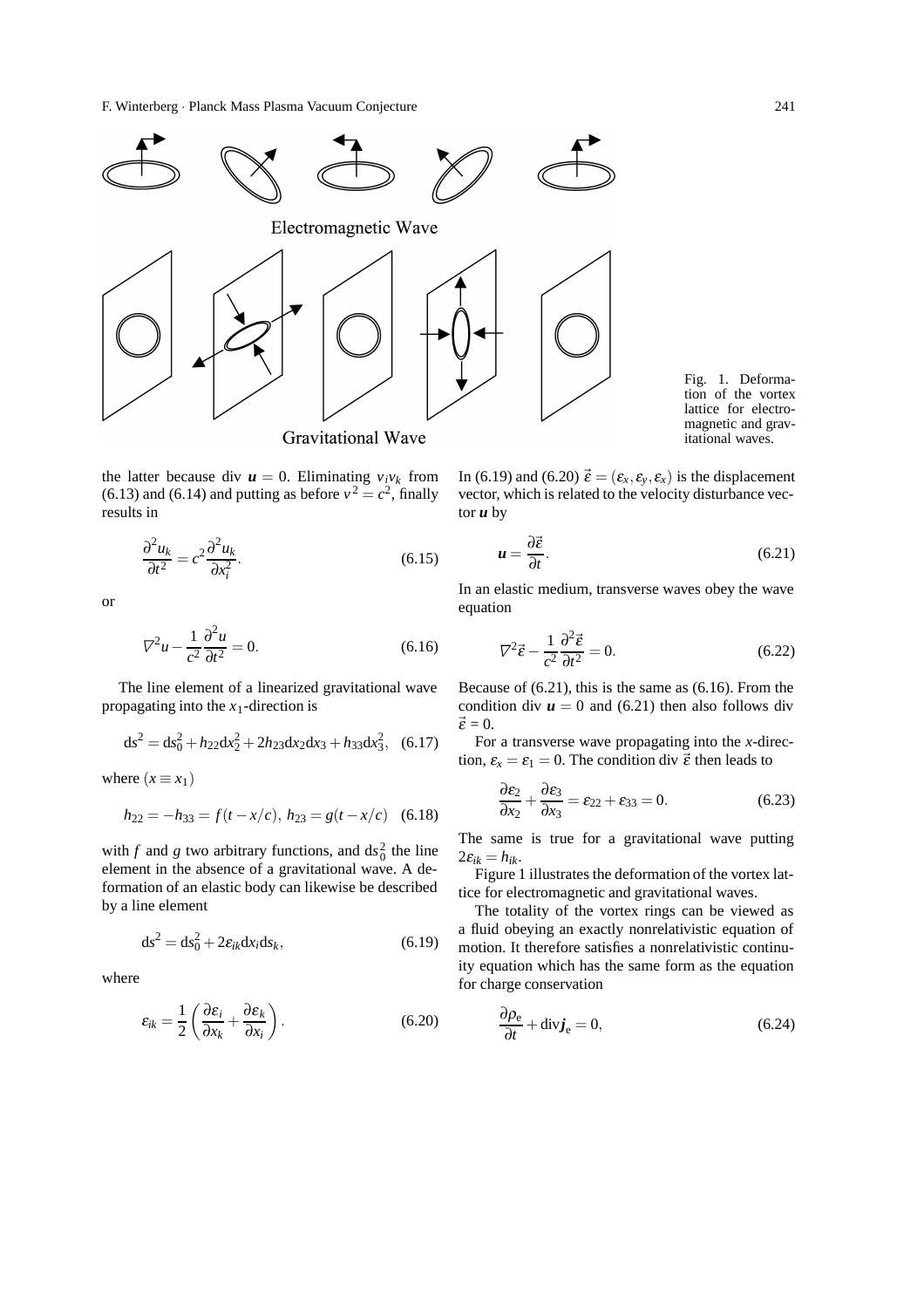

Fig. 1. Deformation of the vortex lattice for electromagnetic and gravitational waves.

the latter because div  $u = 0$ . Eliminating  $v_i v_k$  from (6.13) and (6.14) and putting as before  $v^2 = c^2$ , finally results in

$$
\frac{\partial^2 u_k}{\partial t^2} = c^2 \frac{\partial^2 u_k}{\partial x_i^2}.
$$
\n(6.15)

or

$$
\nabla^2 u - \frac{1}{c^2} \frac{\partial^2 u}{\partial t^2} = 0.
$$
 (6.16)

The line element of a linearized gravitational wave propagating into the  $x_1$ -direction is

$$
ds2 = ds02 + h22dx22 + 2h23dx2dx3 + h33dx32, (6.17)
$$

where  $(x \equiv x_1)$ 

$$
h_{22} = -h_{33} = f(t - x/c), h_{23} = g(t - x/c) \quad (6.18)
$$

with *f* and *g* two arbitrary functions, and  $ds_0^2$  the line element in the absence of a gravitational wave. A deformation of an elastic body can likewise be described by a line element

$$
ds^2 = ds_0^2 + 2\varepsilon_{ik} dx_i ds_k, \qquad (6.19)
$$

where

$$
\varepsilon_{ik} = \frac{1}{2} \left( \frac{\partial \varepsilon_i}{\partial x_k} + \frac{\partial \varepsilon_k}{\partial x_i} \right). \tag{6.20}
$$

In (6.19) and (6.20)  $\vec{\epsilon} = (\epsilon_x, \epsilon_y, \epsilon_x)$  is the displacement vector, which is related to the velocity disturbance vector *u* by

$$
u = \frac{\partial \vec{\varepsilon}}{\partial t}.
$$
 (6.21)

In an elastic medium, transverse waves obey the wave equation

$$
\nabla^2 \vec{\varepsilon} - \frac{1}{c^2} \frac{\partial^2 \vec{\varepsilon}}{\partial t^2} = 0.
$$
 (6.22)

Because of (6.21), this is the same as (6.16). From the condition div  $u = 0$  and (6.21) then also follows div  $\vec{\varepsilon} = 0.$ 

For a transverse wave propagating into the *x*-direction,  $\varepsilon_x = \varepsilon_1 = 0$ . The condition div  $\vec{\varepsilon}$  then leads to

$$
\frac{\partial \varepsilon_2}{\partial x_2} + \frac{\partial \varepsilon_3}{\partial x_3} = \varepsilon_{22} + \varepsilon_{33} = 0. \tag{6.23}
$$

The same is true for a gravitational wave putting  $2\varepsilon_{ik} = h_{ik}.$ 

Figure 1 illustrates the deformation of the vortex lattice for electromagnetic and gravitational waves.

The totality of the vortex rings can be viewed as a fluid obeying an exactly nonrelativistic equation of motion. It therefore satisfies a nonrelativistic continuity equation which has the same form as the equation for charge conservation

$$
\frac{\partial \rho_e}{\partial t} + \text{div} \, \mathbf{j}_e = 0,\tag{6.24}
$$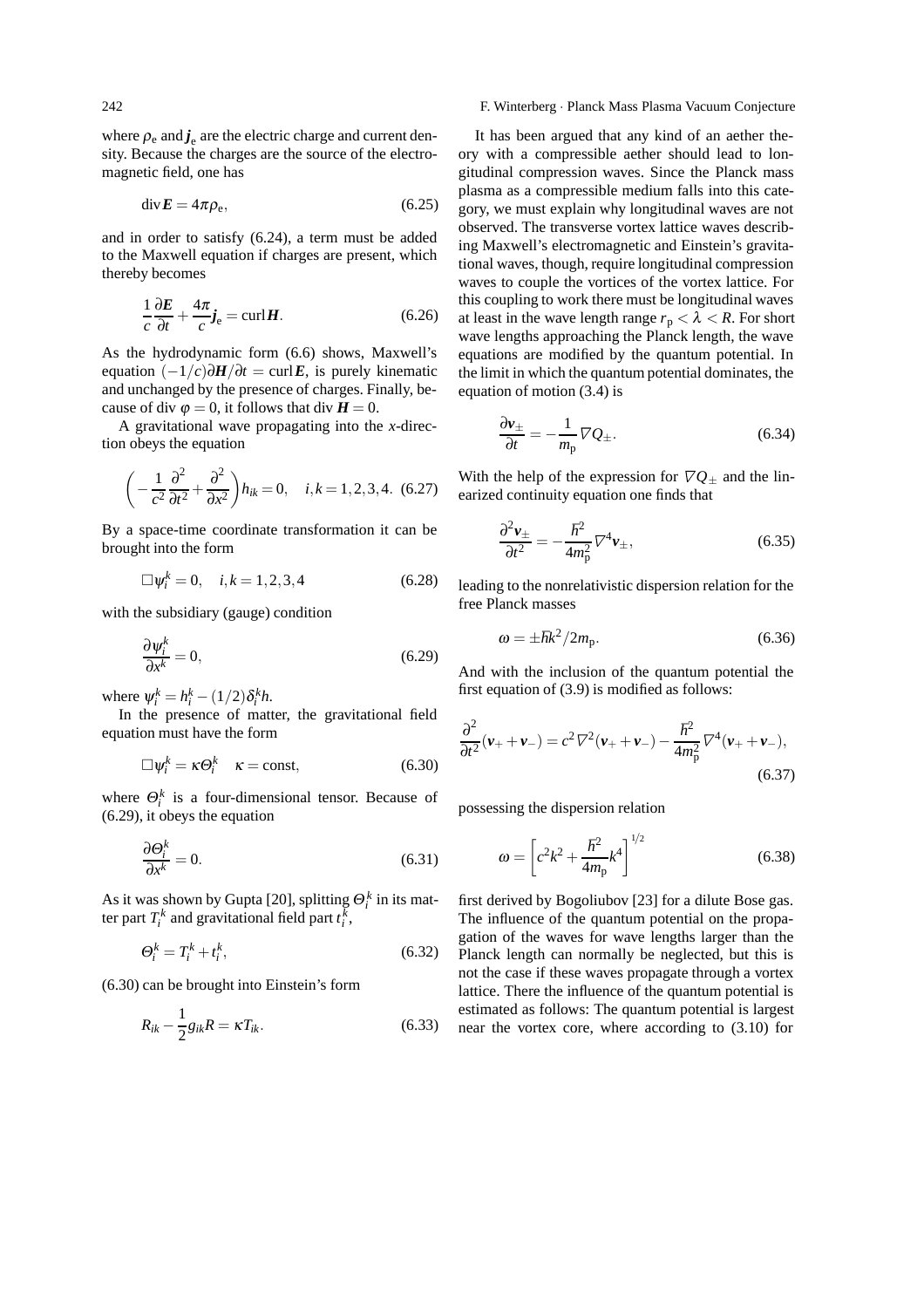$$
\operatorname{div} E = 4\pi \rho_e, \tag{6.25}
$$

and in order to satisfy (6.24), a term must be added to the Maxwell equation if charges are present, which thereby becomes

$$
\frac{1}{c}\frac{\partial E}{\partial t} + \frac{4\pi}{c}j_e = \text{curl}H.
$$
 (6.26)

As the hydrodynamic form (6.6) shows, Maxwell's equation  $(-1/c)\partial H/\partial t = \text{curl } E$ , is purely kinematic and unchanged by the presence of charges. Finally, because of div  $\varphi = 0$ , it follows that div  $H = 0$ .

A gravitational wave propagating into the *x*-direction obeys the equation

$$
\left(-\frac{1}{c^2}\frac{\partial^2}{\partial t^2} + \frac{\partial^2}{\partial x^2}\right)h_{ik} = 0, \quad i, k = 1, 2, 3, 4. \tag{6.27}
$$

By a space-time coordinate transformation it can be brought into the form

$$
\Box \psi_i^k = 0, \quad i, k = 1, 2, 3, 4 \tag{6.28}
$$

with the subsidiary (gauge) condition

$$
\frac{\partial \psi_i^k}{\partial x^k} = 0,\tag{6.29}
$$

where  $\psi_i^k = h_i^k - (1/2)\delta_i^k h$ .

In the presence of matter, the gravitational field equation must have the form

$$
\Box \psi_i^k = \kappa \Theta_i^k \quad \kappa = \text{const}, \tag{6.30}
$$

where  $\Theta_i^k$  is a four-dimensional tensor. Because of (6.29), it obeys the equation

$$
\frac{\partial \Theta_i^k}{\partial x^k} = 0. \tag{6.31}
$$

As it was shown by Gupta [20], splitting  $\Theta_i^k$  in its matter part  $T_i^k$  and gravitational field part  $t_i^k$ ,

$$
\Theta_i^k = T_i^k + t_i^k,\tag{6.32}
$$

(6.30) can be brought into Einstein's form

$$
R_{ik} - \frac{1}{2}g_{ik}R = \kappa T_{ik}.\tag{6.33}
$$

#### 242 F. Winterberg · Planck Mass Plasma Vacuum Conjecture

It has been argued that any kind of an aether theory with a compressible aether should lead to longitudinal compression waves. Since the Planck mass plasma as a compressible medium falls into this category, we must explain why longitudinal waves are not observed. The transverse vortex lattice waves describing Maxwell's electromagnetic and Einstein's gravitational waves, though, require longitudinal compression waves to couple the vortices of the vortex lattice. For this coupling to work there must be longitudinal waves at least in the wave length range  $r_p < \lambda < R$ . For short wave lengths approaching the Planck length, the wave equations are modified by the quantum potential. In the limit in which the quantum potential dominates, the equation of motion (3.4) is

$$
\frac{\partial v_{\pm}}{\partial t} = -\frac{1}{m_{\rm p}} \nabla Q_{\pm}.
$$
 (6.34)

With the help of the expression for  $\nabla Q_{\pm}$  and the linearized continuity equation one finds that

$$
\frac{\partial^2 \mathbf{v}_{\pm}}{\partial t^2} = -\frac{\hbar^2}{4m_p^2} \nabla^4 \mathbf{v}_{\pm},\tag{6.35}
$$

leading to the nonrelativistic dispersion relation for the free Planck masses

$$
\omega = \pm \hbar k^2 / 2m_p. \tag{6.36}
$$

And with the inclusion of the quantum potential the first equation of (3.9) is modified as follows:

$$
\frac{\partial^2}{\partial t^2}(\mathbf{v}_+ + \mathbf{v}_-) = c^2 \nabla^2 (\mathbf{v}_+ + \mathbf{v}_-) - \frac{\hbar^2}{4m_p^2} \nabla^4 (\mathbf{v}_+ + \mathbf{v}_-),
$$
\n(6.37)

possessing the dispersion relation

$$
\omega = \left[c^2 k^2 + \frac{\hbar^2}{4m_{\rm p}} k^4\right]^{1/2} \tag{6.38}
$$

first derived by Bogoliubov [23] for a dilute Bose gas. The influence of the quantum potential on the propagation of the waves for wave lengths larger than the Planck length can normally be neglected, but this is not the case if these waves propagate through a vortex lattice. There the influence of the quantum potential is estimated as follows: The quantum potential is largest near the vortex core, where according to (3.10) for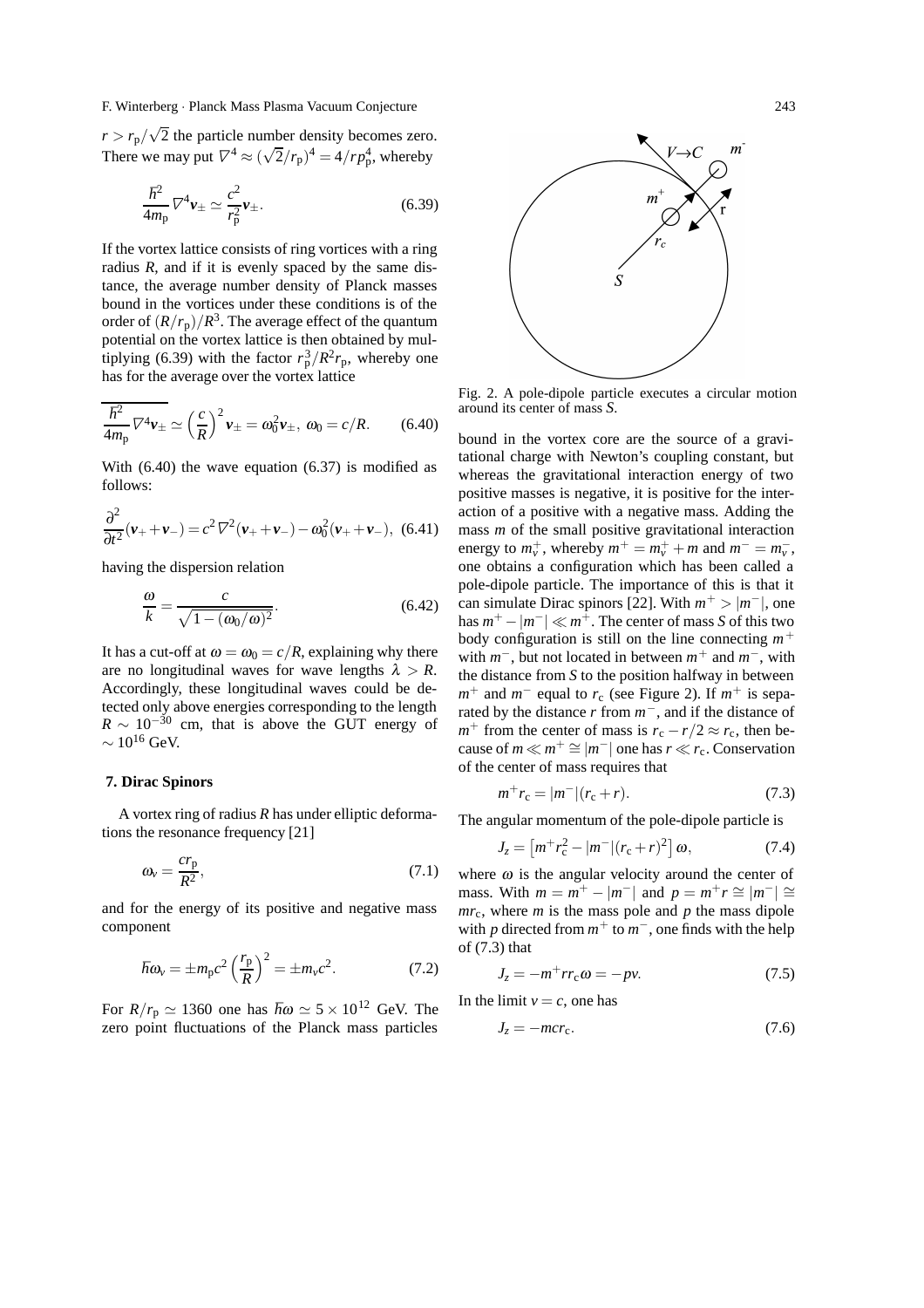$r > r_{\rm p}/r$ √ 2 the particle number density becomes zero. There we may put  $\nabla^4 \approx (\sqrt{2}/r_p)^4 = 4/r p_p^4$ , whereby

$$
\frac{\hbar^2}{4m_\text{p}}\nabla^4\nu_\pm \simeq \frac{c^2}{r_\text{p}^2}\nu_\pm.
$$
\n(6.39)

If the vortex lattice consists of ring vortices with a ring radius  $R$ , and if it is evenly spaced by the same distance, the average number density of Planck masses bound in the vortices under these conditions is of the order of  $(R/r_p)/R^3$ . The average effect of the quantum potential on the vortex lattice is then obtained by multiplying (6.39) with the factor  $r_p^3/R^2r_p$ , whereby one has for the average over the vortex lattice

$$
\overline{\frac{\hbar^2}{4m_{\rm p}}\nabla^4\nu_{\pm}} \simeq \left(\frac{c}{R}\right)^2 \nu_{\pm} = \omega_0^2 \nu_{\pm}, \ \omega_0 = c/R. \tag{6.40}
$$

With  $(6.40)$  the wave equation  $(6.37)$  is modified as follows:

$$
\frac{\partial^2}{\partial t^2}(\mathbf{v}_+ + \mathbf{v}_-) = c^2 \nabla^2 (\mathbf{v}_+ + \mathbf{v}_-) - \omega_0^2 (\mathbf{v}_+ + \mathbf{v}_-), \tag{6.41}
$$

having the dispersion relation

$$
\frac{\omega}{k} = \frac{c}{\sqrt{1 - (\omega_0/\omega)^2}}.\tag{6.42}
$$

It has a cut-off at  $\omega = \omega_0 = c/R$ , explaining why there are no longitudinal waves for wave lengths  $\lambda > R$ . Accordingly, these longitudinal waves could be detected only above energies corresponding to the length  $R \sim 10^{-30}$  cm, that is above the GUT energy of  $\sim 10^{16}$  GeV.

## **7. Dirac Spinors**

A vortex ring of radius *R* has under elliptic deformations the resonance frequency [21]

$$
\omega_{\nu} = \frac{cr_{\rm p}}{R^2},\tag{7.1}
$$

and for the energy of its positive and negative mass component

$$
\hbar \omega_{v} = \pm m_{\rm p} c^2 \left(\frac{r_{\rm p}}{R}\right)^2 = \pm m_{v} c^2. \tag{7.2}
$$

For  $R/r_p \simeq 1360$  one has  $\hbar \omega \simeq 5 \times 10^{12}$  GeV. The zero point fluctuations of the Planck mass particles



Fig. 2. A pole-dipole particle executes a circular motion around its center of mass *S*.

bound in the vortex core are the source of a gravitational charge with Newton's coupling constant, but whereas the gravitational interaction energy of two positive masses is negative, it is positive for the interaction of a positive with a negative mass. Adding the mass *m* of the small positive gravitational interaction energy to  $m_v^+$ , whereby  $m^+ = m_v^+ + m$  and  $m^- = m_v^-$ , one obtains a configuration which has been called a pole-dipole particle. The importance of this is that it can simulate Dirac spinors [22]. With  $m^+ > |m^-|$ , one has  $m^+ - |m^-| \ll m^+$ . The center of mass *S* of this two body configuration is still on the line connecting *m*<sup>+</sup> with *m*−, but not located in between *m*<sup>+</sup> and *m*−, with the distance from *S* to the position halfway in between  $m^+$  and  $m^-$  equal to  $r_c$  (see Figure 2). If  $m^+$  is separated by the distance *r* from *m*−, and if the distance of *m*<sup>+</sup> from the center of mass is  $r_c - r/2 \approx r_c$ , then because of  $m \ll m^+ \cong |m^-|$  one has  $r \ll r_c$ . Conservation of the center of mass requires that

$$
m^{+}r_{c} = |m^{-}|(r_{c} + r). \tag{7.3}
$$

The angular momentum of the pole-dipole particle is

$$
J_z = [m^+ r_c^2 - |m^-| (r_c + r)^2] \omega, \qquad (7.4)
$$

where  $\omega$  is the angular velocity around the center of mass. With  $m = m^+ - |m^-|$  and  $p = m^+r \approx |m^-| \approx$  $mr_c$ , where *m* is the mass pole and *p* the mass dipole with *p* directed from  $m^+$  to  $m^-$ , one finds with the help of (7.3) that

$$
J_z = -m^+ r r_c \omega = -p v. \tag{7.5}
$$

In the limit  $v = c$ , one has

$$
J_z = -mcr_c. \tag{7.6}
$$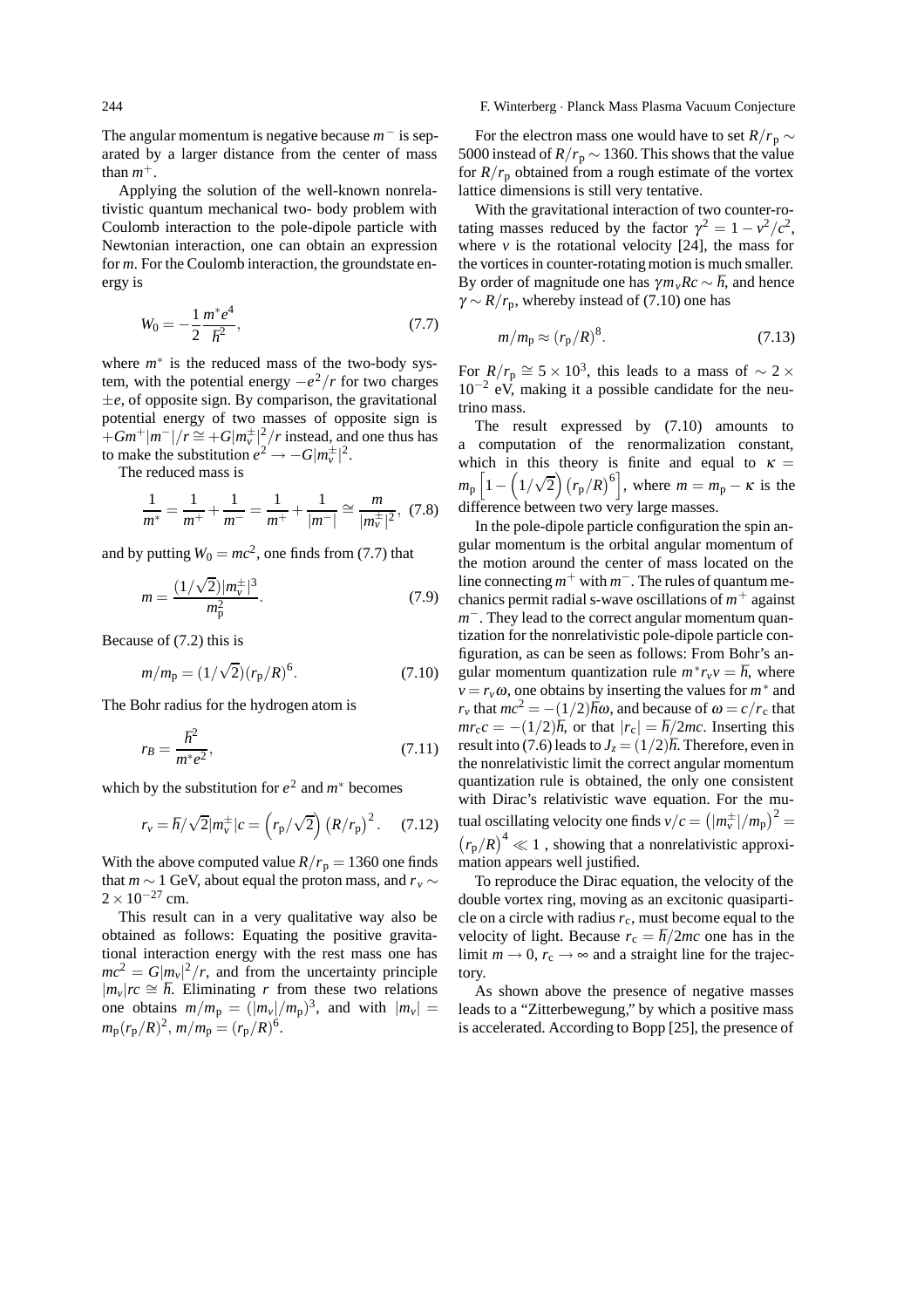The angular momentum is negative because *m*<sup>−</sup> is separated by a larger distance from the center of mass than  $m^+$ .

Applying the solution of the well-known nonrelativistic quantum mechanical two- body problem with Coulomb interaction to the pole-dipole particle with Newtonian interaction, one can obtain an expression for *m*. For the Coulomb interaction, the groundstate energy is

$$
W_0 = -\frac{1}{2} \frac{m^* e^4}{\hbar^2},\tag{7.7}
$$

where  $m^*$  is the reduced mass of the two-body system, with the potential energy  $-e^2/r$  for two charges  $\pm e$ , of opposite sign. By comparison, the gravitational potential energy of two masses of opposite sign is  $+Gm^+|m^-|/r \approx +G|m_v^{\pm}|^2/r$  instead, and one thus has to make the substitution  $e^2 \rightarrow -G|m_v^{\pm}|^2$ .

The reduced mass is

$$
\frac{1}{m^*} = \frac{1}{m^+} + \frac{1}{m^-} = \frac{1}{m^+} + \frac{1}{|m^-|} \cong \frac{m}{|m_v^{\pm}|^2}, \tag{7.8}
$$

and by putting  $W_0 = mc^2$ , one finds from (7.7) that

$$
m = \frac{(1/\sqrt{2})|m_{\nu}^{\pm}|^3}{m_{\rm p}^2}.
$$
 (7.9)

Because of (7.2) this is

$$
m/m_{\rm p} = (1/\sqrt{2})(r_{\rm p}/R)^6.
$$
 (7.10)

The Bohr radius for the hydrogen atom is

$$
r_B = \frac{\hbar^2}{m^* e^2},\tag{7.11}
$$

which by the substitution for  $e^2$  and  $m^*$  becomes

$$
r_{v} = \hbar / \sqrt{2} |m_{v}^{\pm}| c = \left( r_{p} / \sqrt{2} \right) \left( R / r_{p} \right)^{2}.
$$
 (7.12)

With the above computed value  $R/r_p = 1360$  one finds that *m* ∼ 1 GeV, about equal the proton mass, and  $r_v$  ∼  $2 \times 10^{-27}$  cm.

This result can in a very qualitative way also be obtained as follows: Equating the positive gravitational interaction energy with the rest mass one has  $mc^2 = G|m_v|^2/r$ , and from the uncertainty principle  $|m<sub>v</sub>|$ *rc* ≅  $\hbar$ . Eliminating *r* from these two relations one obtains  $m/m_p = (m_v)/m_p^3$ , and with  $|m_v|$  $m_p(r_p/R)^2$ ,  $m/m_p = (r_p/R)^6$ .

#### 244 F. Winterberg · Planck Mass Plasma Vacuum Conjecture

For the electron mass one would have to set  $R/r_p \sim$ 5000 instead of  $R/r_p \sim 1360$ . This shows that the value for  $R/r_p$  obtained from a rough estimate of the vortex lattice dimensions is still very tentative.

With the gravitational interaction of two counter-rotating masses reduced by the factor  $\gamma^2 = 1 - v^2/c^2$ , where  $\nu$  is the rotational velocity [24], the mass for the vortices in counter-rotating motion is much smaller. By order of magnitude one has  $\gamma m_\nu R_c \sim \hbar$ , and hence  $\gamma \sim R/r_p$ , whereby instead of (7.10) one has

$$
m/m_{\rm p} \approx (r_{\rm p}/R)^8. \tag{7.13}
$$

For  $R/r_p \approx 5 \times 10^3$ , this leads to a mass of  $\sim 2 \times$  $10^{-2}$  eV, making it a possible candidate for the neutrino mass.

The result expressed by (7.10) amounts to a computation of the renormalization constant, which in this theory is finite and equal to  $\kappa =$  $m_{\rm p} \left[ 1 - \left( 1 / \right) \right]$ √  $\overline{2}$   $(r_{\rm p}/R)^6$ , where  $m = m_{\rm p} - \kappa$  is the difference between two very large masses.

In the pole-dipole particle configuration the spin angular momentum is the orbital angular momentum of the motion around the center of mass located on the line connecting *m*<sup>+</sup> with *m*−. The rules of quantum mechanics permit radial s-wave oscillations of  $m<sup>+</sup>$  against *m*<sup>−</sup>. They lead to the correct angular momentum quantization for the nonrelativistic pole-dipole particle configuration, as can be seen as follows: From Bohr's angular momentum quantization rule  $m^*r_\nu v = \hbar$ , where  $v = r<sub>v</sub> \omega$ , one obtains by inserting the values for  $m^*$  and  $r_v$  that  $mc^2 = -(1/2)\hbar\omega$ , and because of  $\omega = c/r_c$  that  $mr_c c = -(1/2)\hbar$ , or that  $|r_c| = \hbar/2mc$ . Inserting this result into (7.6) leads to  $J_z = (1/2)\hbar$ . Therefore, even in the nonrelativistic limit the correct angular momentum quantization rule is obtained, the only one consistent with Dirac's relativistic wave equation. For the mutual oscillating velocity one finds  $v/c = \left(|m_v^{\pm}|/m_{\rm p}\right)^2 =$  $(r_p/R)^4 \ll 1$ , showing that a nonrelativistic approximation appears well justified.

To reproduce the Dirac equation, the velocity of the double vortex ring, moving as an excitonic quasiparticle on a circle with radius  $r_c$ , must become equal to the velocity of light. Because  $r_c = \hbar/2mc$  one has in the limit  $m \to 0$ ,  $r_c \to \infty$  and a straight line for the trajectory.

As shown above the presence of negative masses leads to a "Zitterbewegung," by which a positive mass is accelerated. According to Bopp [25], the presence of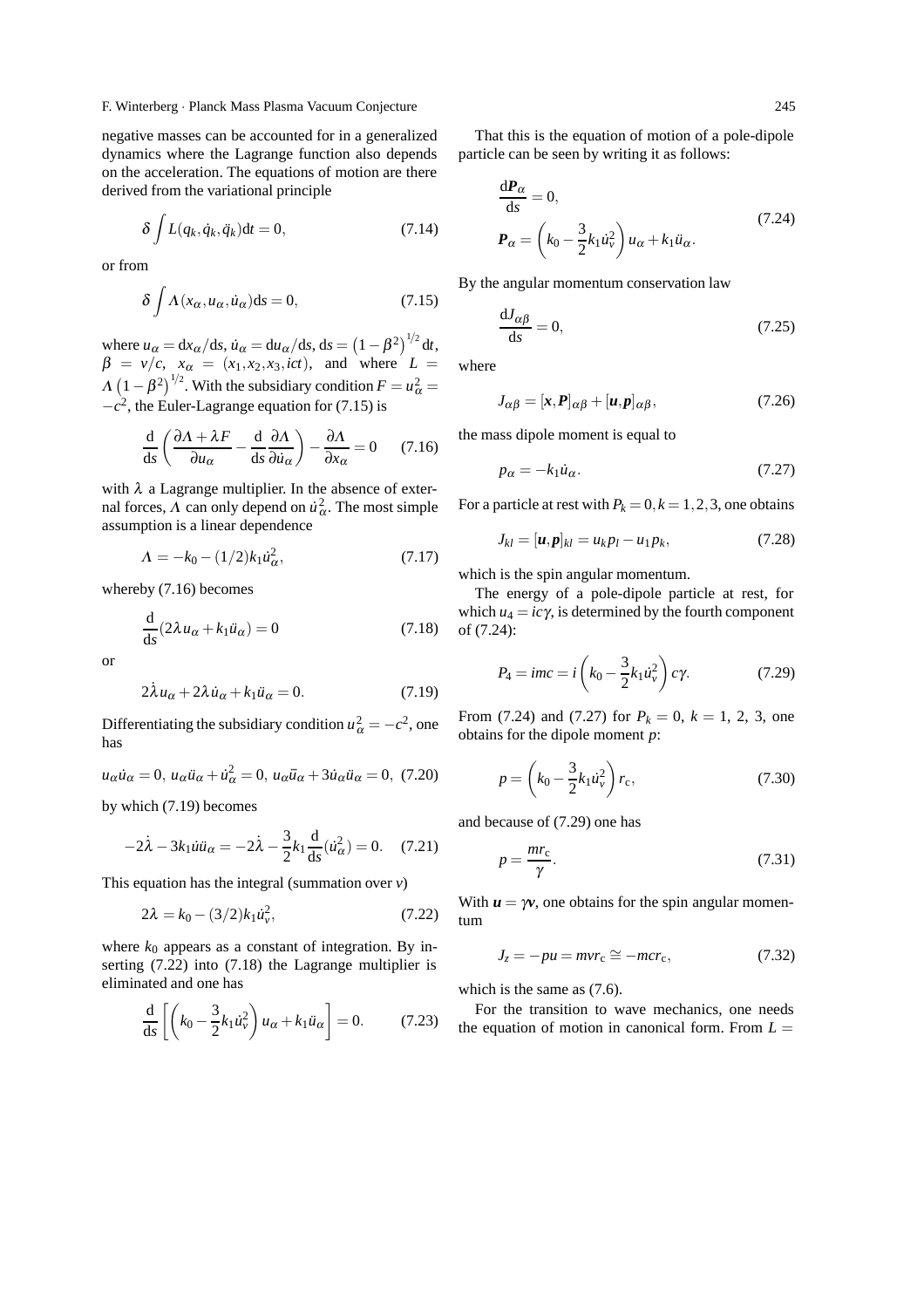negative masses can be accounted for in a generalized dynamics where the Lagrange function also depends on the acceleration. The equations of motion are there derived from the variational principle

$$
\delta \int L(q_k, \dot{q}_k, \ddot{q}_k) dt = 0, \qquad (7.14)
$$

or from

$$
\delta \int \Lambda(x_{\alpha}, u_{\alpha}, \dot{u}_{\alpha}) ds = 0, \qquad (7.15)
$$

where  $u_{\alpha} = dx_{\alpha}/ds$ ,  $\dot{u}_{\alpha} = du_{\alpha}/ds$ ,  $ds = (1 - \beta^2)^{1/2} dt$ ,  $\beta = v/c$ ,  $x_{\alpha} = (x_1, x_2, x_3, ict)$ , and where  $L =$  $\Lambda$   $(1 - \beta^2)^{1/2}$ . With the subsidiary condition  $F = u_\alpha^2 =$  $-c<sup>2</sup>$ , the Euler-Lagrange equation for (7.15) is

$$
\frac{d}{ds}\left(\frac{\partial\Lambda + \lambda F}{\partial u_{\alpha}} - \frac{d}{ds}\frac{\partial\Lambda}{\partial \dot{u}_{\alpha}}\right) - \frac{\partial\Lambda}{\partial x_{\alpha}} = 0 \quad (7.16)
$$

with  $\lambda$  a Lagrange multiplier. In the absence of external forces,  $\Lambda$  can only depend on  $\dot{u}^2_{\alpha}$ . The most simple assumption is a linear dependence

$$
\Lambda = -k_0 - (1/2)k_1 \dot{u}_\alpha^2,\tag{7.17}
$$

whereby (7.16) becomes

$$
\frac{\mathrm{d}}{\mathrm{d}s}(2\lambda u_{\alpha} + k_1 \ddot{u}_{\alpha}) = 0 \tag{7.18}
$$

or

$$
2\dot{\lambda}u_{\alpha} + 2\lambda \dot{u}_{\alpha} + k_1 \ddot{u}_{\alpha} = 0. \tag{7.19}
$$

Differentiating the subsidiary condition  $u^2_{\alpha} = -c^2$ , one has

$$
u_{\alpha}\dot{u}_{\alpha} = 0, u_{\alpha}\ddot{u}_{\alpha} + \dot{u}_{\alpha}^{2} = 0, u_{\alpha}\ddot{u}_{\alpha} + 3\dot{u}_{\alpha}\ddot{u}_{\alpha} = 0, (7.20)
$$

by which (7.19) becomes

$$
-2\dot{\lambda} - 3k_1 \dot{u} \ddot{u}_{\alpha} = -2\dot{\lambda} - \frac{3}{2}k_1 \frac{d}{ds} (\dot{u}_{\alpha}^2) = 0. \quad (7.21)
$$

This equation has the integral (summation over  $v$ )

$$
2\lambda = k_0 - (3/2)k_1 \dot{u}_v^2, \tag{7.22}
$$

where  $k_0$  appears as a constant of integration. By inserting (7.22) into (7.18) the Lagrange multiplier is eliminated and one has

$$
\frac{\mathrm{d}}{\mathrm{d}s} \left[ \left( k_0 - \frac{3}{2} k_1 \dot{u}_v^2 \right) u_\alpha + k_1 \ddot{u}_\alpha \right] = 0. \tag{7.23}
$$

That this is the equation of motion of a pole-dipole particle can be seen by writing it as follows:

$$
\frac{dP_{\alpha}}{ds} = 0,
$$
\n
$$
P_{\alpha} = \left(k_0 - \frac{3}{2}k_1\dot{u}_v^2\right)u_{\alpha} + k_1\ddot{u}_{\alpha}.
$$
\n(7.24)

By the angular momentum conservation law

$$
\frac{\mathrm{d}J_{\alpha\beta}}{\mathrm{d}s} = 0,\tag{7.25}
$$

where

$$
J_{\alpha\beta} = [\mathbf{x}, \mathbf{P}]_{\alpha\beta} + [\mathbf{u}, \mathbf{p}]_{\alpha\beta},\tag{7.26}
$$

the mass dipole moment is equal to

$$
p_{\alpha} = -k_1 \dot{u}_{\alpha}.\tag{7.27}
$$

For a particle at rest with  $P_k = 0, k = 1, 2, 3$ , one obtains

$$
J_{kl} = [\mathbf{u}, \mathbf{p}]_{kl} = u_k p_l - u_1 p_k, \tag{7.28}
$$

which is the spin angular momentum.

The energy of a pole-dipole particle at rest, for which  $u_4 = ic\gamma$ , is determined by the fourth component of (7.24):

$$
P_4 = imc = i\left(k_0 - \frac{3}{2}k_1\dot{u}_y^2\right)c\gamma.
$$
 (7.29)

From (7.24) and (7.27) for  $P_k = 0$ ,  $k = 1, 2, 3$ , one obtains for the dipole moment *p*:

$$
p = \left(k_0 - \frac{3}{2}k_1 \dot{u}_v^2\right) r_c,
$$
\n(7.30)

and because of (7.29) one has

$$
p = \frac{mr_c}{\gamma}.\tag{7.31}
$$

With  $u = \gamma v$ , one obtains for the spin angular momentum

$$
J_z = -pu = mvr_c \cong -mcr_c, \qquad (7.32)
$$

which is the same as (7.6).

For the transition to wave mechanics, one needs the equation of motion in canonical form. From  $L =$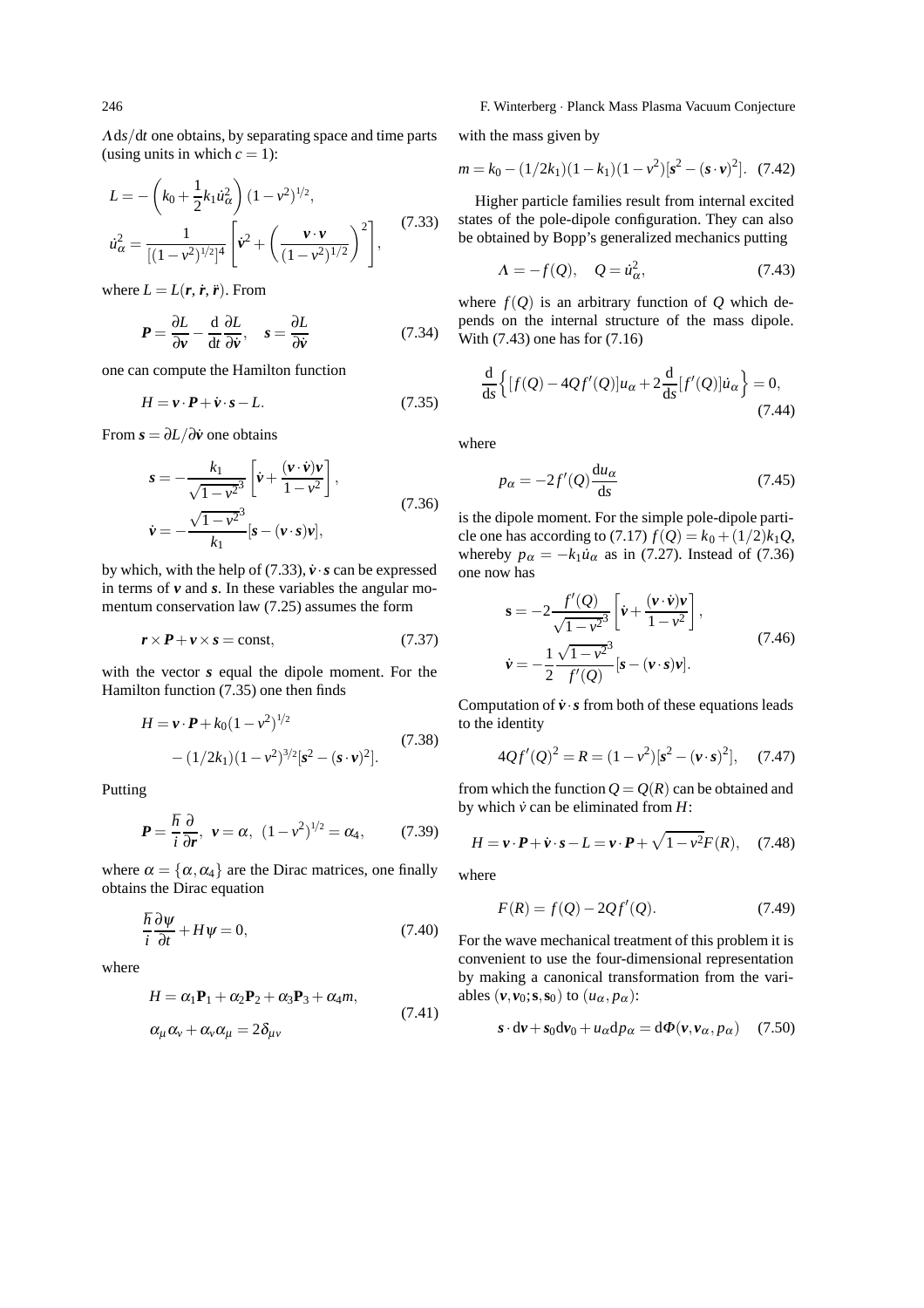$$
L = -\left(k_0 + \frac{1}{2}k_1\dot{u}_{\alpha}^2\right)(1 - v^2)^{1/2},
$$
  

$$
\dot{u}_{\alpha}^2 = \frac{1}{[(1 - v^2)^{1/2}]^4} \left[\dot{v}^2 + \left(\frac{v \cdot v}{(1 - v^2)^{1/2}}\right)^2\right],
$$
 (7.33)

where  $L = L(r, \dot{r}, \ddot{r})$ . From

$$
P = \frac{\partial L}{\partial v} - \frac{d}{dt} \frac{\partial L}{\partial \dot{v}}, \quad s = \frac{\partial L}{\partial \dot{v}}
$$
(7.34)

one can compute the Hamilton function

$$
H = \mathbf{v} \cdot \mathbf{P} + \dot{\mathbf{v}} \cdot \mathbf{s} - L. \tag{7.35}
$$

From *s* = ∂*L*/∂*v*˙ one obtains

$$
s = -\frac{k_1}{\sqrt{1 - v^2}^3} \left[ \dot{v} + \frac{(\mathbf{v} \cdot \dot{v})v}{1 - v^2} \right],
$$
  
\n
$$
\dot{v} = -\frac{\sqrt{1 - v^2}^3}{k_1} [s - (v \cdot s)v],
$$
\n(7.36)

by which, with the help of (7.33),  $\dot{v} \cdot \dot{s}$  can be expressed in terms of  $\nu$  and  $s$ . In these variables the angular momentum conservation law (7.25) assumes the form

$$
r \times P + v \times s = \text{const},\tag{7.37}
$$

with the vector *s* equal the dipole moment. For the Hamilton function (7.35) one then finds

$$
H = \mathbf{v} \cdot \mathbf{P} + k_0 (1 - v^2)^{1/2}
$$
  
– (1/2k<sub>1</sub>)(1 – v<sup>2</sup>)<sup>3/2</sup>[s<sup>2</sup> – (s · v)<sup>2</sup>]. (7.38)

Putting

$$
P = \frac{\hbar}{i} \frac{\partial}{\partial r}, \ \nu = \alpha, \ (1 - v^2)^{1/2} = \alpha_4, \qquad (7.39)
$$

where  $\alpha = {\alpha, \alpha_4}$  are the Dirac matrices, one finally obtains the Dirac equation

$$
\frac{\hbar}{i}\frac{\partial \psi}{\partial t} + H\psi = 0,\tag{7.40}
$$

where

$$
H = \alpha_1 \mathbf{P}_1 + \alpha_2 \mathbf{P}_2 + \alpha_3 \mathbf{P}_3 + \alpha_4 m,
$$
  
\n
$$
\alpha_\mu \alpha_\nu + \alpha_\nu \alpha_\mu = 2\delta_{\mu\nu}
$$
\n(7.41)

## 246 F. Winterberg · Planck Mass Plasma Vacuum Conjecture

with the mass given by

$$
m = k_0 - (1/2k_1)(1 - k_1)(1 - v^2)[s^2 - (s \cdot v)^2]. \quad (7.42)
$$

Higher particle families result from internal excited states of the pole-dipole configuration. They can also be obtained by Bopp's generalized mechanics putting

$$
\Lambda = -f(Q), \quad Q = \dot{u}_{\alpha}^2,\tag{7.43}
$$

where  $f(Q)$  is an arbitrary function of  $Q$  which depends on the internal structure of the mass dipole. With (7.43) one has for (7.16)

$$
\frac{\mathrm{d}}{\mathrm{d}s} \Big\{ [f(Q) - 4Qf'(Q)]u_{\alpha} + 2\frac{\mathrm{d}}{\mathrm{d}s} [f'(Q)]u_{\alpha} \Big\} = 0,
$$
\n(7.44)

where

$$
p_{\alpha} = -2f'(Q)\frac{\mathrm{d}u_{\alpha}}{\mathrm{d}s} \tag{7.45}
$$

is the dipole moment. For the simple pole-dipole particle one has according to (7.17)  $f(Q) = k_0 + (1/2)k_1Q$ , whereby  $p_{\alpha} = -k_1 \dot{u}_{\alpha}$  as in (7.27). Instead of (7.36) one now has

$$
\mathbf{s} = -2 \frac{f'(\mathcal{Q})}{\sqrt{1 - v^2}^3} \left[ \dot{\mathbf{v}} + \frac{(\mathbf{v} \cdot \dot{\mathbf{v}}) \mathbf{v}}{1 - v^2} \right],
$$
  
\n
$$
\dot{\mathbf{v}} = -\frac{1}{2} \frac{\sqrt{1 - v^2}^3}{f'(\mathcal{Q})} [\mathbf{s} - (\mathbf{v} \cdot \mathbf{s}) \mathbf{v}].
$$
\n(7.46)

Computation of  $\dot{v} \cdot s$  from both of these equations leads to the identity

$$
4Qf'(Q)^{2} = R = (1 - v^{2})[s^{2} - (\mathbf{v} \cdot \mathbf{s})^{2}], \quad (7.47)
$$

from which the function  $Q = Q(R)$  can be obtained and by which  $\dot{v}$  can be eliminated from  $H$ :

$$
H = \mathbf{v} \cdot \mathbf{P} + \dot{\mathbf{v}} \cdot \mathbf{s} - L = \mathbf{v} \cdot \mathbf{P} + \sqrt{1 - v^2} F(R), \quad (7.48)
$$

where

$$
F(R) = f(Q) - 2Qf'(Q).
$$
 (7.49)

For the wave mechanical treatment of this problem it is convenient to use the four-dimensional representation by making a canonical transformation from the variables  $(\mathbf{v}, \mathbf{v}_0; \mathbf{s}, \mathbf{s}_0)$  to  $(u_\alpha, p_\alpha)$ :

$$
s \cdot dv + s_0 dv_0 + u_\alpha dp_\alpha = d\Phi(\mathbf{v}, \mathbf{v}_\alpha, p_\alpha) \quad (7.50)
$$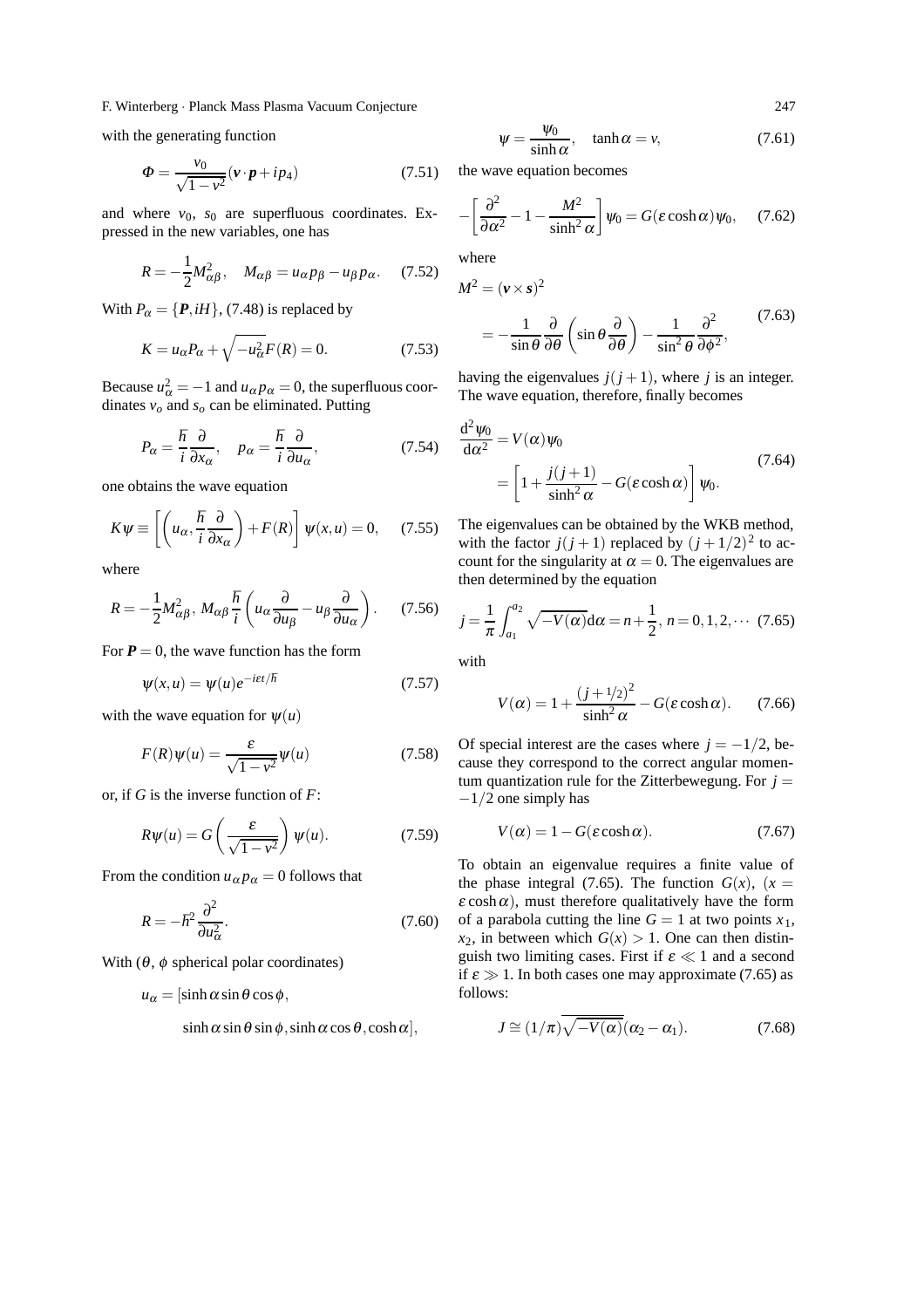with the generating function

$$
\Phi = \frac{v_0}{\sqrt{1 - v^2}} (\mathbf{v} \cdot \mathbf{p} + i p_4)
$$
\n(7.51)

and where  $v_0$ ,  $s_0$  are superfluous coordinates. Expressed in the new variables, one has

$$
R = -\frac{1}{2}M_{\alpha\beta}^2, \quad M_{\alpha\beta} = u_{\alpha}p_{\beta} - u_{\beta}p_{\alpha}.
$$
 (7.52)

With  $P_{\alpha} = \{P, iH\}$ , (7.48) is replaced by

$$
K = u_{\alpha} P_{\alpha} + \sqrt{-u_{\alpha}^2} F(R) = 0.
$$
 (7.53)

Because  $u_{\alpha}^2 = -1$  and  $u_{\alpha} p_{\alpha} = 0$ , the superfluous coordinates *vo* and *so* can be eliminated. Putting

$$
P_{\alpha} = \frac{\hbar}{i} \frac{\partial}{\partial x_{\alpha}}, \quad p_{\alpha} = \frac{\hbar}{i} \frac{\partial}{\partial u_{\alpha}}, \tag{7.54}
$$

one obtains the wave equation

$$
K\psi \equiv \left[ \left( u_{\alpha}, \frac{\hbar}{i} \frac{\partial}{\partial x_{\alpha}} \right) + F(R) \right] \psi(x, u) = 0, \quad (7.55)
$$

where

$$
R = -\frac{1}{2}M_{\alpha\beta}^2, M_{\alpha\beta}\frac{\hbar}{i}\left(u_{\alpha}\frac{\partial}{\partial u_{\beta}} - u_{\beta}\frac{\partial}{\partial u_{\alpha}}\right).
$$
 (7.56)

For  $P = 0$ , the wave function has the form

$$
\psi(x, u) = \psi(u)e^{-i\epsilon t/\hbar} \tag{7.57}
$$

with the wave equation for  $\psi(u)$ 

$$
F(R)\psi(u) = \frac{\varepsilon}{\sqrt{1 - v^2}}\psi(u)
$$
\n(7.58)

or, if *G* is the inverse function of *F*:

$$
R\psi(u) = G\left(\frac{\varepsilon}{\sqrt{1 - v^2}}\right)\psi(u). \tag{7.59}
$$

From the condition  $u_{\alpha} p_{\alpha} = 0$  follows that

$$
R = -\hbar^2 \frac{\partial^2}{\partial u_\alpha^2}.
$$
\n(7.60)

With  $(\theta, \phi)$  spherical polar coordinates)

$$
u_{\alpha} = [\sinh \alpha \sin \theta \cos \phi,
$$

 $\sinh \alpha \sin \theta \sin \phi$ ,  $\sinh \alpha \cos \theta$ ,  $\cosh \alpha$ ],

$$
\psi = \frac{\psi_0}{\sinh \alpha}, \quad \tanh \alpha = \nu, \tag{7.61}
$$

the wave equation becomes

$$
-\left[\frac{\partial^2}{\partial \alpha^2} - 1 - \frac{M^2}{\sinh^2 \alpha}\right] \psi_0 = G(\varepsilon \cosh \alpha) \psi_0, \quad (7.62)
$$

where

 $M^2 = (\nu \times s)^2$ 

$$
= -\frac{1}{\sin\theta} \frac{\partial}{\partial\theta} \left( \sin\theta \frac{\partial}{\partial\theta} \right) - \frac{1}{\sin^2\theta} \frac{\partial^2}{\partial\phi^2},
$$
(7.63)

having the eigenvalues  $j(j+1)$ , where *j* is an integer. The wave equation, therefore, finally becomes

$$
\frac{d^2 \psi_0}{d\alpha^2} = V(\alpha)\psi_0
$$
  
=  $\left[1 + \frac{j(j+1)}{\sinh^2 \alpha} - G(\varepsilon \cosh \alpha)\right] \psi_0.$  (7.64)

The eigenvalues can be obtained by the WKB method, with the factor  $j(j+1)$  replaced by  $(j+1/2)^2$  to account for the singularity at  $\alpha = 0$ . The eigenvalues are then determined by the equation

$$
j = \frac{1}{\pi} \int_{a_1}^{a_2} \sqrt{-V(\alpha)} d\alpha = n + \frac{1}{2}, n = 0, 1, 2, \cdots (7.65)
$$

with

$$
V(\alpha) = 1 + \frac{(j + 1/2)^2}{\sinh^2 \alpha} - G(\varepsilon \cosh \alpha). \tag{7.66}
$$

Of special interest are the cases where  $j = -1/2$ , because they correspond to the correct angular momentum quantization rule for the Zitterbewegung. For  $j =$ −1/2 one simply has

$$
V(\alpha) = 1 - G(\varepsilon \cosh \alpha). \tag{7.67}
$$

To obtain an eigenvalue requires a finite value of the phase integral (7.65). The function  $G(x)$ , ( $x =$  $\varepsilon$  cosh  $\alpha$ ), must therefore qualitatively have the form of a parabola cutting the line  $G = 1$  at two points  $x_1$ ,  $x_2$ , in between which  $G(x) > 1$ . One can then distinguish two limiting cases. First if  $\varepsilon \ll 1$  and a second if  $\varepsilon \gg 1$ . In both cases one may approximate (7.65) as follows:

$$
J \cong (1/\pi)\sqrt{-V(\alpha)}(\alpha_2 - \alpha_1). \tag{7.68}
$$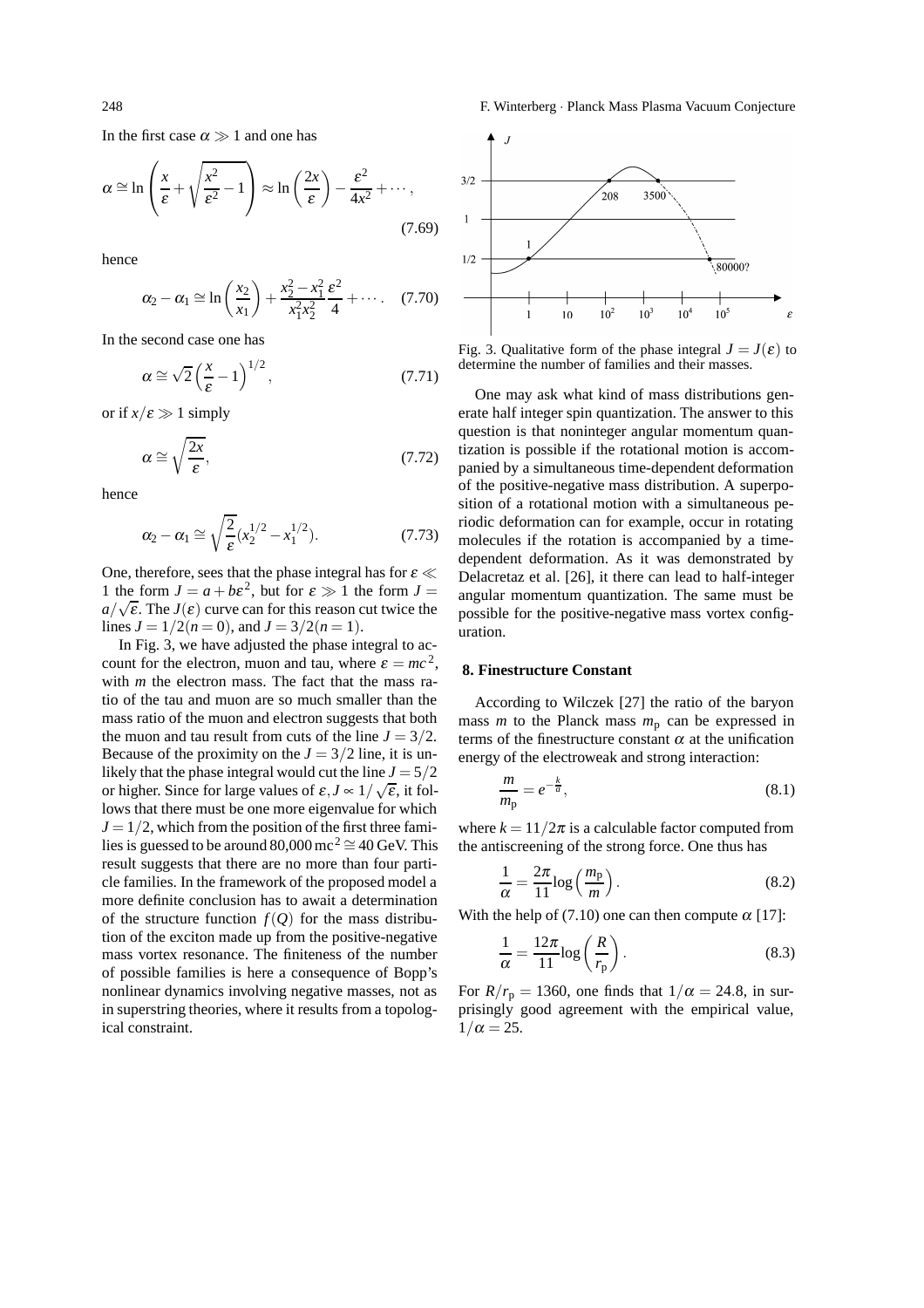In the first case  $\alpha \gg 1$  and one has

$$
\alpha \cong \ln\left(\frac{x}{\varepsilon} + \sqrt{\frac{x^2}{\varepsilon^2} - 1}\right) \approx \ln\left(\frac{2x}{\varepsilon}\right) - \frac{\varepsilon^2}{4x^2} + \cdots,
$$
\n(7.69)

hence

$$
\alpha_2 - \alpha_1 \cong \ln\left(\frac{x_2}{x_1}\right) + \frac{x_2^2 - x_1^2}{x_1^2 x_2^2} \frac{\varepsilon^2}{4} + \cdots. \quad (7.70)
$$

In the second case one has

$$
\alpha \cong \sqrt{2} \left(\frac{x}{\varepsilon} - 1\right)^{1/2},\tag{7.71}
$$

or if  $x/\varepsilon \gg 1$  simply

$$
\alpha \cong \sqrt{\frac{2x}{\varepsilon}},\tag{7.72}
$$

hence

$$
\alpha_2 - \alpha_1 \cong \sqrt{\frac{2}{\varepsilon}} (x_2^{1/2} - x_1^{1/2}). \tag{7.73}
$$

One, therefore, sees that the phase integral has for  $\varepsilon \ll$ 1 the form  $J = a + b\varepsilon^2$ , but for  $\varepsilon \gg 1$  the form  $J =$ *a*/ $\sqrt{\epsilon}$ . The *J*(*ε*) curve can for this reason cut twice the lines  $J = 1/2(n = 0)$ , and  $J = 3/2(n = 1)$ .

In Fig. 3, we have adjusted the phase integral to account for the electron, muon and tau, where  $\varepsilon = mc^2$ , with *m* the electron mass. The fact that the mass ratio of the tau and muon are so much smaller than the mass ratio of the muon and electron suggests that both the muon and tau result from cuts of the line  $J = 3/2$ . Because of the proximity on the  $J = 3/2$  line, it is unlikely that the phase integral would cut the line  $J = 5/2$ The final the phase integral would cut the line  $J = 3/2$ <br>or higher. Since for large values of  $\varepsilon, J \propto 1/\sqrt{\varepsilon}$ , it follows that there must be one more eigenvalue for which  $J = 1/2$ , which from the position of the first three families is guessed to be around 80,000 mc<sup>2</sup>  $\cong$  40 GeV. This result suggests that there are no more than four particle families. In the framework of the proposed model a more definite conclusion has to await a determination of the structure function  $f(Q)$  for the mass distribution of the exciton made up from the positive-negative mass vortex resonance. The finiteness of the number of possible families is here a consequence of Bopp's nonlinear dynamics involving negative masses, not as in superstring theories, where it results from a topological constraint.



Fig. 3. Qualitative form of the phase integral  $J = J(\varepsilon)$  to determine the number of families and their masses.

One may ask what kind of mass distributions generate half integer spin quantization. The answer to this question is that noninteger angular momentum quantization is possible if the rotational motion is accompanied by a simultaneous time-dependent deformation of the positive-negative mass distribution. A superposition of a rotational motion with a simultaneous periodic deformation can for example, occur in rotating molecules if the rotation is accompanied by a timedependent deformation. As it was demonstrated by Delacretaz et al. [26], it there can lead to half-integer angular momentum quantization. The same must be possible for the positive-negative mass vortex configuration.

## **8. Finestructure Constant**

According to Wilczek [27] the ratio of the baryon mass  $m$  to the Planck mass  $m<sub>p</sub>$  can be expressed in terms of the finestructure constant  $\alpha$  at the unification energy of the electroweak and strong interaction:

$$
\frac{m}{m_{\rm p}} = e^{-\frac{k}{a}},\tag{8.1}
$$

where  $k = 11/2\pi$  is a calculable factor computed from the antiscreening of the strong force. One thus has

$$
\frac{1}{\alpha} = \frac{2\pi}{11} \log\left(\frac{m_{\rm p}}{m}\right). \tag{8.2}
$$

With the help of (7.10) one can then compute  $\alpha$  [17]:

$$
\frac{1}{\alpha} = \frac{12\pi}{11} \log\left(\frac{R}{r_{\rm p}}\right). \tag{8.3}
$$

For  $R/r_p = 1360$ , one finds that  $1/\alpha = 24.8$ , in surprisingly good agreement with the empirical value,  $1/\alpha = 25$ .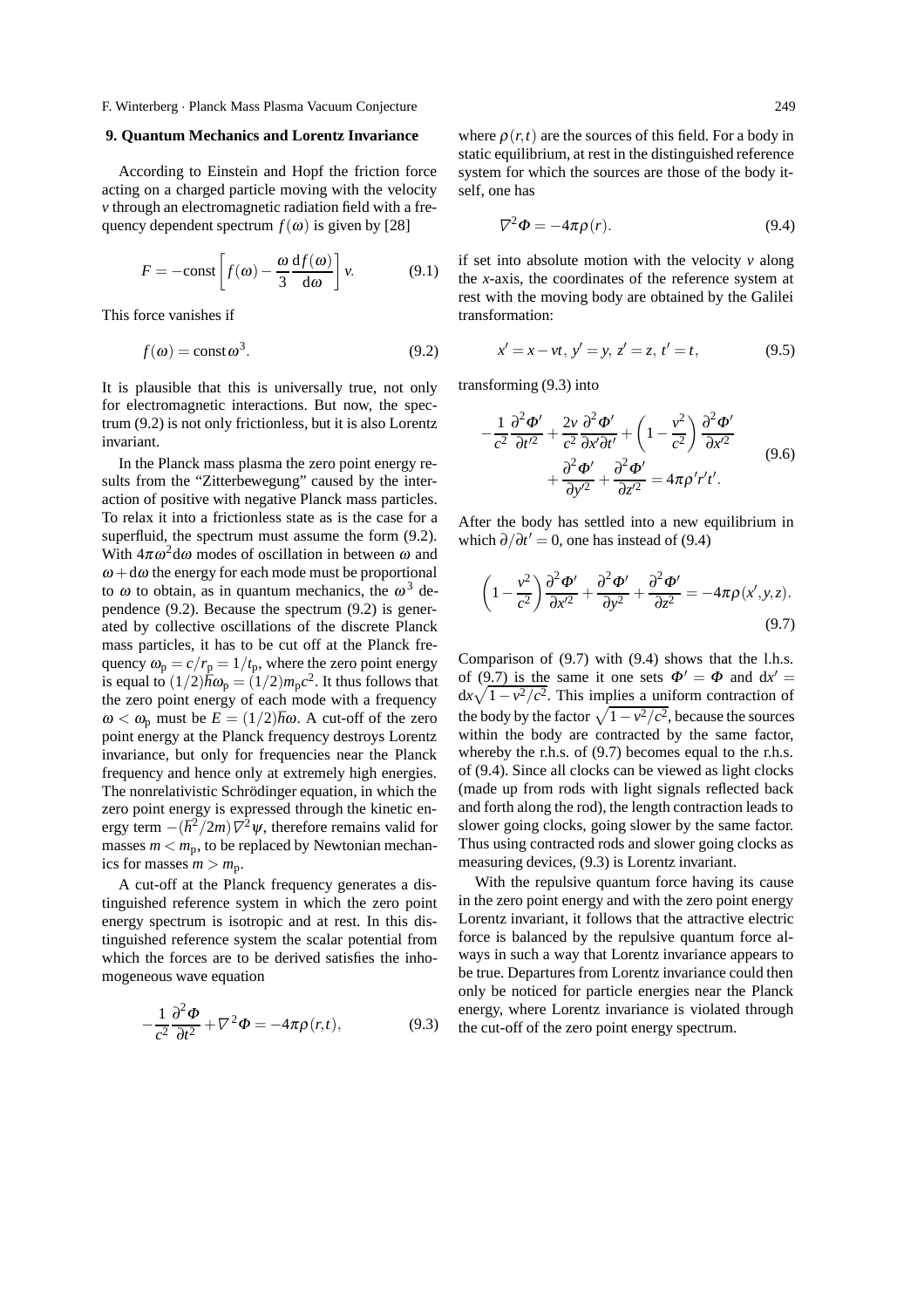#### **9. Quantum Mechanics and Lorentz Invariance**

According to Einstein and Hopf the friction force acting on a charged particle moving with the velocity *v* through an electromagnetic radiation field with a frequency dependent spectrum  $f(\omega)$  is given by [28]

$$
F = -\text{const}\left[f(\omega) - \frac{\omega}{3}\frac{\mathrm{d}f(\omega)}{\mathrm{d}\omega}\right]\nu.
$$
 (9.1)

This force vanishes if

$$
f(\omega) = \text{const}\,\omega^3. \tag{9.2}
$$

It is plausible that this is universally true, not only for electromagnetic interactions. But now, the spectrum (9.2) is not only frictionless, but it is also Lorentz invariant.

In the Planck mass plasma the zero point energy results from the "Zitterbewegung" caused by the interaction of positive with negative Planck mass particles. To relax it into a frictionless state as is the case for a superfluid, the spectrum must assume the form (9.2). With  $4\pi\omega^2d\omega$  modes of oscillation in between  $\omega$  and  $\omega + d\omega$  the energy for each mode must be proportional to  $\omega$  to obtain, as in quantum mechanics, the  $\omega^3$  dependence (9.2). Because the spectrum (9.2) is generated by collective oscillations of the discrete Planck mass particles, it has to be cut off at the Planck frequency  $\omega_p = c/r_p = 1/t_p$ , where the zero point energy is equal to  $(1/2)\hbar\omega_p = (1/2)m_pc^2$ . It thus follows that the zero point energy of each mode with a frequency  $\omega < \omega_{\rm o}$  must be  $E = (1/2)\hbar\omega$ . A cut-off of the zero point energy at the Planck frequency destroys Lorentz invariance, but only for frequencies near the Planck frequency and hence only at extremely high energies. The nonrelativistic Schrödinger equation, in which the zero point energy is expressed through the kinetic energy term  $-(\hbar^2/2m)\nabla^2 \psi$ , therefore remains valid for masses  $m < m<sub>p</sub>$ , to be replaced by Newtonian mechanics for masses  $m > m_p$ .

A cut-off at the Planck frequency generates a distinguished reference system in which the zero point energy spectrum is isotropic and at rest. In this distinguished reference system the scalar potential from which the forces are to be derived satisfies the inhomogeneous wave equation

$$
-\frac{1}{c^2}\frac{\partial^2 \Phi}{\partial t^2} + \nabla^2 \Phi = -4\pi \rho(r,t),\tag{9.3}
$$

where  $\rho(r,t)$  are the sources of this field. For a body in static equilibrium, at rest in the distinguished reference system for which the sources are those of the body itself, one has

$$
\nabla^2 \Phi = -4\pi \rho(r). \tag{9.4}
$$

if set into absolute motion with the velocity *v* along the *x*-axis, the coordinates of the reference system at rest with the moving body are obtained by the Galilei transformation:

$$
x' = x - vt, y' = y, z' = z, t' = t,
$$
\n(9.5)

transforming (9.3) into

$$
-\frac{1}{c^2} \frac{\partial^2 \Phi'}{\partial t'^2} + \frac{2v}{c^2} \frac{\partial^2 \Phi'}{\partial x' \partial t'} + \left(1 - \frac{v^2}{c^2}\right) \frac{\partial^2 \Phi'}{\partial x'^2} + \frac{\partial^2 \Phi'}{\partial y'^2} + \frac{\partial^2 \Phi'}{\partial z'^2} = 4\pi \rho' r' t'.
$$
\n(9.6)

After the body has settled into a new equilibrium in which  $\partial/\partial t' = 0$ , one has instead of (9.4)

$$
\left(1 - \frac{v^2}{c^2}\right) \frac{\partial^2 \Phi'}{\partial x'^2} + \frac{\partial^2 \Phi'}{\partial y^2} + \frac{\partial^2 \Phi'}{\partial z^2} = -4\pi \rho(x', y, z).
$$
\n(9.7)

Comparison of (9.7) with (9.4) shows that the l.h.s. of (9.7) is the same it one sets  $\Phi' = \Phi$  and  $dx' =$  $dx\sqrt{1-v^2/c^2}$ . This implies a uniform contraction of the body by the factor  $\sqrt{1-v^2/c^2}$ , because the sources within the body are contracted by the same factor, whereby the r.h.s. of  $(9.7)$  becomes equal to the r.h.s. of (9.4). Since all clocks can be viewed as light clocks (made up from rods with light signals reflected back and forth along the rod), the length contraction leads to slower going clocks, going slower by the same factor. Thus using contracted rods and slower going clocks as measuring devices, (9.3) is Lorentz invariant.

With the repulsive quantum force having its cause in the zero point energy and with the zero point energy Lorentz invariant, it follows that the attractive electric force is balanced by the repulsive quantum force always in such a way that Lorentz invariance appears to be true. Departures from Lorentz invariance could then only be noticed for particle energies near the Planck energy, where Lorentz invariance is violated through the cut-off of the zero point energy spectrum.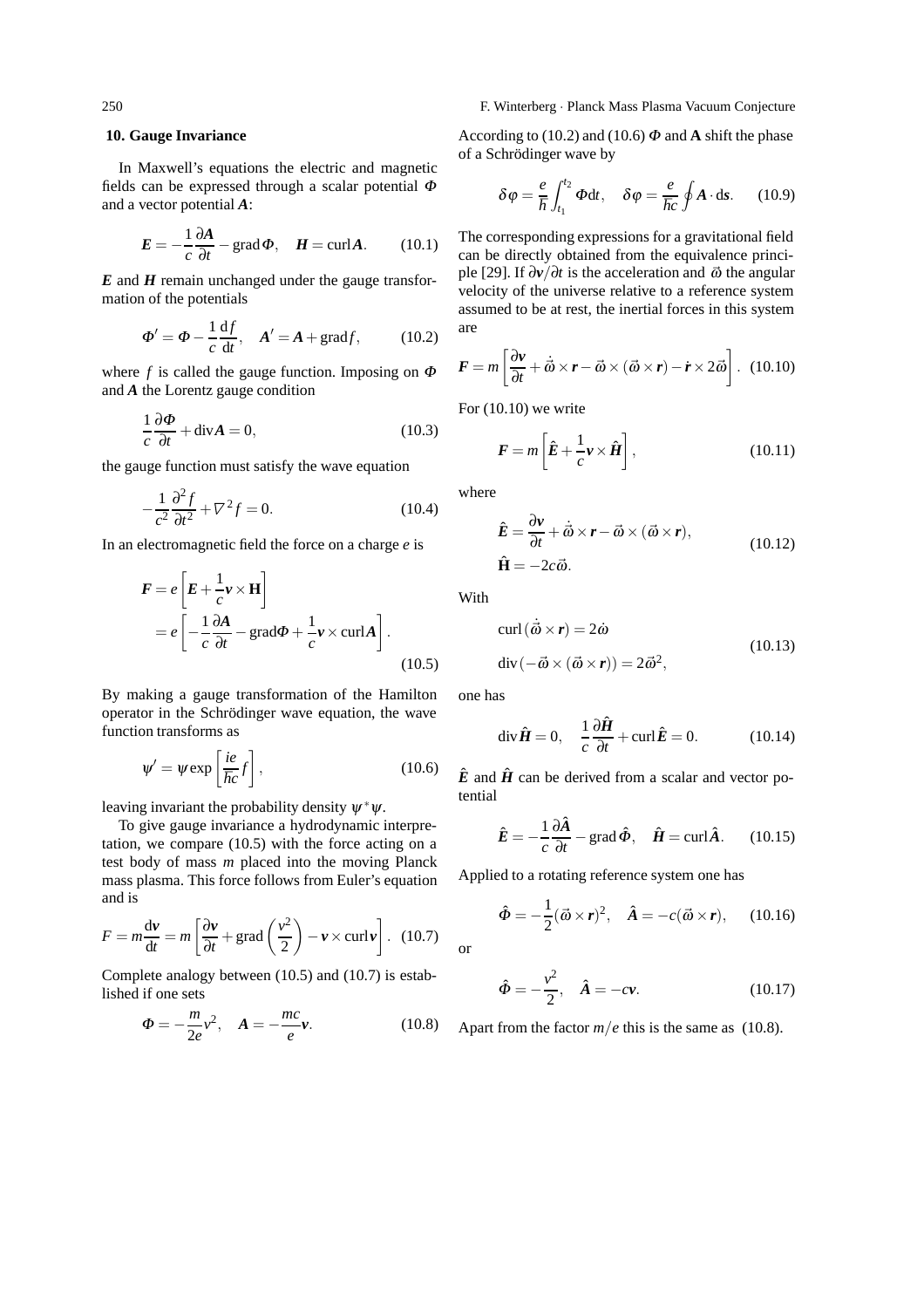### **10. Gauge Invariance**

In Maxwell's equations the electric and magnetic fields can be expressed through a scalar potential <sup>Φ</sup> and a vector potential *A*:

$$
E = -\frac{1}{c}\frac{\partial A}{\partial t} - \text{grad}\,\Phi, \quad H = \text{curl}A. \quad (10.1)
$$

*E* and *H* remain unchanged under the gauge transformation of the potentials

$$
\Phi' = \Phi - \frac{1}{c} \frac{df}{dt}, \quad A' = A + \text{grad}f, \quad (10.2)
$$

where  $f$  is called the gauge function. Imposing on  $\Phi$ and *A* the Lorentz gauge condition

$$
\frac{1}{c}\frac{\partial\Phi}{\partial t} + \text{div}A = 0,\tag{10.3}
$$

the gauge function must satisfy the wave equation

$$
-\frac{1}{c^2}\frac{\partial^2 f}{\partial t^2} + \nabla^2 f = 0.
$$
 (10.4)

In an electromagnetic field the force on a charge *e* is

$$
\mathbf{F} = e \left[ \mathbf{E} + \frac{1}{c} \mathbf{v} \times \mathbf{H} \right]
$$
  
=  $e \left[ -\frac{1}{c} \frac{\partial A}{\partial t} - \text{grad} \Phi + \frac{1}{c} \mathbf{v} \times \text{curl} A \right].$  (10.5)

By making a gauge transformation of the Hamilton operator in the Schrödinger wave equation, the wave function transforms as

$$
\psi' = \psi \exp\left[\frac{ie}{\hbar c}f\right],\tag{10.6}
$$

leaving invariant the probability density  $\psi^* \psi$ .

To give gauge invariance a hydrodynamic interpretation, we compare (10.5) with the force acting on a test body of mass *m* placed into the moving Planck mass plasma. This force follows from Euler's equation and is

$$
F = m\frac{\mathrm{d}\mathbf{v}}{\mathrm{d}t} = m\left[\frac{\partial \mathbf{v}}{\partial t} + \text{grad}\left(\frac{v^2}{2}\right) - \mathbf{v} \times \text{curl}\,\mathbf{v}\right].\tag{10.7}
$$

Complete analogy between (10.5) and (10.7) is established if one sets

$$
\Phi = -\frac{m}{2e}v^2, \quad A = -\frac{mc}{e}\nu.
$$
 (10.8)

250 F. Winterberg · Planck Mass Plasma Vacuum Conjecture

According to (10.2) and (10.6)  $\Phi$  and **A** shift the phase of a Schrödinger wave by

$$
\delta \varphi = \frac{e}{\hbar} \int_{t_1}^{t_2} \Phi dt, \quad \delta \varphi = \frac{e}{\hbar c} \oint A \cdot ds. \quad (10.9)
$$

The corresponding expressions for a gravitational field can be directly obtained from the equivalence principle [29]. If  $\partial v / \partial t$  is the acceleration and  $\vec{\omega}$  the angular velocity of the universe relative to a reference system assumed to be at rest, the inertial forces in this system are

$$
\boldsymbol{F} = m \left[ \frac{\partial \boldsymbol{v}}{\partial t} + \dot{\vec{\omega}} \times \boldsymbol{r} - \vec{\omega} \times (\vec{\omega} \times \boldsymbol{r}) - \dot{\boldsymbol{r}} \times 2\vec{\omega} \right]. \tag{10.10}
$$

For (10.10) we write

$$
\boldsymbol{F} = m \left[ \hat{\boldsymbol{E}} + \frac{1}{c} \boldsymbol{v} \times \hat{\boldsymbol{H}} \right],
$$
 (10.11)

where

$$
\hat{E} = \frac{\partial v}{\partial t} + \dot{\vec{\omega}} \times r - \vec{\omega} \times (\vec{\omega} \times r),
$$
  
\n
$$
\hat{H} = -2c\vec{\omega}.
$$
\n(10.12)

With

curl 
$$
(\vec{\omega} \times \mathbf{r}) = 2\vec{\omega}
$$
  
div  $(-\vec{\omega} \times (\vec{\omega} \times \mathbf{r})) = 2\vec{\omega}^2$ , (10.13)

one has

$$
\operatorname{div}\hat{H} = 0, \quad \frac{1}{c}\frac{\partial \hat{H}}{\partial t} + \operatorname{curl}\hat{E} = 0. \tag{10.14}
$$

 $\hat{E}$  and  $\hat{H}$  can be derived from a scalar and vector potential

$$
\hat{E} = -\frac{1}{c} \frac{\partial \hat{A}}{\partial t} - \text{grad} \,\hat{\Phi}, \quad \hat{H} = \text{curl} \hat{A}. \quad (10.15)
$$

Applied to a rotating reference system one has

$$
\hat{\Phi} = -\frac{1}{2}(\vec{\omega} \times \vec{r})^2, \quad \hat{A} = -c(\vec{\omega} \times \vec{r}), \quad (10.16)
$$

or

$$
\hat{\Phi} = -\frac{v^2}{2}, \quad \hat{A} = -cv.
$$
 (10.17)

Apart from the factor  $m/e$  this is the same as (10.8).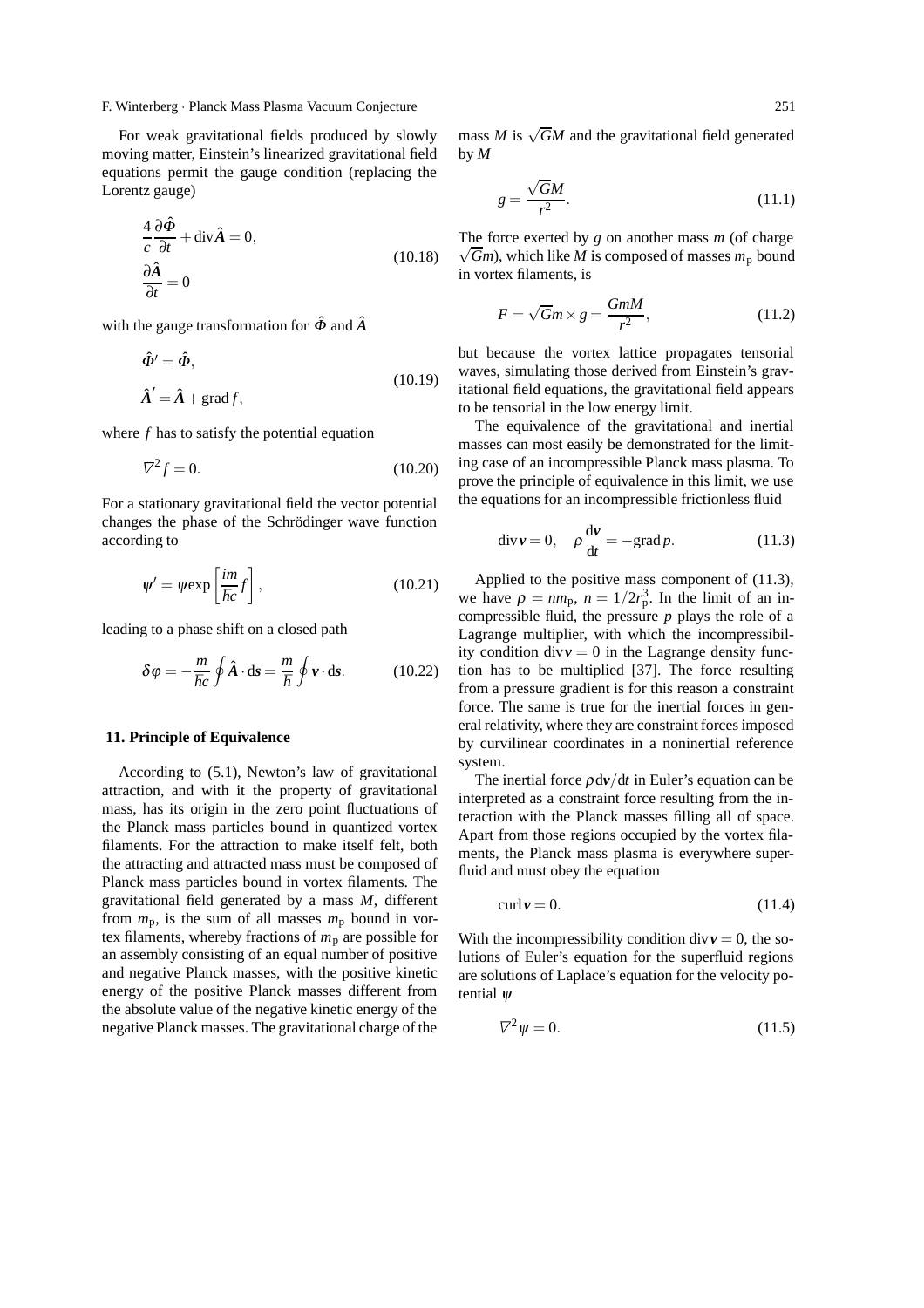For weak gravitational fields produced by slowly moving matter, Einstein's linearized gravitational field equations permit the gauge condition (replacing the Lorentz gauge)

$$
\frac{4}{c}\frac{\partial \hat{\Phi}}{\partial t} + \text{div}\hat{A} = 0,
$$
  

$$
\frac{\partial \hat{A}}{\partial t} = 0
$$
 (10.18)

with the gauge transformation for  $\hat{\Phi}$  and  $\hat{A}$ 

$$
\hat{\Phi}' = \hat{\Phi},
$$
  
\n
$$
\hat{A}' = \hat{A} + \text{grad } f,
$$
\n(10.19)

where *f* has to satisfy the potential equation

$$
\nabla^2 f = 0. \tag{10.20}
$$

For a stationary gravitational field the vector potential changes the phase of the Schrödinger wave function according to

$$
\psi' = \psi \exp\left[\frac{im}{\hbar c}f\right],\tag{10.21}
$$

leading to a phase shift on a closed path

$$
\delta \varphi = -\frac{m}{\hbar c} \oint \hat{A} \cdot ds = -\frac{m}{\hbar} \oint \mathbf{v} \cdot ds. \quad (10.22)
$$

### **11. Principle of Equivalence**

According to (5.1), Newton's law of gravitational attraction, and with it the property of gravitational mass, has its origin in the zero point fluctuations of the Planck mass particles bound in quantized vortex filaments. For the attraction to make itself felt, both the attracting and attracted mass must be composed of Planck mass particles bound in vortex filaments. The gravitational field generated by a mass *M*, different from  $m_p$ , is the sum of all masses  $m_p$  bound in vortex filaments, whereby fractions of  $m_p$  are possible for an assembly consisting of an equal number of positive and negative Planck masses, with the positive kinetic energy of the positive Planck masses different from the absolute value of the negative kinetic energy of the negative Planck masses. The gravitational charge of the

mass *M* is  $\sqrt{GM}$  and the gravitational field generated by *M*

$$
g = \frac{\sqrt{GM}}{r^2}.\tag{11.1}
$$

The force exerted by *g* on another mass *m* (of charge  $\sqrt{Gm}$ , which like *M* is composed of masses  $m_p$  bound in vortex filaments, is

$$
F = \sqrt{G}m \times g = \frac{GmM}{r^2},\tag{11.2}
$$

but because the vortex lattice propagates tensorial waves, simulating those derived from Einstein's gravitational field equations, the gravitational field appears to be tensorial in the low energy limit.

The equivalence of the gravitational and inertial masses can most easily be demonstrated for the limiting case of an incompressible Planck mass plasma. To prove the principle of equivalence in this limit, we use the equations for an incompressible frictionless fluid

$$
\operatorname{div} \mathbf{v} = 0, \quad \rho \frac{\mathrm{d}\mathbf{v}}{\mathrm{d}t} = -\operatorname{grad} p. \tag{11.3}
$$

Applied to the positive mass component of (11.3), we have  $\rho = nm_p$ ,  $n = 1/2r_p^3$ . In the limit of an incompressible fluid, the pressure *p* plays the role of a Lagrange multiplier, with which the incompressibility condition div $v = 0$  in the Lagrange density function has to be multiplied [37]. The force resulting from a pressure gradient is for this reason a constraint force. The same is true for the inertial forces in general relativity, where they are constraint forces imposed by curvilinear coordinates in a noninertial reference system.

The inertial force ρd*v*/d*t* in Euler's equation can be interpreted as a constraint force resulting from the interaction with the Planck masses filling all of space. Apart from those regions occupied by the vortex filaments, the Planck mass plasma is everywhere superfluid and must obey the equation

$$
\operatorname{curl} \mathbf{v} = 0. \tag{11.4}
$$

With the incompressibility condition div  $v = 0$ , the solutions of Euler's equation for the superfluid regions are solutions of Laplace's equation for the velocity potential  $\psi$ 

$$
\nabla^2 \psi = 0. \tag{11.5}
$$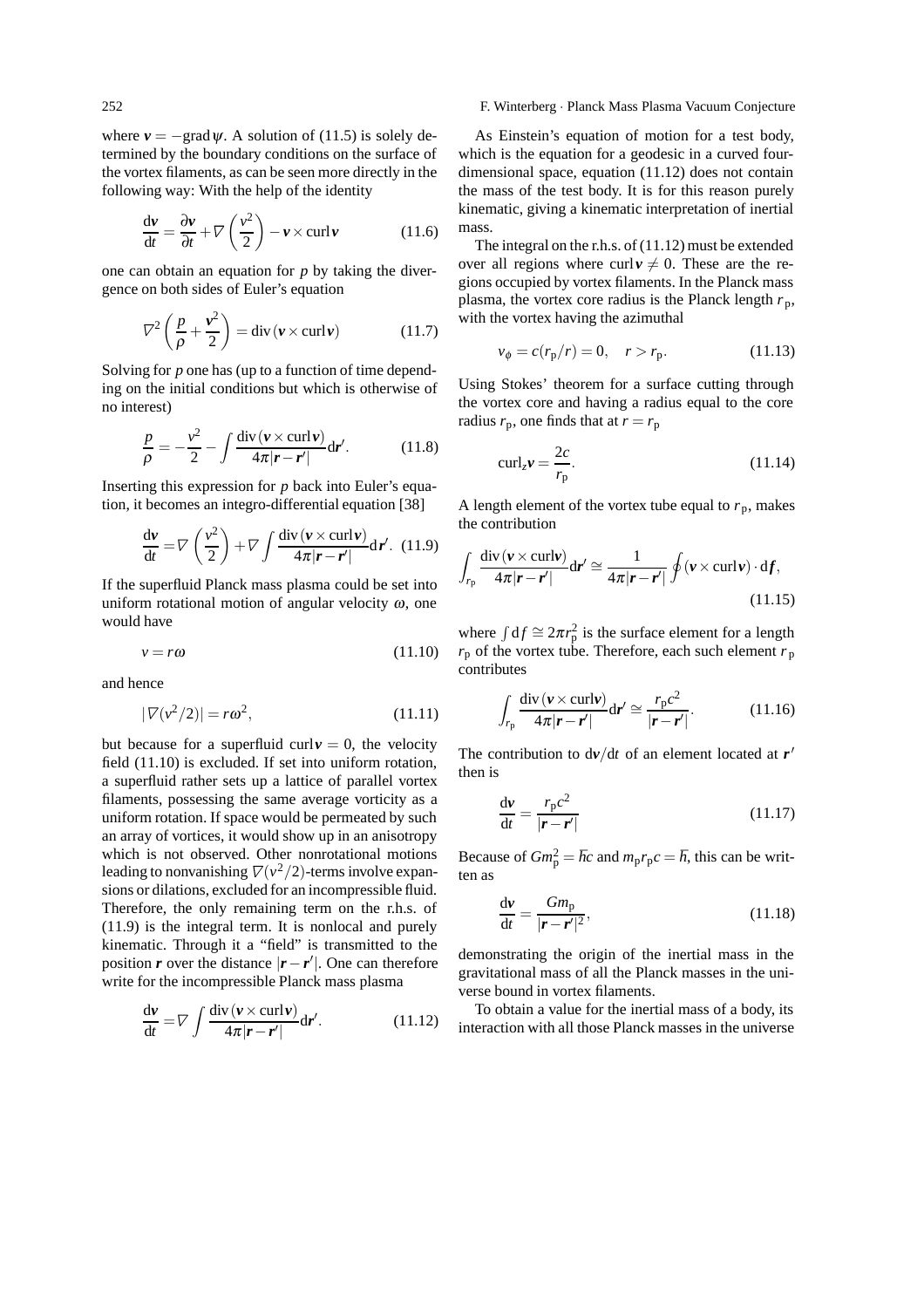where  $v = -\text{grad }\psi$ . A solution of (11.5) is solely determined by the boundary conditions on the surface of the vortex filaments, as can be seen more directly in the following way: With the help of the identity

$$
\frac{d\mathbf{v}}{dt} = \frac{\partial \mathbf{v}}{\partial t} + \nabla \left(\frac{v^2}{2}\right) - \mathbf{v} \times \text{curl}\,\mathbf{v}
$$
 (11.6)

one can obtain an equation for *p* by taking the divergence on both sides of Euler's equation

$$
\nabla^2 \left( \frac{p}{\rho} + \frac{\mathbf{v}^2}{2} \right) = \text{div} \left( \mathbf{v} \times \text{curl} \mathbf{v} \right) \tag{11.7}
$$

Solving for *p* one has (up to a function of time depending on the initial conditions but which is otherwise of no interest)

$$
\frac{p}{\rho} = -\frac{v^2}{2} - \int \frac{\text{div}\left(\mathbf{v} \times \text{curl}\mathbf{v}\right)}{4\pi|\mathbf{r} - \mathbf{r}'|} \text{d}\mathbf{r}'.\tag{11.8}
$$

Inserting this expression for *p* back into Euler's equation, it becomes an integro-differential equation [38]

$$
\frac{\mathrm{d}\mathbf{v}}{\mathrm{d}t} = \nabla \left(\frac{v^2}{2}\right) + \nabla \int \frac{\mathrm{div}\left(\mathbf{v} \times \mathrm{curl}\,\mathbf{v}\right)}{4\pi|\mathbf{r} - \mathbf{r}'|} \mathrm{d}\mathbf{r}'. \tag{11.9}
$$

If the superfluid Planck mass plasma could be set into uniform rotational motion of angular velocity  $\omega$ , one would have

$$
v = r\omega \tag{11.10}
$$

and hence

$$
|\nabla(v^2/2)| = r\omega^2,\tag{11.11}
$$

but because for a superfluid curl $v = 0$ , the velocity field (11.10) is excluded. If set into uniform rotation, a superfluid rather sets up a lattice of parallel vortex filaments, possessing the same average vorticity as a uniform rotation. If space would be permeated by such an array of vortices, it would show up in an anisotropy which is not observed. Other nonrotational motions leading to nonvanishing  $\nabla(v^2/2)$ -terms involve expansions or dilations, excluded for an incompressible fluid. Therefore, the only remaining term on the r.h.s. of (11.9) is the integral term. It is nonlocal and purely kinematic. Through it a "field" is transmitted to the position *r* over the distance  $|r - r'|$ . One can therefore write for the incompressible Planck mass plasma

$$
\frac{\mathrm{d}\mathbf{v}}{\mathrm{d}t} = \nabla \int \frac{\mathrm{div}\left(\mathbf{v} \times \mathrm{curl}\,\mathbf{v}\right)}{4\pi|\mathbf{r} - \mathbf{r}'|} \mathrm{d}\mathbf{r}'.\tag{11.12}
$$

252 F. Winterberg · Planck Mass Plasma Vacuum Conjecture

As Einstein's equation of motion for a test body, which is the equation for a geodesic in a curved fourdimensional space, equation (11.12) does not contain the mass of the test body. It is for this reason purely kinematic, giving a kinematic interpretation of inertial mass.

The integral on the r.h.s. of (11.12) must be extended over all regions where curl $v \neq 0$ . These are the regions occupied by vortex filaments. In the Planck mass plasma, the vortex core radius is the Planck length  $r_p$ , with the vortex having the azimuthal

$$
v_{\phi} = c(r_{\rm p}/r) = 0, \quad r > r_{\rm p}.
$$
 (11.13)

Using Stokes' theorem for a surface cutting through the vortex core and having a radius equal to the core radius  $r_p$ , one finds that at  $r = r_p$ 

$$
\operatorname{curl}_z \mathbf{v} = \frac{2c}{r_p}.\tag{11.14}
$$

A length element of the vortex tube equal to  $r_p$ , makes the contribution

$$
\int_{r_{\rm p}} \frac{\text{div}\,(\mathbf{v} \times \text{curl}\mathbf{v})}{4\pi |\mathbf{r} - \mathbf{r}'|} d\mathbf{r}' \cong \frac{1}{4\pi |\mathbf{r} - \mathbf{r}'|} \oint (\mathbf{v} \times \text{curl}\,\mathbf{v}) \cdot d\mathbf{f},\tag{11.15}
$$

where  $\int df \cong 2\pi r_p^2$  is the surface element for a length  $r_p$  of the vortex tube. Therefore, each such element  $r_p$ contributes

$$
\int_{r_{\rm p}} \frac{\text{div}\,(\mathbf{v} \times \text{curl}\mathbf{v})}{4\pi |\mathbf{r} - \mathbf{r}'|} \text{d}\mathbf{r}' \cong \frac{r_{\rm p}c^2}{|\mathbf{r} - \mathbf{r}'|}. \tag{11.16}
$$

The contribution to  $\frac{dv}{dt}$  of an element located at  $r'$ then is

$$
\frac{\mathrm{d}\mathbf{v}}{\mathrm{d}t} = \frac{r_{\mathrm{p}}c^2}{|\mathbf{r} - \mathbf{r}'|} \tag{11.17}
$$

Because of  $Gm_p^2 = \hbar c$  and  $m_p r_p c = \hbar$ , this can be written as

$$
\frac{\mathrm{d}v}{\mathrm{d}t} = \frac{Gm_{\mathrm{p}}}{|\mathbf{r} - \mathbf{r}'|^2},\tag{11.18}
$$

demonstrating the origin of the inertial mass in the gravitational mass of all the Planck masses in the universe bound in vortex filaments.

To obtain a value for the inertial mass of a body, its interaction with all those Planck masses in the universe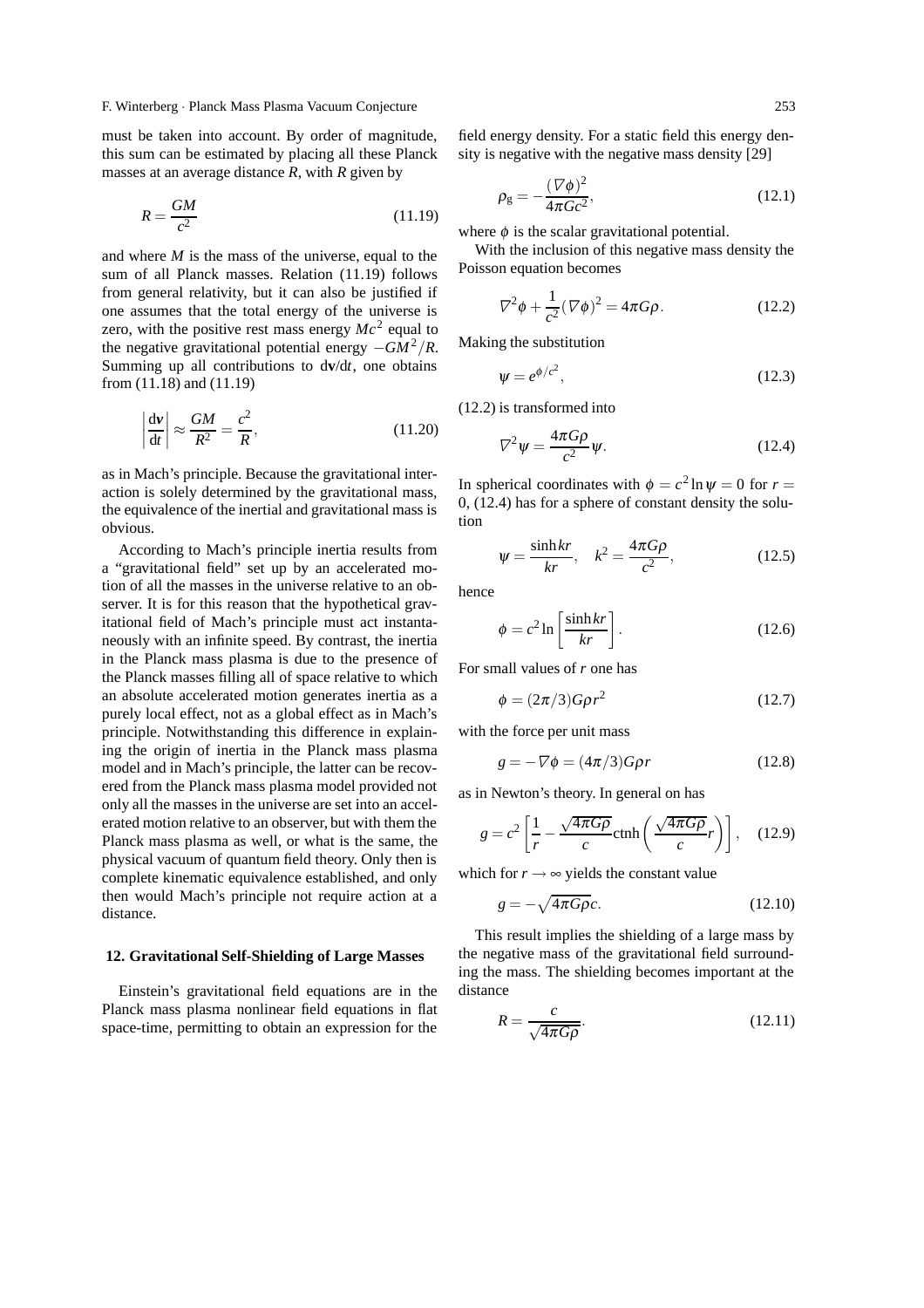must be taken into account. By order of magnitude, this sum can be estimated by placing all these Planck masses at an average distance *R*, with *R* given by

$$
R = \frac{GM}{c^2} \tag{11.19}
$$

and where *M* is the mass of the universe, equal to the sum of all Planck masses. Relation (11.19) follows from general relativity, but it can also be justified if one assumes that the total energy of the universe is zero, with the positive rest mass energy  $Mc^2$  equal to the negative gravitational potential energy −*GM*2/*R*. Summing up all contributions to d**v**/d*t*, one obtains from (11.18) and (11.19)

$$
\left|\frac{\mathrm{d}\nu}{\mathrm{d}t}\right| \approx \frac{GM}{R^2} = \frac{c^2}{R},\tag{11.20}
$$

as in Mach's principle. Because the gravitational interaction is solely determined by the gravitational mass, the equivalence of the inertial and gravitational mass is obvious.

According to Mach's principle inertia results from a "gravitational field" set up by an accelerated motion of all the masses in the universe relative to an observer. It is for this reason that the hypothetical gravitational field of Mach's principle must act instantaneously with an infinite speed. By contrast, the inertia in the Planck mass plasma is due to the presence of the Planck masses filling all of space relative to which an absolute accelerated motion generates inertia as a purely local effect, not as a global effect as in Mach's principle. Notwithstanding this difference in explaining the origin of inertia in the Planck mass plasma model and in Mach's principle, the latter can be recovered from the Planck mass plasma model provided not only all the masses in the universe are set into an accelerated motion relative to an observer, but with them the Planck mass plasma as well, or what is the same, the physical vacuum of quantum field theory. Only then is complete kinematic equivalence established, and only then would Mach's principle not require action at a distance.

## **12. Gravitational Self-Shielding of Large Masses**

Einstein's gravitational field equations are in the Planck mass plasma nonlinear field equations in flat space-time, permitting to obtain an expression for the

field energy density. For a static field this energy density is negative with the negative mass density [29]

$$
\rho_{\rm g} = -\frac{(\nabla \phi)^2}{4\pi G c^2},\tag{12.1}
$$

where  $\phi$  is the scalar gravitational potential.

With the inclusion of this negative mass density the Poisson equation becomes

$$
\nabla^2 \phi + \frac{1}{c^2} (\nabla \phi)^2 = 4\pi G \rho.
$$
 (12.2)

Making the substitution

$$
\psi = e^{\phi/c^2},\tag{12.3}
$$

(12.2) is transformed into

$$
\nabla^2 \psi = \frac{4\pi G\rho}{c^2} \psi.
$$
 (12.4)

In spherical coordinates with  $\phi = c^2 \ln \psi = 0$  for  $r =$ 0, (12.4) has for a sphere of constant density the solution

$$
\psi = \frac{\sinh kr}{kr}, \quad k^2 = \frac{4\pi G\rho}{c^2},\tag{12.5}
$$

hence

$$
\phi = c^2 \ln \left[ \frac{\sinh kr}{kr} \right].
$$
 (12.6)

For small values of *r* one has

$$
\phi = (2\pi/3)G\rho r^2 \tag{12.7}
$$

with the force per unit mass

$$
g = -\nabla \phi = (4\pi/3)G\rho r \tag{12.8}
$$

as in Newton's theory. In general on has

$$
g = c^2 \left[ \frac{1}{r} - \frac{\sqrt{4\pi G\rho}}{c} \text{ctnh}\left(\frac{\sqrt{4\pi G\rho}}{c}r\right) \right], \quad (12.9)
$$

which for  $r \rightarrow \infty$  yields the constant value

$$
g = -\sqrt{4\pi G\rho}c.\tag{12.10}
$$

This result implies the shielding of a large mass by the negative mass of the gravitational field surrounding the mass. The shielding becomes important at the distance

$$
R = \frac{c}{\sqrt{4\pi G\rho}}.\tag{12.11}
$$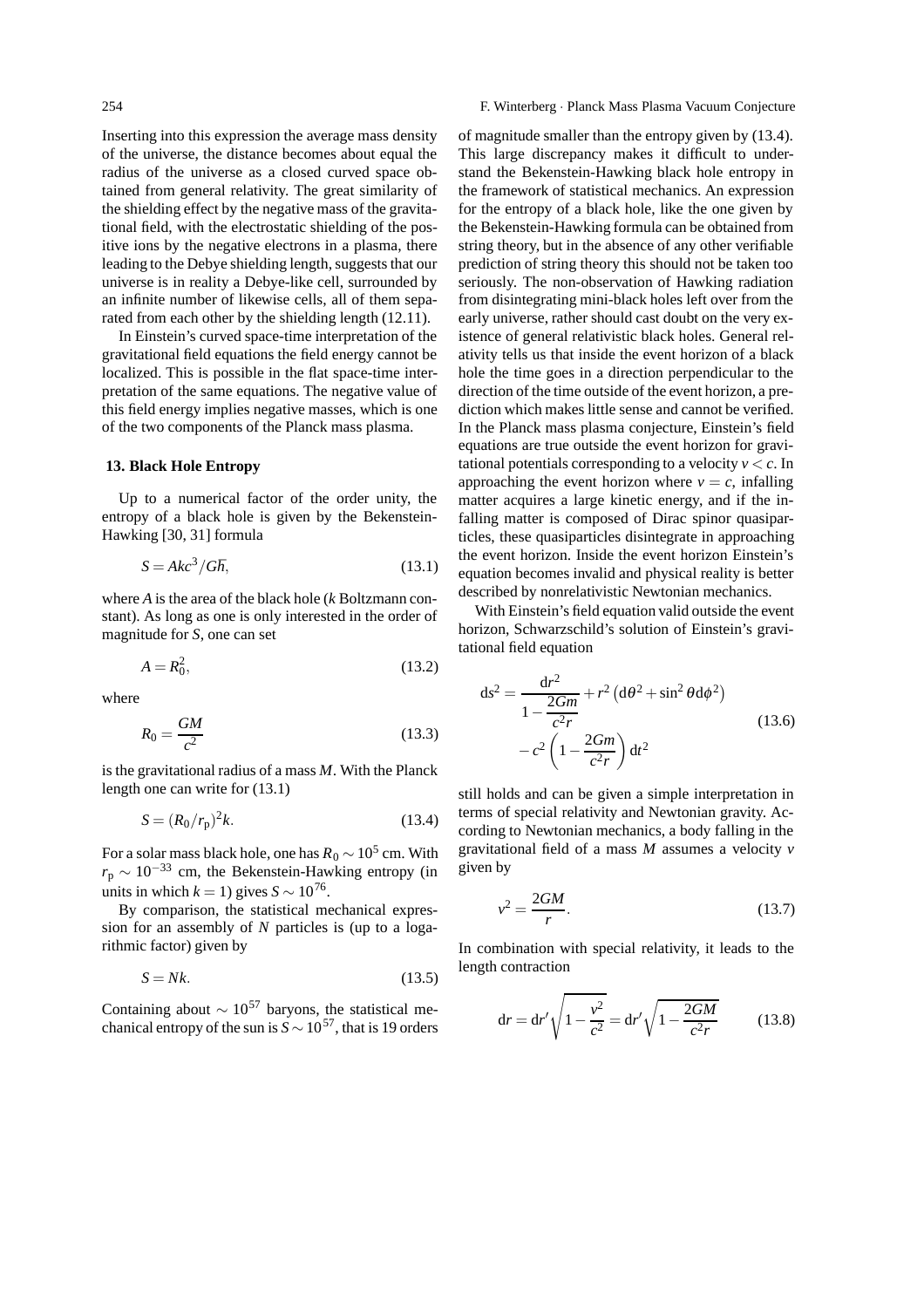Inserting into this expression the average mass density of the universe, the distance becomes about equal the radius of the universe as a closed curved space obtained from general relativity. The great similarity of the shielding effect by the negative mass of the gravitational field, with the electrostatic shielding of the positive ions by the negative electrons in a plasma, there leading to the Debye shielding length, suggests that our universe is in reality a Debye-like cell, surrounded by an infinite number of likewise cells, all of them separated from each other by the shielding length (12.11).

In Einstein's curved space-time interpretation of the gravitational field equations the field energy cannot be localized. This is possible in the flat space-time interpretation of the same equations. The negative value of this field energy implies negative masses, which is one of the two components of the Planck mass plasma.

## **13. Black Hole Entropy**

Up to a numerical factor of the order unity, the entropy of a black hole is given by the Bekenstein-Hawking [30, 31] formula

$$
S = Akc^3/G\hbar,
$$
 (13.1)

where *A* is the area of the black hole (*k* Boltzmann constant). As long as one is only interested in the order of magnitude for *S*, one can set

$$
A = R_0^2,\tag{13.2}
$$

where

$$
R_0 = \frac{GM}{c^2} \tag{13.3}
$$

is the gravitational radius of a mass *M*. With the Planck length one can write for (13.1)

$$
S = (R_0/r_p)^2 k. \tag{13.4}
$$

For a solar mass black hole, one has  $R_0 \sim 10^5$  cm. With  $r_p \sim 10^{-33}$  cm, the Bekenstein-Hawking entropy (in units in which  $k = 1$ ) gives  $S \sim 10^{76}$ .

By comparison, the statistical mechanical expression for an assembly of *N* particles is (up to a logarithmic factor) given by

$$
S = Nk.\tag{13.5}
$$

Containing about  $\sim 10^{57}$  baryons, the statistical mechanical entropy of the sun is  $S \sim 10^{57}$ , that is 19 orders

of magnitude smaller than the entropy given by (13.4). This large discrepancy makes it difficult to understand the Bekenstein-Hawking black hole entropy in the framework of statistical mechanics. An expression for the entropy of a black hole, like the one given by the Bekenstein-Hawking formula can be obtained from string theory, but in the absence of any other verifiable prediction of string theory this should not be taken too seriously. The non-observation of Hawking radiation from disintegrating mini-black holes left over from the early universe, rather should cast doubt on the very existence of general relativistic black holes. General relativity tells us that inside the event horizon of a black hole the time goes in a direction perpendicular to the direction of the time outside of the event horizon, a prediction which makes little sense and cannot be verified. In the Planck mass plasma conjecture, Einstein's field equations are true outside the event horizon for gravitational potentials corresponding to a velocity  $v < c$ . In approaching the event horizon where  $v = c$ , infalling matter acquires a large kinetic energy, and if the infalling matter is composed of Dirac spinor quasiparticles, these quasiparticles disintegrate in approaching the event horizon. Inside the event horizon Einstein's equation becomes invalid and physical reality is better described by nonrelativistic Newtonian mechanics.

With Einstein's field equation valid outside the event horizon, Schwarzschild's solution of Einstein's gravitational field equation

$$
ds^{2} = \frac{dr^{2}}{1 - \frac{2Gm}{c^{2}r}} + r^{2} (d\theta^{2} + \sin^{2} \theta d\phi^{2})
$$
  
-  $c^{2} \left(1 - \frac{2Gm}{c^{2}r}\right) dt^{2}$  (13.6)

still holds and can be given a simple interpretation in terms of special relativity and Newtonian gravity. According to Newtonian mechanics, a body falling in the gravitational field of a mass *M* assumes a velocity *v* given by

$$
v^2 = \frac{2GM}{r}.\tag{13.7}
$$

In combination with special relativity, it leads to the length contraction

$$
dr = dr' \sqrt{1 - \frac{v^2}{c^2}} = dr' \sqrt{1 - \frac{2GM}{c^2 r}}
$$
 (13.8)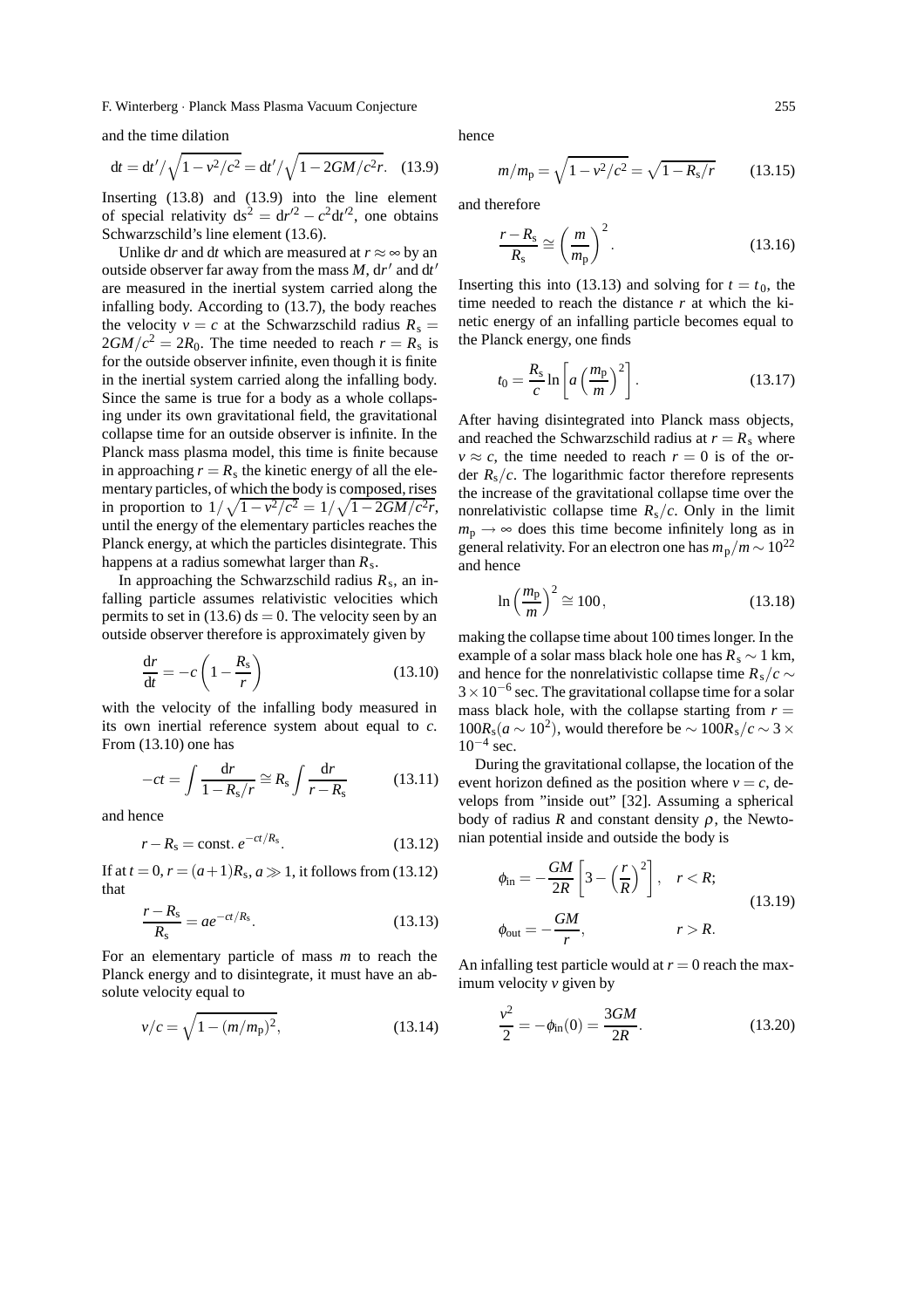and the time dilation

$$
dt = dt'/\sqrt{1 - v^2/c^2} = dt'/\sqrt{1 - 2GM/c^2r}.
$$
 (13.9)

Inserting (13.8) and (13.9) into the line element of special relativity  $ds^2 = dr'^2 - c^2 dt'^2$ , one obtains Schwarzschild's line element (13.6).

Unlike dr and dt which are measured at  $r \approx \infty$  by an outside observer far away from the mass  $M$ ,  $dr'$  and  $dt'$ are measured in the inertial system carried along the infalling body. According to (13.7), the body reaches the velocity  $v = c$  at the Schwarzschild radius  $R_s =$  $2GM/c^2 = 2R_0$ . The time needed to reach  $r = R_s$  is for the outside observer infinite, even though it is finite in the inertial system carried along the infalling body. Since the same is true for a body as a whole collapsing under its own gravitational field, the gravitational collapse time for an outside observer is infinite. In the Planck mass plasma model, this time is finite because in approaching  $r = R_s$  the kinetic energy of all the elementary particles, of which the body is composed, rises in proportion to  $1/\sqrt{1-v^2/c^2} = 1/\sqrt{1-2GM/c^2r}$ , until the energy of the elementary particles reaches the Planck energy, at which the particles disintegrate. This happens at a radius somewhat larger than *R*s.

In approaching the Schwarzschild radius  $R_s$ , an infalling particle assumes relativistic velocities which permits to set in (13.6)  $ds = 0$ . The velocity seen by an outside observer therefore is approximately given by

$$
\frac{\mathrm{d}r}{\mathrm{d}t} = -c \left( 1 - \frac{R_{\rm s}}{r} \right) \tag{13.10}
$$

with the velocity of the infalling body measured in its own inertial reference system about equal to *c*. From (13.10) one has

$$
-ct = \int \frac{\mathrm{d}r}{1 - R_{\rm s}/r} \simeq R_{\rm s} \int \frac{\mathrm{d}r}{r - R_{\rm s}} \tag{13.11}
$$

and hence

$$
r - R_s = \text{const. } e^{-ct/R_s}.
$$
 (13.12)

If at  $t = 0$ ,  $r = (a+1)R_s$ ,  $a \gg 1$ , it follows from (13.12) that

$$
\frac{r - R_{\rm s}}{R_{\rm s}} = a e^{-ct/R_{\rm s}}.\tag{13.13}
$$

For an elementary particle of mass *m* to reach the Planck energy and to disintegrate, it must have an absolute velocity equal to

$$
v/c = \sqrt{1 - (m/m_{\rm p})^2},\tag{13.14}
$$

hence

$$
m/m_{\rm p} = \sqrt{1 - v^2/c^2} = \sqrt{1 - R_{\rm s}/r}
$$
 (13.15)

and therefore

$$
\frac{r - R_{\rm s}}{R_{\rm s}} \cong \left(\frac{m}{m_{\rm p}}\right)^2.
$$
 (13.16)

Inserting this into (13.13) and solving for  $t = t_0$ , the time needed to reach the distance *r* at which the kinetic energy of an infalling particle becomes equal to the Planck energy, one finds

$$
t_0 = \frac{R_s}{c} \ln \left[ a \left( \frac{m_p}{m} \right)^2 \right].
$$
 (13.17)

After having disintegrated into Planck mass objects, and reached the Schwarzschild radius at  $r = R_s$  where  $v \approx c$ , the time needed to reach  $r = 0$  is of the order  $R_s/c$ . The logarithmic factor therefore represents the increase of the gravitational collapse time over the nonrelativistic collapse time  $R_s/c$ . Only in the limit  $m_p \rightarrow \infty$  does this time become infinitely long as in general relativity. For an electron one has  $m_p/m \sim 10^{22}$ and hence

$$
\ln\left(\frac{m_{\rm p}}{m}\right)^2 \cong 100\,,\tag{13.18}
$$

making the collapse time about 100 times longer. In the example of a solar mass black hole one has *R*<sup>s</sup> ∼ 1 km, and hence for the nonrelativistic collapse time  $R_s/c \sim$  $3 \times 10^{-6}$  sec. The gravitational collapse time for a solar mass black hole, with the collapse starting from  $r =$  $100R_s(a \sim 10^2)$ , would therefore be  $\sim 100R_s/c \sim 3 \times$  $10^{-4}$  sec.

During the gravitational collapse, the location of the event horizon defined as the position where  $v = c$ , develops from "inside out" [32]. Assuming a spherical body of radius *R* and constant density  $\rho$ , the Newtonian potential inside and outside the body is

$$
\phi_{\text{in}} = -\frac{GM}{2R} \left[ 3 - \left(\frac{r}{R}\right)^2 \right], \quad r < R; \\
\phi_{\text{out}} = -\frac{GM}{r}, \quad r > R.
$$
\n(13.19)

An infalling test particle would at  $r = 0$  reach the maximum velocity *v* given by

$$
\frac{v^2}{2} = -\phi_{\text{in}}(0) = \frac{3GM}{2R}.
$$
 (13.20)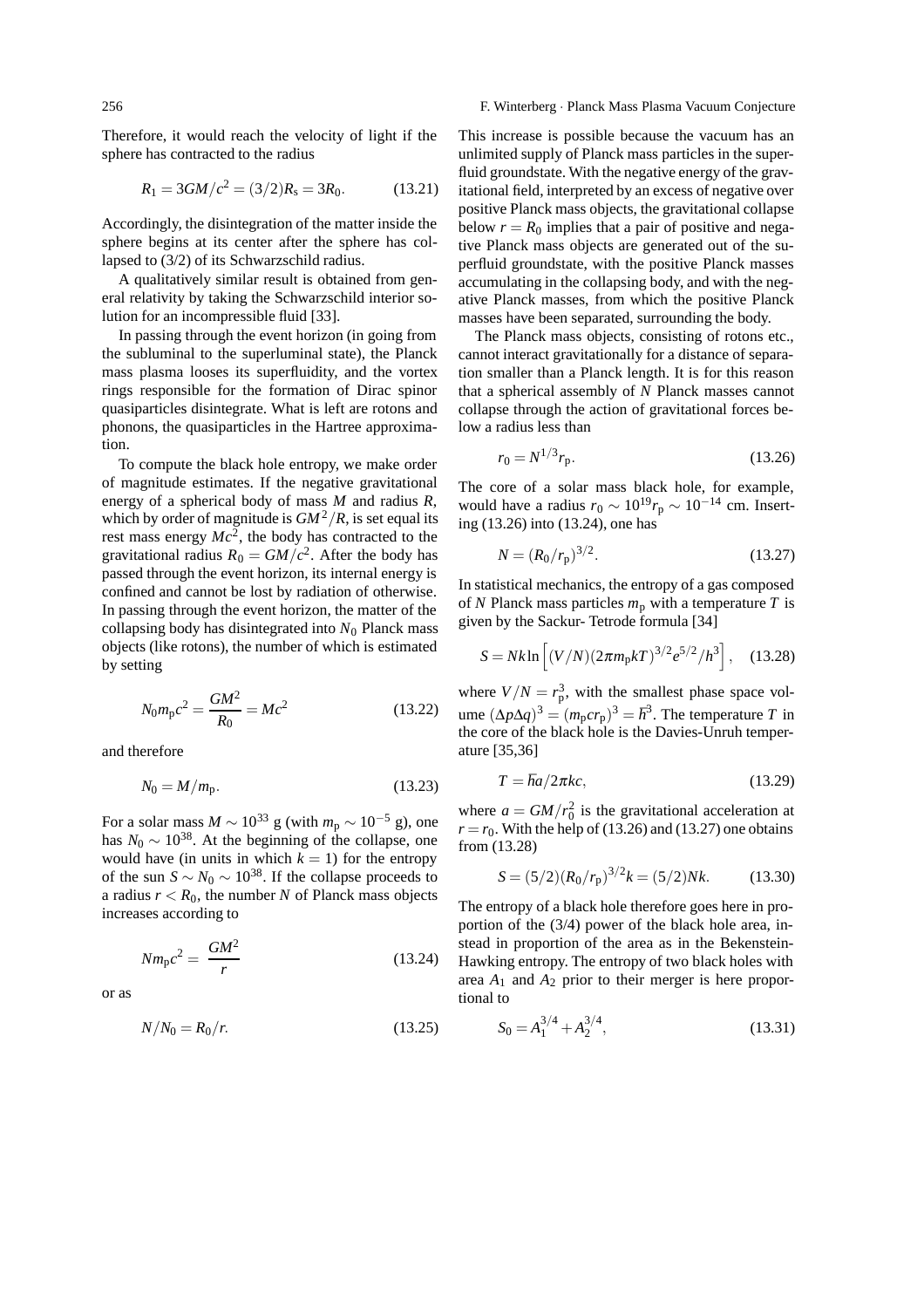Therefore, it would reach the velocity of light if the sphere has contracted to the radius

$$
R_1 = 3GM/c^2 = (3/2)R_s = 3R_0.
$$
 (13.21)

Accordingly, the disintegration of the matter inside the sphere begins at its center after the sphere has collapsed to (3/2) of its Schwarzschild radius.

A qualitatively similar result is obtained from general relativity by taking the Schwarzschild interior solution for an incompressible fluid [33].

In passing through the event horizon (in going from the subluminal to the superluminal state), the Planck mass plasma looses its superfluidity, and the vortex rings responsible for the formation of Dirac spinor quasiparticles disintegrate. What is left are rotons and phonons, the quasiparticles in the Hartree approximation.

To compute the black hole entropy, we make order of magnitude estimates. If the negative gravitational energy of a spherical body of mass *M* and radius *R*, which by order of magnitude is  $GM^2/R$ , is set equal its rest mass energy  $Mc^2$ , the body has contracted to the gravitational radius  $R_0 = GM/c^2$ . After the body has passed through the event horizon, its internal energy is confined and cannot be lost by radiation of otherwise. In passing through the event horizon, the matter of the collapsing body has disintegrated into  $N_0$  Planck mass objects (like rotons), the number of which is estimated by setting

$$
N_0 m_{\rm p} c^2 = \frac{GM^2}{R_0} = Mc^2 \tag{13.22}
$$

and therefore

$$
N_0 = M/m_p. \tag{13.23}
$$

For a solar mass  $M \sim 10^{33}$  g (with  $m_p \sim 10^{-5}$  g), one has  $N_0 \sim 10^{38}$ . At the beginning of the collapse, one would have (in units in which  $k = 1$ ) for the entropy of the sun  $S \sim N_0 \sim 10^{38}$ . If the collapse proceeds to a radius  $r < R_0$ , the number N of Planck mass objects increases according to

$$
Nm_{\rm p}c^2 = \frac{GM^2}{r} \tag{13.24}
$$

or as

$$
N/N_0 = R_0/r.
$$
 (13.25)

This increase is possible because the vacuum has an unlimited supply of Planck mass particles in the superfluid groundstate. With the negative energy of the gravitational field, interpreted by an excess of negative over positive Planck mass objects, the gravitational collapse below  $r = R_0$  implies that a pair of positive and negative Planck mass objects are generated out of the superfluid groundstate, with the positive Planck masses accumulating in the collapsing body, and with the negative Planck masses, from which the positive Planck masses have been separated, surrounding the body.

The Planck mass objects, consisting of rotons etc., cannot interact gravitationally for a distance of separation smaller than a Planck length. It is for this reason that a spherical assembly of *N* Planck masses cannot collapse through the action of gravitational forces below a radius less than

$$
r_0 = N^{1/3} r_{\rm p}.\tag{13.26}
$$

The core of a solar mass black hole, for example, would have a radius  $r_0 \sim 10^{19} r_p \sim 10^{-14}$  cm. Inserting (13.26) into (13.24), one has

$$
N = (R_0/r_p)^{3/2}.
$$
 (13.27)

In statistical mechanics, the entropy of a gas composed of *N* Planck mass particles  $m_p$  with a temperature *T* is given by the Sackur- Tetrode formula [34]

$$
S = Nk \ln \left[ (V/N)(2\pi m_p kT)^{3/2} e^{5/2} / h^3 \right], \quad (13.28)
$$

where  $V/N = r_p^3$ , with the smallest phase space volume  $(\Delta p \Delta q)^3 = (m_p c r_p)^3 = \hbar^3$ . The temperature *T* in the core of the black hole is the Davies-Unruh temperature [35,36]

$$
T = \hbar a / 2\pi k c, \qquad (13.29)
$$

where  $a = GM/r_0^2$  is the gravitational acceleration at  $r = r_0$ . With the help of (13.26) and (13.27) one obtains from (13.28)

$$
S = (5/2)(R_0/r_p)^{3/2}k = (5/2)Nk.
$$
 (13.30)

The entropy of a black hole therefore goes here in proportion of the (3/4) power of the black hole area, instead in proportion of the area as in the Bekenstein-Hawking entropy. The entropy of two black holes with area  $A_1$  and  $A_2$  prior to their merger is here proportional to

$$
S_0 = A_1^{3/4} + A_2^{3/4},\tag{13.31}
$$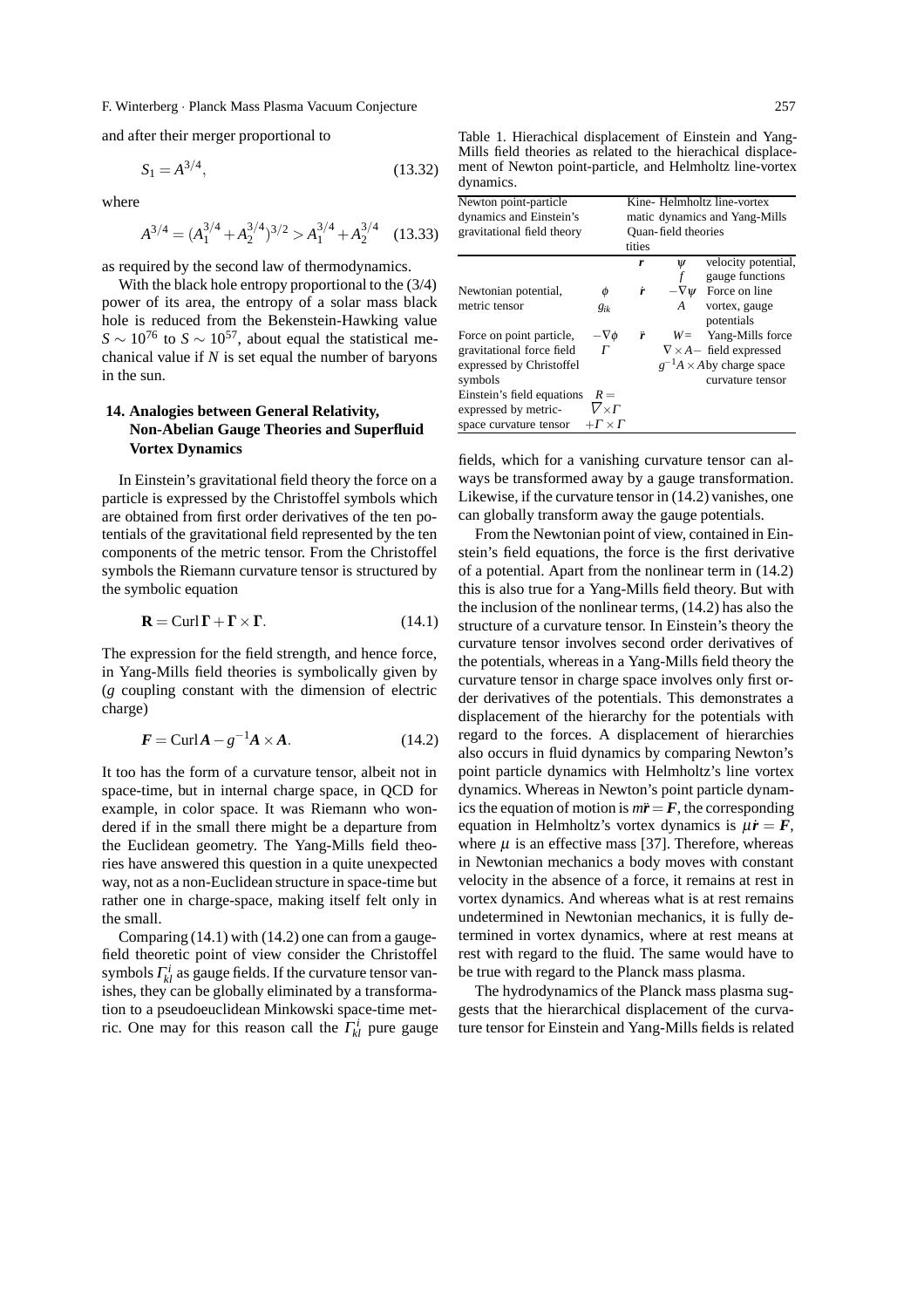and after their merger proportional to

$$
S_1 = A^{3/4},\tag{13.32}
$$

where

$$
A^{3/4} = (A_1^{3/4} + A_2^{3/4})^{3/2} > A_1^{3/4} + A_2^{3/4}
$$
 (13.33)

as required by the second law of thermodynamics.

With the black hole entropy proportional to the (3/4) power of its area, the entropy of a solar mass black hole is reduced from the Bekenstein-Hawking value  $S \sim 10^{76}$  to  $S \sim 10^{57}$ , about equal the statistical mechanical value if *N* is set equal the number of baryons in the sun.

# **14. Analogies between General Relativity, Non-Abelian Gauge Theories and Superfluid Vortex Dynamics**

In Einstein's gravitational field theory the force on a particle is expressed by the Christoffel symbols which are obtained from first order derivatives of the ten potentials of the gravitational field represented by the ten components of the metric tensor. From the Christoffel symbols the Riemann curvature tensor is structured by the symbolic equation

$$
\mathbf{R} = \text{Curl}\,\Gamma + \Gamma \times \Gamma. \tag{14.1}
$$

The expression for the field strength, and hence force, in Yang-Mills field theories is symbolically given by (*g* coupling constant with the dimension of electric charge)

$$
F = \text{Curl}A - g^{-1}A \times A. \tag{14.2}
$$

It too has the form of a curvature tensor, albeit not in space-time, but in internal charge space, in QCD for example, in color space. It was Riemann who wondered if in the small there might be a departure from the Euclidean geometry. The Yang-Mills field theories have answered this question in a quite unexpected way, not as a non-Euclidean structure in space-time but rather one in charge-space, making itself felt only in the small.

Comparing (14.1) with (14.2) one can from a gaugefield theoretic point of view consider the Christoffel symbols  $\Gamma_{kl}^i$  as gauge fields. If the curvature tensor vanishes, they can be globally eliminated by a transformation to a pseudoeuclidean Minkowski space-time metric. One may for this reason call the  $\Gamma_{kl}^{i}$  pure gauge

Table 1. Hierachical displacement of Einstein and Yang-Mills field theories as related to the hierachical displacement of Newton point-particle, and Helmholtz line-vortex dynamics.

| Newton point-particle<br>dynamics and Einstein's |                         | Kine-Helmholtz line-vortex<br>matic dynamics and Yang-Mills |   |                                    |  |
|--------------------------------------------------|-------------------------|-------------------------------------------------------------|---|------------------------------------|--|
| gravitational field theory                       |                         | <b>Ouan-field theories</b>                                  |   |                                    |  |
|                                                  |                         | tities                                                      |   |                                    |  |
|                                                  |                         | r                                                           | W | velocity potential,                |  |
|                                                  |                         |                                                             |   | gauge functions                    |  |
| Newtonian potential,                             | Φ                       | ŕ                                                           |   | $-\nabla \psi$ Force on line       |  |
| metric tensor                                    | gik                     |                                                             | A | vortex, gauge                      |  |
|                                                  |                         |                                                             |   | potentials                         |  |
| Force on point particle,                         | $-\nabla\phi$           | ï                                                           |   | $W =$ Yang-Mills force             |  |
| gravitational force field                        | $\Gamma$                |                                                             |   | $\nabla \times A$ field expressed  |  |
| expressed by Christoffel                         |                         |                                                             |   | $g^{-1}A \times A$ by charge space |  |
| symbols                                          |                         |                                                             |   | curvature tensor                   |  |
| Einstein's field equations                       | $R =$                   |                                                             |   |                                    |  |
| expressed by metric-                             | $\nabla \times \Gamma$  |                                                             |   |                                    |  |
| space curvature tensor                           | $+\Gamma \times \Gamma$ |                                                             |   |                                    |  |

fields, which for a vanishing curvature tensor can always be transformed away by a gauge transformation. Likewise, if the curvature tensor in (14.2) vanishes, one can globally transform away the gauge potentials.

From the Newtonian point of view, contained in Einstein's field equations, the force is the first derivative of a potential. Apart from the nonlinear term in (14.2) this is also true for a Yang-Mills field theory. But with the inclusion of the nonlinear terms, (14.2) has also the structure of a curvature tensor. In Einstein's theory the curvature tensor involves second order derivatives of the potentials, whereas in a Yang-Mills field theory the curvature tensor in charge space involves only first order derivatives of the potentials. This demonstrates a displacement of the hierarchy for the potentials with regard to the forces. A displacement of hierarchies also occurs in fluid dynamics by comparing Newton's point particle dynamics with Helmholtz's line vortex dynamics. Whereas in Newton's point particle dynamics the equation of motion is  $m\ddot{r} = F$ , the corresponding equation in Helmholtz's vortex dynamics is  $\mu \dot{r} = F$ , where  $\mu$  is an effective mass [37]. Therefore, whereas in Newtonian mechanics a body moves with constant velocity in the absence of a force, it remains at rest in vortex dynamics. And whereas what is at rest remains undetermined in Newtonian mechanics, it is fully determined in vortex dynamics, where at rest means at rest with regard to the fluid. The same would have to be true with regard to the Planck mass plasma.

The hydrodynamics of the Planck mass plasma suggests that the hierarchical displacement of the curvature tensor for Einstein and Yang-Mills fields is related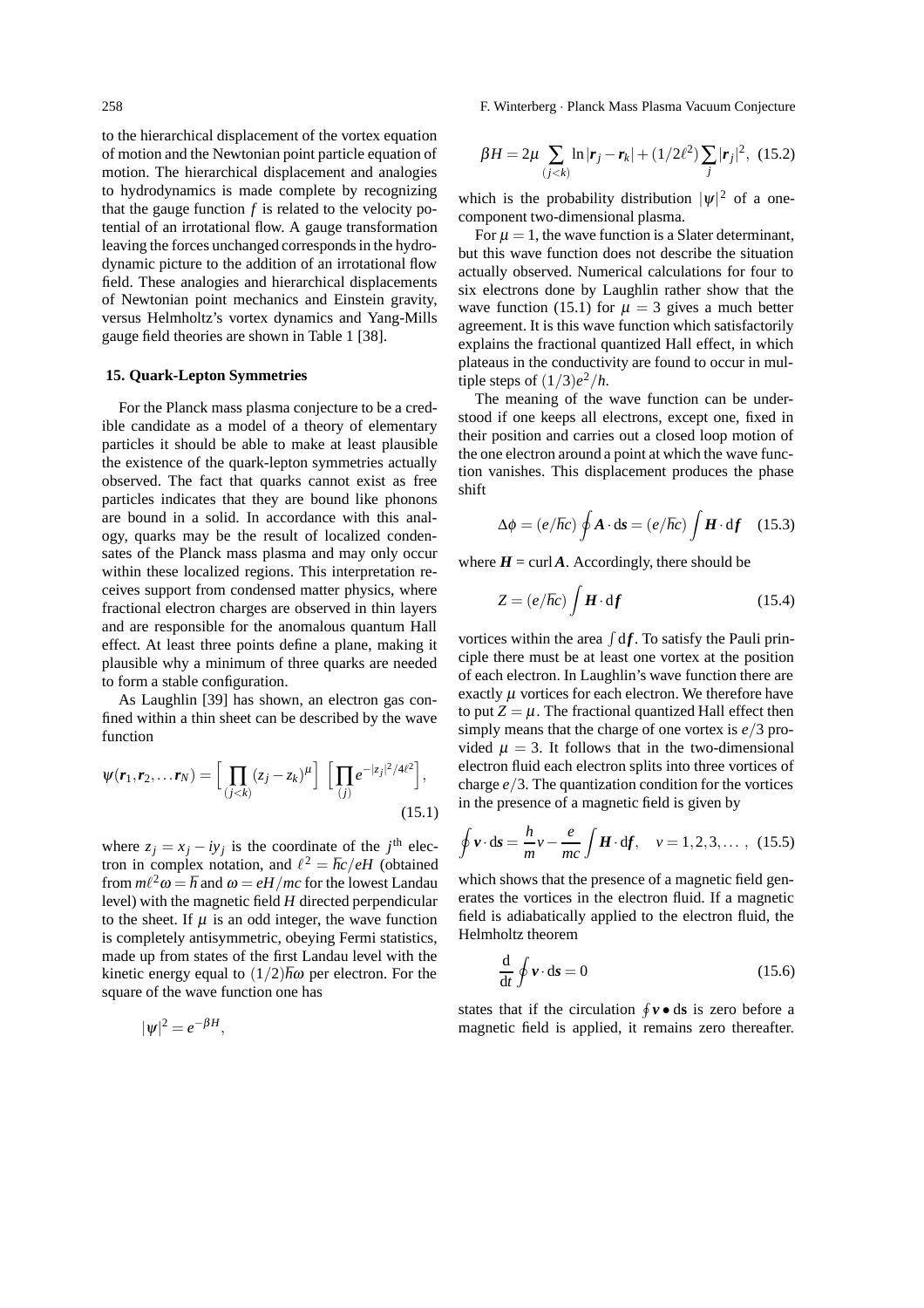to the hierarchical displacement of the vortex equation of motion and the Newtonian point particle equation of motion. The hierarchical displacement and analogies to hydrodynamics is made complete by recognizing that the gauge function  $f$  is related to the velocity potential of an irrotational flow. A gauge transformation leaving the forces unchanged corresponds in the hydrodynamic picture to the addition of an irrotational flow field. These analogies and hierarchical displacements of Newtonian point mechanics and Einstein gravity, versus Helmholtz's vortex dynamics and Yang-Mills gauge field theories are shown in Table 1 [38].

## **15. Quark-Lepton Symmetries**

For the Planck mass plasma conjecture to be a credible candidate as a model of a theory of elementary particles it should be able to make at least plausible the existence of the quark-lepton symmetries actually observed. The fact that quarks cannot exist as free particles indicates that they are bound like phonons are bound in a solid. In accordance with this analogy, quarks may be the result of localized condensates of the Planck mass plasma and may only occur within these localized regions. This interpretation receives support from condensed matter physics, where fractional electron charges are observed in thin layers and are responsible for the anomalous quantum Hall effect. At least three points define a plane, making it plausible why a minimum of three quarks are needed to form a stable configuration.

As Laughlin [39] has shown, an electron gas confined within a thin sheet can be described by the wave function

$$
\psi(\mathbf{r}_1,\mathbf{r}_2,\ldots,\mathbf{r}_N)=\Big[\prod_{(j
$$

where  $z_j = x_j - iy_j$  is the coordinate of the  $j^{\text{th}}$  electron in complex notation, and  $\ell^2 = \hbar c / eH$  (obtained from  $m\ell^2\omega = \hbar$  and  $\omega = eH/mc$  for the lowest Landau level) with the magnetic field *H* directed perpendicular to the sheet. If  $\mu$  is an odd integer, the wave function is completely antisymmetric, obeying Fermi statistics, made up from states of the first Landau level with the kinetic energy equal to  $(1/2)$ *h* $\omega$  per electron. For the square of the wave function one has

$$
|\psi|^2 = e^{-\beta H},
$$

$$
\beta H = 2\mu \sum_{(j < k)} \ln |\mathbf{r}_j - \mathbf{r}_k| + (1/2\ell^2) \sum_j |\mathbf{r}_j|^2, \tag{15.2}
$$

which is the probability distribution  $|\psi|^2$  of a onecomponent two-dimensional plasma.

For  $\mu = 1$ , the wave function is a Slater determinant, but this wave function does not describe the situation actually observed. Numerical calculations for four to six electrons done by Laughlin rather show that the wave function (15.1) for  $\mu = 3$  gives a much better agreement. It is this wave function which satisfactorily explains the fractional quantized Hall effect, in which plateaus in the conductivity are found to occur in multiple steps of  $(1/3)e^2/h$ .

The meaning of the wave function can be understood if one keeps all electrons, except one, fixed in their position and carries out a closed loop motion of the one electron around a point at which the wave function vanishes. This displacement produces the phase shift

$$
\Delta \phi = (e/\hbar c) \oint A \cdot ds = (e/\hbar c) \int H \cdot df \quad (15.3)
$$

where  $H = \text{curl} A$ . Accordingly, there should be

$$
Z = (e/\hbar c) \int \boldsymbol{H} \cdot d\boldsymbol{f}
$$
 (15.4)

vortices within the area  $\int df$ . To satisfy the Pauli principle there must be at least one vortex at the position of each electron. In Laughlin's wave function there are exactly  $\mu$  vortices for each electron. We therefore have to put  $Z = \mu$ . The fractional quantized Hall effect then simply means that the charge of one vortex is *e*/3 provided  $\mu = 3$ . It follows that in the two-dimensional electron fluid each electron splits into three vortices of charge *e*/3. The quantization condition for the vortices in the presence of a magnetic field is given by

$$
\oint \mathbf{v} \cdot d\mathbf{s} = \frac{h}{m} v - \frac{e}{mc} \int \mathbf{H} \cdot d\mathbf{f}, \quad v = 1, 2, 3, \dots, \tag{15.5}
$$

which shows that the presence of a magnetic field generates the vortices in the electron fluid. If a magnetic field is adiabatically applied to the electron fluid, the Helmholtz theorem

$$
\frac{\mathrm{d}}{\mathrm{d}t}\oint \mathbf{v} \cdot \mathrm{d}\mathbf{s} = 0 \tag{15.6}
$$

states that if the circulation  $\oint \mathbf{v} \cdot d\mathbf{s}$  is zero before a magnetic field is applied, it remains zero thereafter.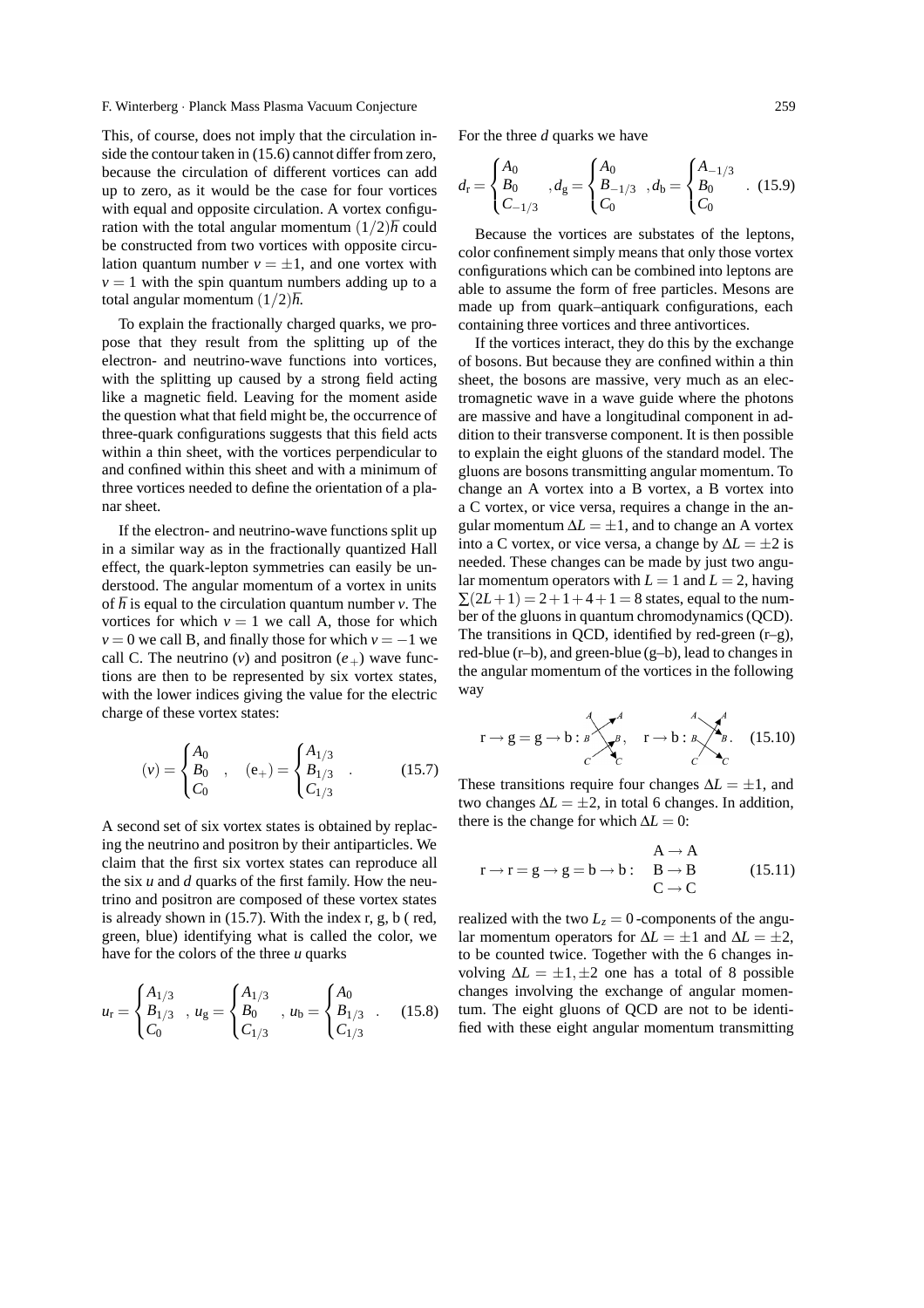This, of course, does not imply that the circulation inside the contour taken in (15.6) cannot differ from zero, because the circulation of different vortices can add up to zero, as it would be the case for four vortices with equal and opposite circulation. A vortex configuration with the total angular momentum  $(1/2)\hbar$  could be constructed from two vortices with opposite circulation quantum number  $v = \pm 1$ , and one vortex with  $v = 1$  with the spin quantum numbers adding up to a total angular momentum  $(1/2)\hbar$ .

To explain the fractionally charged quarks, we propose that they result from the splitting up of the electron- and neutrino-wave functions into vortices, with the splitting up caused by a strong field acting like a magnetic field. Leaving for the moment aside the question what that field might be, the occurrence of three-quark configurations suggests that this field acts within a thin sheet, with the vortices perpendicular to and confined within this sheet and with a minimum of three vortices needed to define the orientation of a planar sheet.

If the electron- and neutrino-wave functions split up in a similar way as in the fractionally quantized Hall effect, the quark-lepton symmetries can easily be understood. The angular momentum of a vortex in units of  $\hbar$  is equal to the circulation quantum number  $\nu$ . The vortices for which  $v = 1$  we call A, those for which  $v = 0$  we call B, and finally those for which  $v = -1$  we call C. The neutrino (*v*) and positron  $(e_+)$  wave functions are then to be represented by six vortex states, with the lower indices giving the value for the electric charge of these vortex states:

$$
(v) = \begin{cases} A_0 \\ B_0 \\ C_0 \end{cases}, \quad (e_+) = \begin{cases} A_{1/3} \\ B_{1/3} \\ C_{1/3} \end{cases} . \tag{15.7}
$$

A second set of six vortex states is obtained by replacing the neutrino and positron by their antiparticles. We claim that the first six vortex states can reproduce all the six *u* and *d* quarks of the first family. How the neutrino and positron are composed of these vortex states is already shown in  $(15.7)$ . With the index r, g, b (red, green, blue) identifying what is called the color, we have for the colors of the three *u* quarks

$$
u_{\rm r} = \begin{cases} A_{1/3} \\ B_{1/3} \\ C_0 \end{cases}, u_{\rm g} = \begin{cases} A_{1/3} \\ B_0 \\ C_{1/3} \end{cases}, u_{\rm b} = \begin{cases} A_0 \\ B_{1/3} \\ C_{1/3} \end{cases}.
$$
 (15.8)

For the three *d* quarks we have

$$
d_{\rm r} = \begin{cases} A_0 \\ B_0 \\ C_{-1/3} \end{cases}, d_{\rm g} = \begin{cases} A_0 \\ B_{-1/3} \\ C_0 \end{cases}, d_{\rm b} = \begin{cases} A_{-1/3} \\ B_0 \\ C_0 \end{cases} . (15.9)
$$

Because the vortices are substates of the leptons, color confinement simply means that only those vortex configurations which can be combined into leptons are able to assume the form of free particles. Mesons are made up from quark–antiquark configurations, each containing three vortices and three antivortices.

If the vortices interact, they do this by the exchange of bosons. But because they are confined within a thin sheet, the bosons are massive, very much as an electromagnetic wave in a wave guide where the photons are massive and have a longitudinal component in addition to their transverse component. It is then possible to explain the eight gluons of the standard model. The gluons are bosons transmitting angular momentum. To change an A vortex into a B vortex, a B vortex into a C vortex, or vice versa, requires a change in the angular momentum  $\Delta L = \pm 1$ , and to change an A vortex into a C vortex, or vice versa, a change by  $\Delta L = \pm 2$  is needed. These changes can be made by just two angular momentum operators with  $L = 1$  and  $L = 2$ , having  $\Sigma(2L+1) = 2+1+4+1 = 8$  states, equal to the number of the gluons in quantum chromodynamics (QCD). The transitions in QCD, identified by red-green (r–g), red-blue (r–b), and green-blue (g–b), lead to changes in the angular momentum of the vortices in the following way

$$
\mathbf{r} \to \mathbf{g} = \mathbf{g} \to \mathbf{b} : \mathbf{g} \times \mathbf{g}^A, \quad \mathbf{r} \to \mathbf{b} : \mathbf{g} \times \mathbf{g}^A, \quad (15.10)
$$

These transitions require four changes ∆*L* = ±1, and two changes  $\Delta L = \pm 2$ , in total 6 changes. In addition, there is the change for which  $\Delta L = 0$ :

$$
r \rightarrow r = g \rightarrow g = b \rightarrow b: \quad\n\begin{array}{c}\nA \rightarrow A \\
B \rightarrow B \\
C \rightarrow C\n\end{array} \tag{15.11}
$$

realized with the two  $L<sub>z</sub> = 0$ -components of the angular momentum operators for  $\Delta L = \pm 1$  and  $\Delta L = \pm 2$ , to be counted twice. Together with the 6 changes involving  $\Delta L = \pm 1, \pm 2$  one has a total of 8 possible changes involving the exchange of angular momentum. The eight gluons of QCD are not to be identified with these eight angular momentum transmitting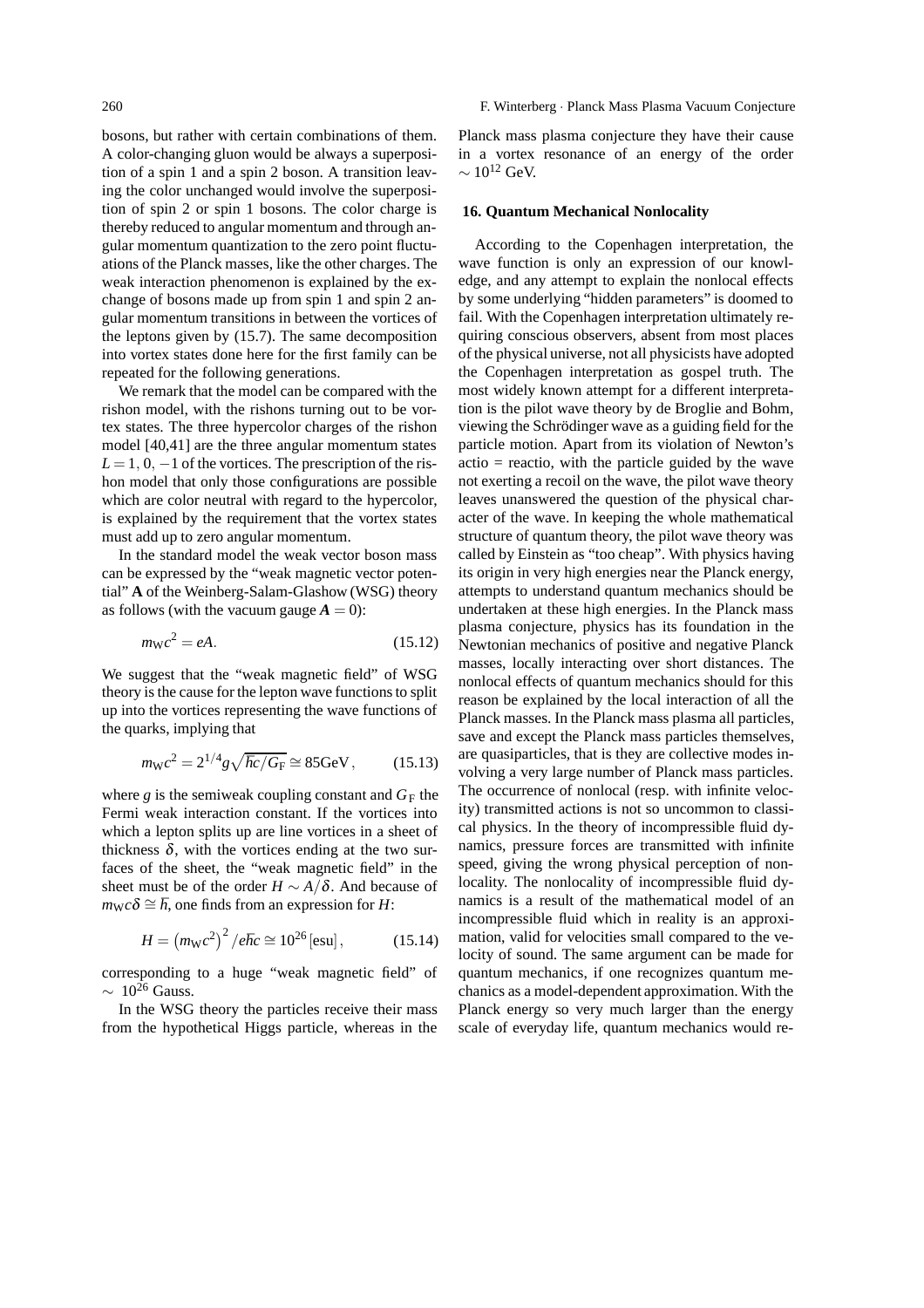bosons, but rather with certain combinations of them. A color-changing gluon would be always a superposition of a spin 1 and a spin 2 boson. A transition leaving the color unchanged would involve the superposition of spin 2 or spin 1 bosons. The color charge is thereby reduced to angular momentum and through angular momentum quantization to the zero point fluctuations of the Planck masses, like the other charges. The weak interaction phenomenon is explained by the exchange of bosons made up from spin 1 and spin 2 angular momentum transitions in between the vortices of the leptons given by (15.7). The same decomposition into vortex states done here for the first family can be repeated for the following generations.

We remark that the model can be compared with the rishon model, with the rishons turning out to be vortex states. The three hypercolor charges of the rishon model [40,41] are the three angular momentum states  $L = 1, 0, -1$  of the vortices. The prescription of the rishon model that only those configurations are possible which are color neutral with regard to the hypercolor, is explained by the requirement that the vortex states must add up to zero angular momentum.

In the standard model the weak vector boson mass can be expressed by the "weak magnetic vector potential" **A** of the Weinberg-Salam-Glashow (WSG) theory as follows (with the vacuum gauge  $A = 0$ ):

$$
m_{\rm W}c^2 = eA.\tag{15.12}
$$

We suggest that the "weak magnetic field" of WSG theory is the cause for the lepton wave functions to split up into the vortices representing the wave functions of the quarks, implying that

$$
m_{\rm W}c^2 = 2^{1/4}g\sqrt{\hbar c/G_{\rm F}} \cong 85\,\text{GeV},\qquad(15.13)
$$

where *g* is the semiweak coupling constant and  $G_F$  the Fermi weak interaction constant. If the vortices into which a lepton splits up are line vortices in a sheet of thickness  $\delta$ , with the vortices ending at the two surfaces of the sheet, the "weak magnetic field" in the sheet must be of the order  $H \sim A/\delta$ . And because of  $m_W c \delta \cong \hbar$ , one finds from an expression for *H*:

$$
H = (m_{\rm W}c^2)^2 / e\hbar c \cong 10^{26} \, [\text{esu}], \tag{15.14}
$$

corresponding to a huge "weak magnetic field" of  $\sim 10^{26}$  Gauss.

In the WSG theory the particles receive their mass from the hypothetical Higgs particle, whereas in the Planck mass plasma conjecture they have their cause in a vortex resonance of an energy of the order  $\sim 10^{12}$  GeV.

#### **16. Quantum Mechanical Nonlocality**

According to the Copenhagen interpretation, the wave function is only an expression of our knowledge, and any attempt to explain the nonlocal effects by some underlying "hidden parameters" is doomed to fail. With the Copenhagen interpretation ultimately requiring conscious observers, absent from most places of the physical universe, not all physicists have adopted the Copenhagen interpretation as gospel truth. The most widely known attempt for a different interpretation is the pilot wave theory by de Broglie and Bohm, viewing the Schrödinger wave as a guiding field for the particle motion. Apart from its violation of Newton's  $\alpha$  = reactio, with the particle guided by the wave not exerting a recoil on the wave, the pilot wave theory leaves unanswered the question of the physical character of the wave. In keeping the whole mathematical structure of quantum theory, the pilot wave theory was called by Einstein as "too cheap". With physics having its origin in very high energies near the Planck energy, attempts to understand quantum mechanics should be undertaken at these high energies. In the Planck mass plasma conjecture, physics has its foundation in the Newtonian mechanics of positive and negative Planck masses, locally interacting over short distances. The nonlocal effects of quantum mechanics should for this reason be explained by the local interaction of all the Planck masses. In the Planck mass plasma all particles, save and except the Planck mass particles themselves, are quasiparticles, that is they are collective modes involving a very large number of Planck mass particles. The occurrence of nonlocal (resp. with infinite velocity) transmitted actions is not so uncommon to classical physics. In the theory of incompressible fluid dynamics, pressure forces are transmitted with infinite speed, giving the wrong physical perception of nonlocality. The nonlocality of incompressible fluid dynamics is a result of the mathematical model of an incompressible fluid which in reality is an approximation, valid for velocities small compared to the velocity of sound. The same argument can be made for quantum mechanics, if one recognizes quantum mechanics as a model-dependent approximation. With the Planck energy so very much larger than the energy scale of everyday life, quantum mechanics would re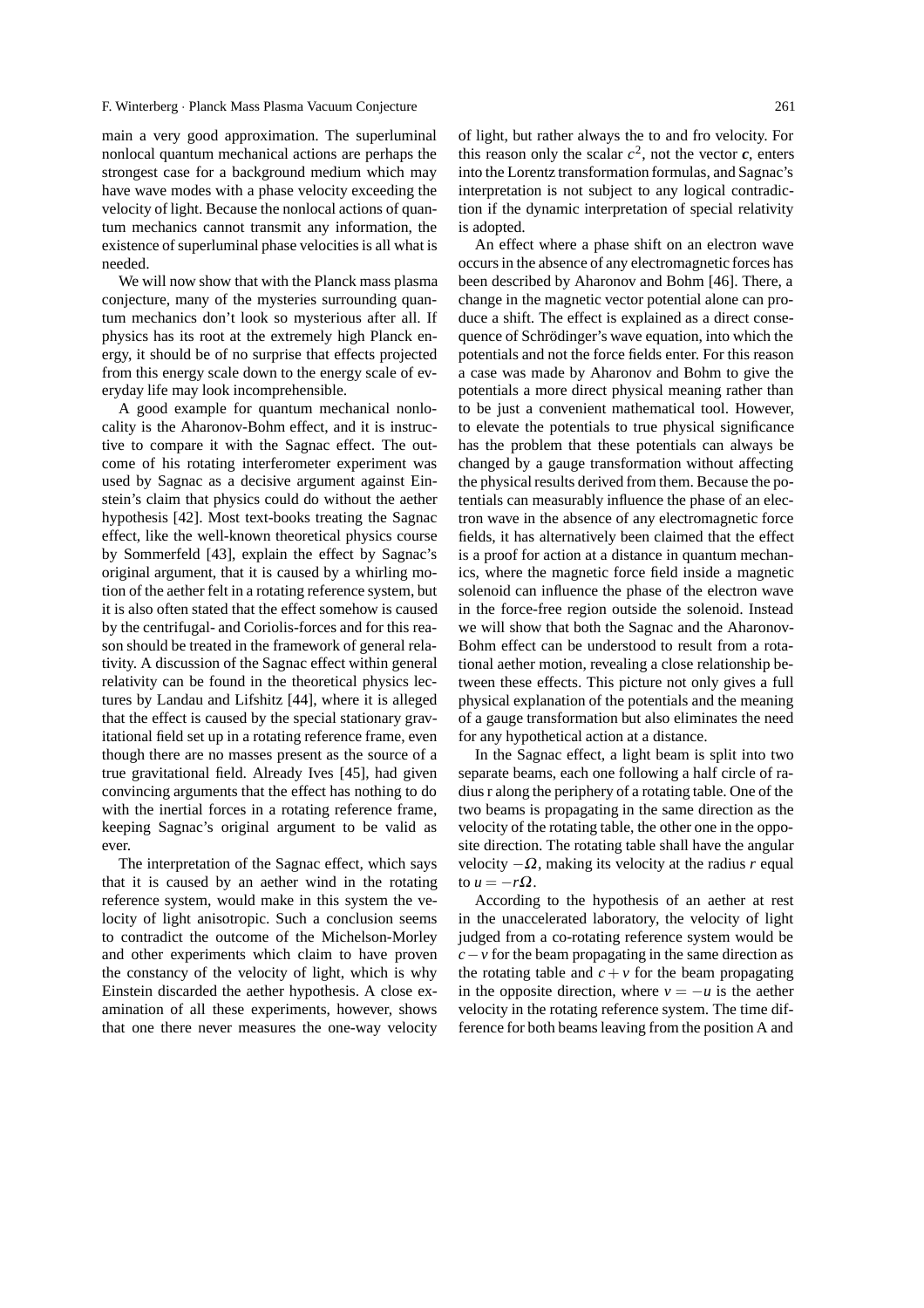main a very good approximation. The superluminal nonlocal quantum mechanical actions are perhaps the strongest case for a background medium which may have wave modes with a phase velocity exceeding the velocity of light. Because the nonlocal actions of quantum mechanics cannot transmit any information, the existence of superluminal phase velocities is all what is needed.

We will now show that with the Planck mass plasma conjecture, many of the mysteries surrounding quantum mechanics don't look so mysterious after all. If physics has its root at the extremely high Planck energy, it should be of no surprise that effects projected from this energy scale down to the energy scale of everyday life may look incomprehensible.

A good example for quantum mechanical nonlocality is the Aharonov-Bohm effect, and it is instructive to compare it with the Sagnac effect. The outcome of his rotating interferometer experiment was used by Sagnac as a decisive argument against Einstein's claim that physics could do without the aether hypothesis [42]. Most text-books treating the Sagnac effect, like the well-known theoretical physics course by Sommerfeld [43], explain the effect by Sagnac's original argument, that it is caused by a whirling motion of the aether felt in a rotating reference system, but it is also often stated that the effect somehow is caused by the centrifugal- and Coriolis-forces and for this reason should be treated in the framework of general relativity. A discussion of the Sagnac effect within general relativity can be found in the theoretical physics lectures by Landau and Lifshitz [44], where it is alleged that the effect is caused by the special stationary gravitational field set up in a rotating reference frame, even though there are no masses present as the source of a true gravitational field. Already Ives [45], had given convincing arguments that the effect has nothing to do with the inertial forces in a rotating reference frame, keeping Sagnac's original argument to be valid as ever.

The interpretation of the Sagnac effect, which says that it is caused by an aether wind in the rotating reference system, would make in this system the velocity of light anisotropic. Such a conclusion seems to contradict the outcome of the Michelson-Morley and other experiments which claim to have proven the constancy of the velocity of light, which is why Einstein discarded the aether hypothesis. A close examination of all these experiments, however, shows that one there never measures the one-way velocity

of light, but rather always the to and fro velocity. For this reason only the scalar  $c^2$ , not the vector  $c$ , enters into the Lorentz transformation formulas, and Sagnac's interpretation is not subject to any logical contradiction if the dynamic interpretation of special relativity is adopted.

An effect where a phase shift on an electron wave occurs in the absence of any electromagnetic forces has been described by Aharonov and Bohm [46]. There, a change in the magnetic vector potential alone can produce a shift. The effect is explained as a direct consequence of Schrödinger's wave equation, into which the potentials and not the force fields enter. For this reason a case was made by Aharonov and Bohm to give the potentials a more direct physical meaning rather than to be just a convenient mathematical tool. However, to elevate the potentials to true physical significance has the problem that these potentials can always be changed by a gauge transformation without affecting the physical results derived from them. Because the potentials can measurably influence the phase of an electron wave in the absence of any electromagnetic force fields, it has alternatively been claimed that the effect is a proof for action at a distance in quantum mechanics, where the magnetic force field inside a magnetic solenoid can influence the phase of the electron wave in the force-free region outside the solenoid. Instead we will show that both the Sagnac and the Aharonov-Bohm effect can be understood to result from a rotational aether motion, revealing a close relationship between these effects. This picture not only gives a full physical explanation of the potentials and the meaning of a gauge transformation but also eliminates the need for any hypothetical action at a distance.

In the Sagnac effect, a light beam is split into two separate beams, each one following a half circle of radius r along the periphery of a rotating table. One of the two beams is propagating in the same direction as the velocity of the rotating table, the other one in the opposite direction. The rotating table shall have the angular velocity  $-\Omega$ , making its velocity at the radius *r* equal to  $u = -r\Omega$ .

According to the hypothesis of an aether at rest in the unaccelerated laboratory, the velocity of light judged from a co-rotating reference system would be *c*−*v* for the beam propagating in the same direction as the rotating table and  $c + v$  for the beam propagating in the opposite direction, where  $v = -u$  is the aether velocity in the rotating reference system. The time difference for both beams leaving from the position A and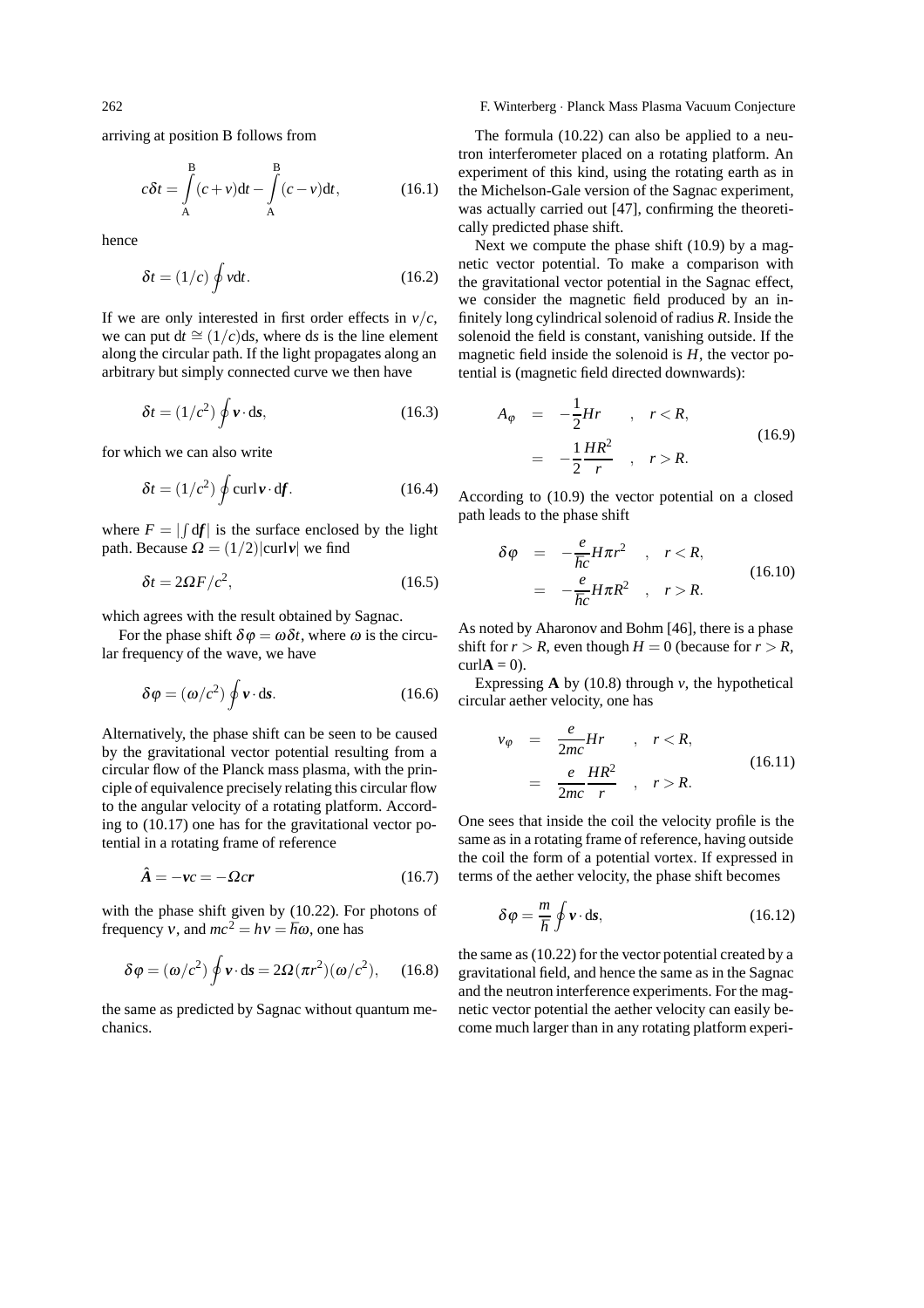arriving at position B follows from

$$
c\delta t = \int_{A}^{B} (c+v)dt - \int_{A}^{B} (c-v)dt, \qquad (16.1)
$$

hence

$$
\delta t = (1/c) \oint v \mathrm{d}t. \tag{16.2}
$$

If we are only interested in first order effects in  $v/c$ , we can put d $t \approx (1/c)ds$ , where ds is the line element along the circular path. If the light propagates along an arbitrary but simply connected curve we then have

$$
\delta t = (1/c^2) \oint \mathbf{v} \cdot \mathbf{ds},\tag{16.3}
$$

for which we can also write

$$
\delta t = (1/c^2) \oint \text{curl} \mathbf{v} \cdot \mathbf{d} \mathbf{f}.
$$
 (16.4)

where  $F = | \int df |$  is the surface enclosed by the light path. Because  $\Omega = (1/2)|\text{curl }v|$  we find

$$
\delta t = 2\Omega F/c^2,\tag{16.5}
$$

which agrees with the result obtained by Sagnac.

For the phase shift  $\delta \varphi = \omega \delta t$ , where  $\omega$  is the circular frequency of the wave, we have

$$
\delta \varphi = (\omega/c^2) \oint \mathbf{v} \cdot \mathbf{ds}.
$$
 (16.6)

Alternatively, the phase shift can be seen to be caused by the gravitational vector potential resulting from a circular flow of the Planck mass plasma, with the principle of equivalence precisely relating this circular flow to the angular velocity of a rotating platform. According to (10.17) one has for the gravitational vector potential in a rotating frame of reference

$$
\hat{A} = -\nu c = -\Omega c r \tag{16.7}
$$

with the phase shift given by (10.22). For photons of frequency v, and  $mc^2 = hv = \hbar\omega$ , one has

$$
\delta \varphi = (\omega/c^2) \oint \mathbf{v} \cdot d\mathbf{s} = 2\Omega(\pi r^2)(\omega/c^2), \quad (16.8)
$$

the same as predicted by Sagnac without quantum mechanics.

262 F. Winterberg · Planck Mass Plasma Vacuum Conjecture

The formula (10.22) can also be applied to a neutron interferometer placed on a rotating platform. An experiment of this kind, using the rotating earth as in the Michelson-Gale version of the Sagnac experiment, was actually carried out [47], confirming the theoretically predicted phase shift.

Next we compute the phase shift (10.9) by a magnetic vector potential. To make a comparison with the gravitational vector potential in the Sagnac effect, we consider the magnetic field produced by an infinitely long cylindrical solenoid of radius *R*. Inside the solenoid the field is constant, vanishing outside. If the magnetic field inside the solenoid is *H*, the vector potential is (magnetic field directed downwards):

$$
A_{\varphi} = -\frac{1}{2}Hr \quad , \quad r < R,
$$
\n
$$
= -\frac{1}{2}\frac{HR^{2}}{r} \quad , \quad r > R.
$$
\n
$$
(16.9)
$$

According to (10.9) the vector potential on a closed path leads to the phase shift

$$
\delta \varphi = -\frac{e}{\hbar c} H \pi r^2 , r < R,
$$
  
=  $-\frac{e}{\hbar c} H \pi R^2 , r > R.$  (16.10)

As noted by Aharonov and Bohm [46], there is a phase shift for  $r > R$ , even though  $H = 0$  (because for  $r > R$ , curl $A = 0$ ).

Expressing  $\bf{A}$  by (10.8) through *v*, the hypothetical circular aether velocity, one has

$$
\begin{array}{rcl}\nv_{\varphi} & = & \frac{e}{2mc}Hr & , & r < R, \\
& = & \frac{e}{2mc} \frac{HR^2}{r} & , & r > R.\n\end{array} \tag{16.11}
$$

One sees that inside the coil the velocity profile is the same as in a rotating frame of reference, having outside the coil the form of a potential vortex. If expressed in terms of the aether velocity, the phase shift becomes

$$
\delta \varphi = \frac{m}{\hbar} \oint \mathbf{v} \cdot \mathbf{ds},\tag{16.12}
$$

the same as (10.22) for the vector potential created by a gravitational field, and hence the same as in the Sagnac and the neutron interference experiments. For the magnetic vector potential the aether velocity can easily become much larger than in any rotating platform experi-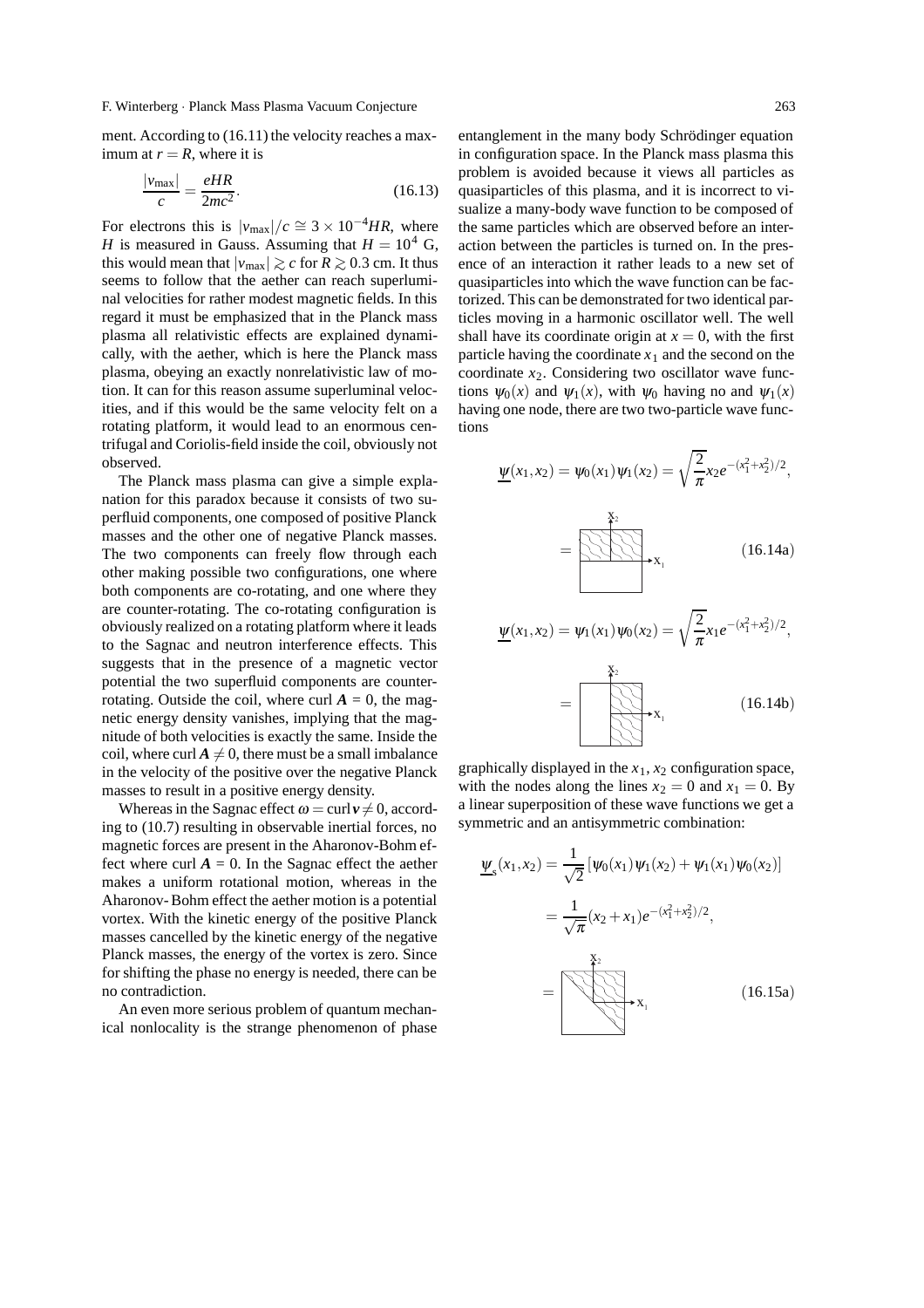ment. According to (16.11) the velocity reaches a maximum at  $r = R$ , where it is

$$
\frac{|v_{\text{max}}|}{c} = \frac{eHR}{2mc^2}.
$$
\n(16.13)

For electrons this is  $|v_{\text{max}}|/c \approx 3 \times 10^{-4} HR$ , where *H* is measured in Gauss. Assuming that  $H = 10^4$  G, this would mean that  $|v_{\text{max}}| \gtrsim c$  for  $R \gtrsim 0.3$  cm. It thus seems to follow that the aether can reach superluminal velocities for rather modest magnetic fields. In this regard it must be emphasized that in the Planck mass plasma all relativistic effects are explained dynamically, with the aether, which is here the Planck mass plasma, obeying an exactly nonrelativistic law of motion. It can for this reason assume superluminal velocities, and if this would be the same velocity felt on a rotating platform, it would lead to an enormous centrifugal and Coriolis-field inside the coil, obviously not observed.

The Planck mass plasma can give a simple explanation for this paradox because it consists of two superfluid components, one composed of positive Planck masses and the other one of negative Planck masses. The two components can freely flow through each other making possible two configurations, one where both components are co-rotating, and one where they are counter-rotating. The co-rotating configuration is obviously realized on a rotating platform where it leads to the Sagnac and neutron interference effects. This suggests that in the presence of a magnetic vector potential the two superfluid components are counterrotating. Outside the coil, where curl  $A = 0$ , the magnetic energy density vanishes, implying that the magnitude of both velocities is exactly the same. Inside the coil, where curl  $A \neq 0$ , there must be a small imbalance in the velocity of the positive over the negative Planck masses to result in a positive energy density.

Whereas in the Sagnac effect  $\omega = \text{curl } v \neq 0$ , according to (10.7) resulting in observable inertial forces, no magnetic forces are present in the Aharonov-Bohm effect where curl  $A = 0$ . In the Sagnac effect the aether makes a uniform rotational motion, whereas in the Aharonov- Bohm effect the aether motion is a potential vortex. With the kinetic energy of the positive Planck masses cancelled by the kinetic energy of the negative Planck masses, the energy of the vortex is zero. Since for shifting the phase no energy is needed, there can be no contradiction.

An even more serious problem of quantum mechanical nonlocality is the strange phenomenon of phase

entanglement in the many body Schrödinger equation in configuration space. In the Planck mass plasma this problem is avoided because it views all particles as quasiparticles of this plasma, and it is incorrect to visualize a many-body wave function to be composed of the same particles which are observed before an interaction between the particles is turned on. In the presence of an interaction it rather leads to a new set of quasiparticles into which the wave function can be factorized. This can be demonstrated for two identical particles moving in a harmonic oscillator well. The well shall have its coordinate origin at  $x = 0$ , with the first particle having the coordinate  $x_1$  and the second on the coordinate  $x_2$ . Considering two oscillator wave functions  $\psi_0(x)$  and  $\psi_1(x)$ , with  $\psi_0$  having no and  $\psi_1(x)$ having one node, there are two two-particle wave functions

$$
\underline{\psi}(x_1, x_2) = \psi_0(x_1)\psi_1(x_2) = \sqrt{\frac{2}{\pi}}x_2e^{-(x_1^2 + x_2^2)/2},
$$

$$
= \left\{\left\{\begin{matrix} 16.14a \end{matrix}\right\} \star x_1\right\}
$$

$$
\underline{\psi}(x_1, x_2) = \psi_1(x_1)\psi_0(x_2) = \sqrt{\frac{2}{\pi}}x_1e^{-(x_1^2 + x_2^2)/2},
$$
\n
$$
= \sqrt{\frac{x_2}{\pi}}x_1e^{-(x_1^2 + x_2^2)/2},
$$
\n(16.14b)

graphically displayed in the  $x_1$ ,  $x_2$  configuration space, with the nodes along the lines  $x_2 = 0$  and  $x_1 = 0$ . By a linear superposition of these wave functions we get a symmetric and an antisymmetric combination:

$$
\underline{\Psi}_{s}(x_{1}, x_{2}) = \frac{1}{\sqrt{2}} [\Psi_{0}(x_{1}) \Psi_{1}(x_{2}) + \Psi_{1}(x_{1}) \Psi_{0}(x_{2})]
$$
\n
$$
= \frac{1}{\sqrt{\pi}} (x_{2} + x_{1}) e^{-(x_{1}^{2} + x_{2}^{2})/2},
$$
\n
$$
= \boxed{\sqrt{\pi}} \tag{16.15a}
$$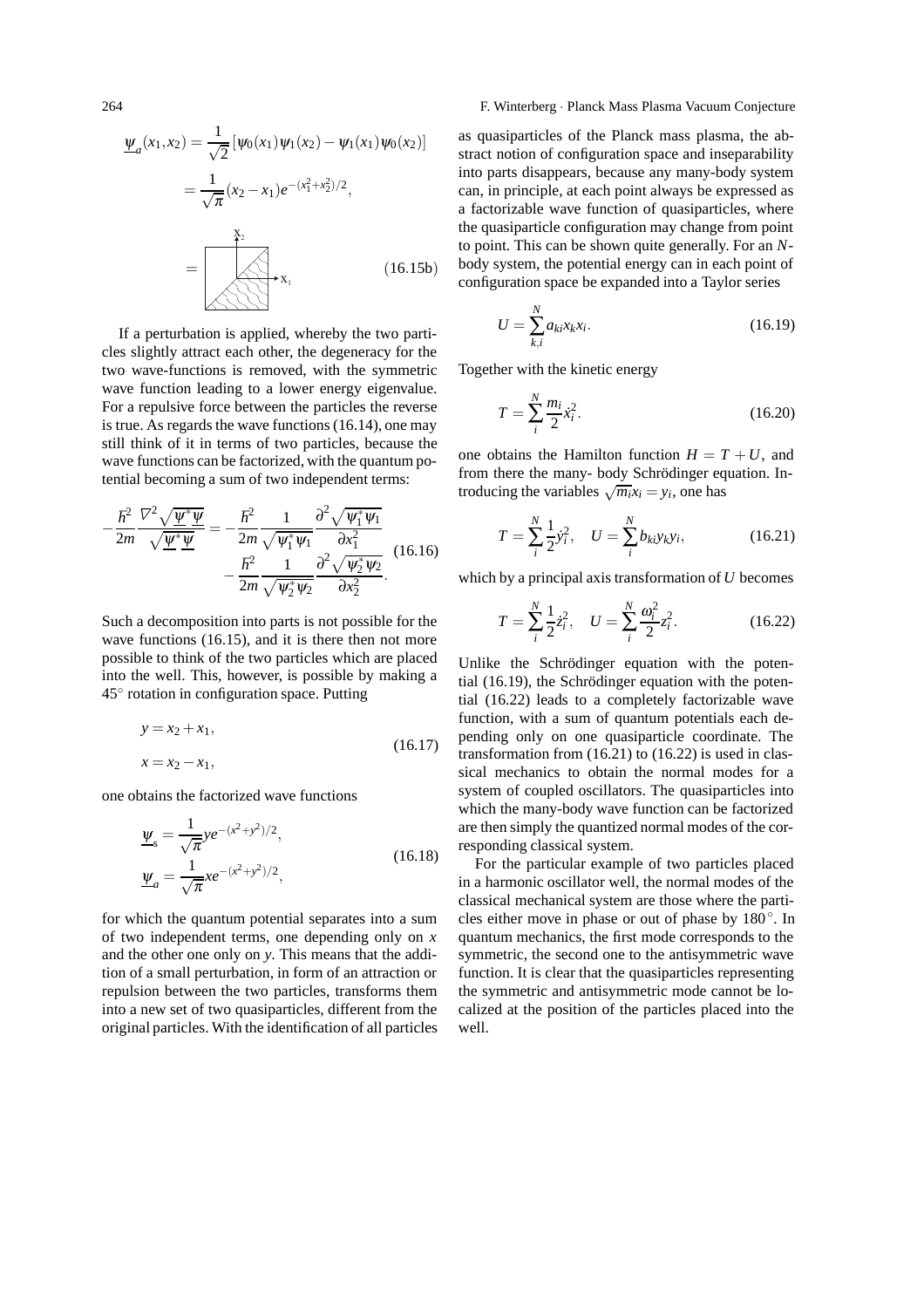$$
\underline{\Psi}_a(x_1, x_2) = \frac{1}{\sqrt{2}} [\Psi_0(x_1) \Psi_1(x_2) - \Psi_1(x_1) \Psi_0(x_2)]
$$

$$
= \frac{1}{\sqrt{\pi}} (x_2 - x_1) e^{-(x_1^2 + x_2^2)/2},
$$

$$
= \boxed{\left(\frac{x_2}{\sqrt{2}} + x_1\right)}
$$
(16.15b)

If a perturbation is applied, whereby the two particles slightly attract each other, the degeneracy for the two wave-functions is removed, with the symmetric wave function leading to a lower energy eigenvalue. For a repulsive force between the particles the reverse is true. As regards the wave functions (16.14), one may still think of it in terms of two particles, because the wave functions can be factorized, with the quantum potential becoming a sum of two independent terms:

$$
-\frac{\hbar^2}{2m}\frac{\nabla^2\sqrt{\underline{\Psi}^*\underline{\Psi}}}{\sqrt{\underline{\Psi}^*\underline{\Psi}}}=-\frac{\hbar^2}{2m}\frac{1}{\sqrt{\Psi_1^*\Psi_1}}\frac{\partial^2\sqrt{\Psi_1^*\Psi_1}}{\partial x_1^2}\over{\frac{\partial^2\sqrt{\Psi_2^*\Psi_2}}{\partial x_2^2}}.\tag{16.16}
$$

Such a decomposition into parts is not possible for the wave functions (16.15), and it is there then not more possible to think of the two particles which are placed into the well. This, however, is possible by making a 45◦ rotation in configuration space. Putting

$$
y = x_2 + x_1,\tag{16.17}
$$

$$
x = x_2 - x_1,
$$

one obtains the factorized wave functions

$$
\underline{\Psi}_{s} = \frac{1}{\sqrt{\pi}} y e^{-(x^{2} + y^{2})/2},
$$
\n
$$
\underline{\Psi}_{a} = \frac{1}{\sqrt{\pi}} x e^{-(x^{2} + y^{2})/2},
$$
\n(16.18)

for which the quantum potential separates into a sum of two independent terms, one depending only on *x* and the other one only on *y*. This means that the addition of a small perturbation, in form of an attraction or repulsion between the two particles, transforms them into a new set of two quasiparticles, different from the original particles. With the identification of all particles

#### 264 F. Winterberg · Planck Mass Plasma Vacuum Conjecture

as quasiparticles of the Planck mass plasma, the abstract notion of configuration space and inseparability into parts disappears, because any many-body system can, in principle, at each point always be expressed as a factorizable wave function of quasiparticles, where the quasiparticle configuration may change from point to point. This can be shown quite generally. For an *N*body system, the potential energy can in each point of configuration space be expanded into a Taylor series

$$
U = \sum_{k,i}^{N} a_{ki} x_k x_i.
$$
 (16.19)

Together with the kinetic energy

$$
T = \sum_{i}^{N} \frac{m_i}{2} \dot{x}_i^2.
$$
 (16.20)

one obtains the Hamilton function  $H = T + U$ , and from there the many- body Schrödinger equation. Introducing the variables  $\sqrt{m_i}x_i = y_i$ , one has

$$
T = \sum_{i}^{N} \frac{1}{2} \dot{y}_{i}^{2}, \quad U = \sum_{i}^{N} b_{ki} y_{k} y_{i}, \tag{16.21}
$$

which by a principal axis transformation of *U* becomes

$$
T = \sum_{i=1}^{N} \frac{1}{2} z_i^2, \quad U = \sum_{i=1}^{N} \frac{\omega_i^2}{2} z_i^2.
$$
 (16.22)

Unlike the Schrödinger equation with the potential  $(16.19)$ , the Schrödinger equation with the potential (16.22) leads to a completely factorizable wave function, with a sum of quantum potentials each depending only on one quasiparticle coordinate. The transformation from (16.21) to (16.22) is used in classical mechanics to obtain the normal modes for a system of coupled oscillators. The quasiparticles into which the many-body wave function can be factorized are then simply the quantized normal modes of the corresponding classical system.

For the particular example of two particles placed in a harmonic oscillator well, the normal modes of the classical mechanical system are those where the particles either move in phase or out of phase by 180◦. In quantum mechanics, the first mode corresponds to the symmetric, the second one to the antisymmetric wave function. It is clear that the quasiparticles representing the symmetric and antisymmetric mode cannot be localized at the position of the particles placed into the well.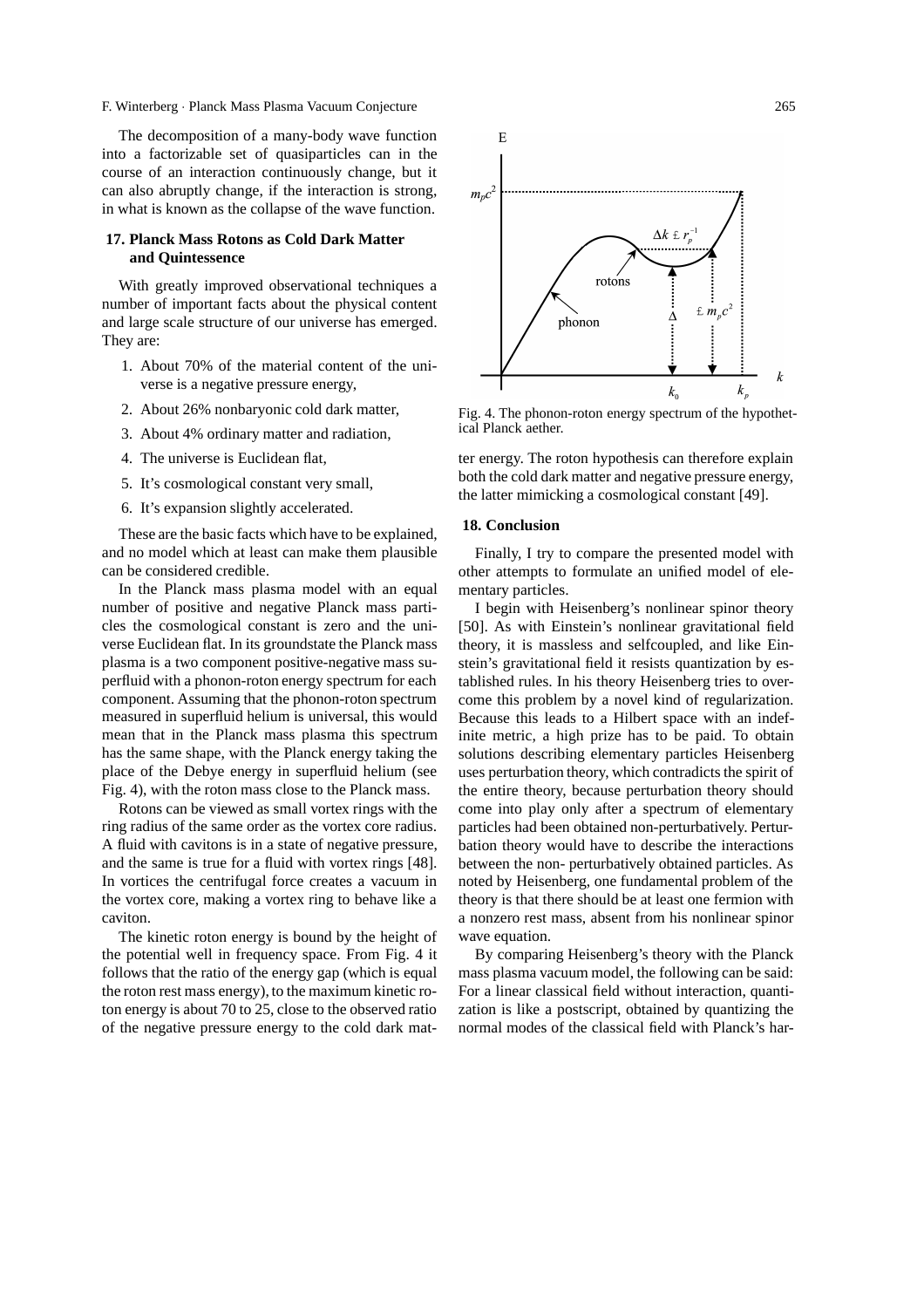The decomposition of a many-body wave function into a factorizable set of quasiparticles can in the course of an interaction continuously change, but it can also abruptly change, if the interaction is strong, in what is known as the collapse of the wave function.

## **17. Planck Mass Rotons as Cold Dark Matter and Quintessence**

With greatly improved observational techniques a number of important facts about the physical content and large scale structure of our universe has emerged. They are:

- 1. About 70% of the material content of the universe is a negative pressure energy,
- 2. About 26% nonbaryonic cold dark matter,
- 3. About 4% ordinary matter and radiation,
- 4. The universe is Euclidean flat,
- 5. It's cosmological constant very small,
- 6. It's expansion slightly accelerated.

These are the basic facts which have to be explained, and no model which at least can make them plausible can be considered credible.

In the Planck mass plasma model with an equal number of positive and negative Planck mass particles the cosmological constant is zero and the universe Euclidean flat. In its groundstate the Planck mass plasma is a two component positive-negative mass superfluid with a phonon-roton energy spectrum for each component. Assuming that the phonon-roton spectrum measured in superfluid helium is universal, this would mean that in the Planck mass plasma this spectrum has the same shape, with the Planck energy taking the place of the Debye energy in superfluid helium (see Fig. 4), with the roton mass close to the Planck mass.

Rotons can be viewed as small vortex rings with the ring radius of the same order as the vortex core radius. A fluid with cavitons is in a state of negative pressure, and the same is true for a fluid with vortex rings [48]. In vortices the centrifugal force creates a vacuum in the vortex core, making a vortex ring to behave like a caviton.

The kinetic roton energy is bound by the height of the potential well in frequency space. From Fig. 4 it follows that the ratio of the energy gap (which is equal the roton rest mass energy), to the maximum kinetic roton energy is about 70 to 25, close to the observed ratio of the negative pressure energy to the cold dark mat-



Fig. 4. The phonon-roton energy spectrum of the hypothetical Planck aether.

ter energy. The roton hypothesis can therefore explain both the cold dark matter and negative pressure energy, the latter mimicking a cosmological constant [49].

#### **18. Conclusion**

Finally, I try to compare the presented model with other attempts to formulate an unified model of elementary particles.

I begin with Heisenberg's nonlinear spinor theory [50]. As with Einstein's nonlinear gravitational field theory, it is massless and selfcoupled, and like Einstein's gravitational field it resists quantization by established rules. In his theory Heisenberg tries to overcome this problem by a novel kind of regularization. Because this leads to a Hilbert space with an indefinite metric, a high prize has to be paid. To obtain solutions describing elementary particles Heisenberg uses perturbation theory, which contradicts the spirit of the entire theory, because perturbation theory should come into play only after a spectrum of elementary particles had been obtained non-perturbatively. Perturbation theory would have to describe the interactions between the non- perturbatively obtained particles. As noted by Heisenberg, one fundamental problem of the theory is that there should be at least one fermion with a nonzero rest mass, absent from his nonlinear spinor wave equation.

By comparing Heisenberg's theory with the Planck mass plasma vacuum model, the following can be said: For a linear classical field without interaction, quantization is like a postscript, obtained by quantizing the normal modes of the classical field with Planck's har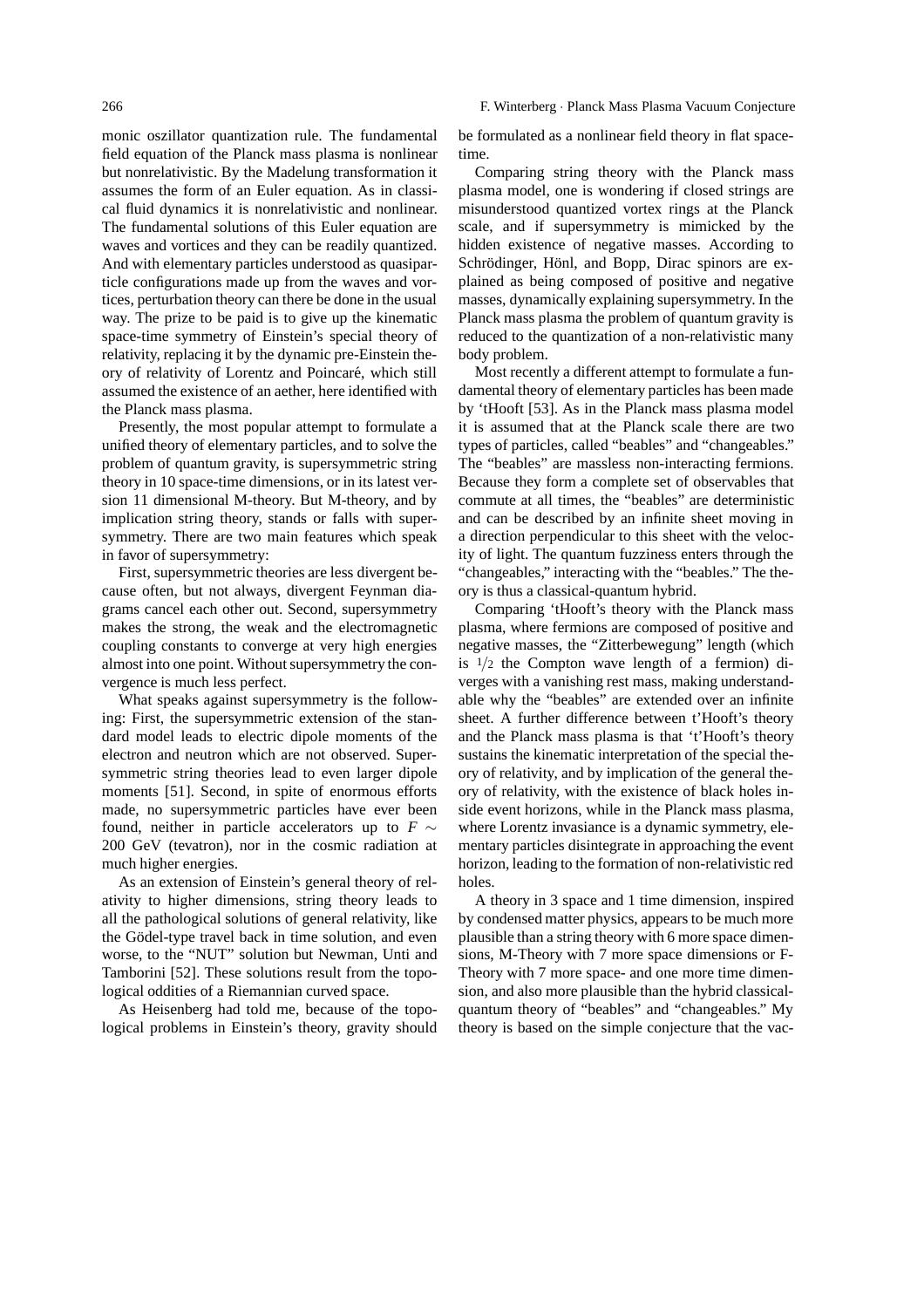monic oszillator quantization rule. The fundamental field equation of the Planck mass plasma is nonlinear but nonrelativistic. By the Madelung transformation it assumes the form of an Euler equation. As in classical fluid dynamics it is nonrelativistic and nonlinear. The fundamental solutions of this Euler equation are waves and vortices and they can be readily quantized. And with elementary particles understood as quasiparticle configurations made up from the waves and vortices, perturbation theory can there be done in the usual way. The prize to be paid is to give up the kinematic space-time symmetry of Einstein's special theory of relativity, replacing it by the dynamic pre-Einstein theory of relativity of Lorentz and Poincaré, which still assumed the existence of an aether, here identified with the Planck mass plasma.

Presently, the most popular attempt to formulate a unified theory of elementary particles, and to solve the problem of quantum gravity, is supersymmetric string theory in 10 space-time dimensions, or in its latest version 11 dimensional M-theory. But M-theory, and by implication string theory, stands or falls with supersymmetry. There are two main features which speak in favor of supersymmetry:

First, supersymmetric theories are less divergent because often, but not always, divergent Feynman diagrams cancel each other out. Second, supersymmetry makes the strong, the weak and the electromagnetic coupling constants to converge at very high energies almost into one point. Without supersymmetry the convergence is much less perfect.

What speaks against supersymmetry is the following: First, the supersymmetric extension of the standard model leads to electric dipole moments of the electron and neutron which are not observed. Supersymmetric string theories lead to even larger dipole moments [51]. Second, in spite of enormous efforts made, no supersymmetric particles have ever been found, neither in particle accelerators up to  $F \sim$ 200 GeV (tevatron), nor in the cosmic radiation at much higher energies.

As an extension of Einstein's general theory of relativity to higher dimensions, string theory leads to all the pathological solutions of general relativity, like the Gödel-type travel back in time solution, and even worse, to the "NUT" solution but Newman, Unti and Tamborini [52]. These solutions result from the topological oddities of a Riemannian curved space.

As Heisenberg had told me, because of the topological problems in Einstein's theory, gravity should be formulated as a nonlinear field theory in flat spacetime.

Comparing string theory with the Planck mass plasma model, one is wondering if closed strings are misunderstood quantized vortex rings at the Planck scale, and if supersymmetry is mimicked by the hidden existence of negative masses. According to Schrödinger, Hönl, and Bopp, Dirac spinors are explained as being composed of positive and negative masses, dynamically explaining supersymmetry. In the Planck mass plasma the problem of quantum gravity is reduced to the quantization of a non-relativistic many body problem.

Most recently a different attempt to formulate a fundamental theory of elementary particles has been made by 'tHooft [53]. As in the Planck mass plasma model it is assumed that at the Planck scale there are two types of particles, called "beables" and "changeables." The "beables" are massless non-interacting fermions. Because they form a complete set of observables that commute at all times, the "beables" are deterministic and can be described by an infinite sheet moving in a direction perpendicular to this sheet with the velocity of light. The quantum fuzziness enters through the "changeables," interacting with the "beables." The theory is thus a classical-quantum hybrid.

Comparing 'tHooft's theory with the Planck mass plasma, where fermions are composed of positive and negative masses, the "Zitterbewegung" length (which is  $1/2$  the Compton wave length of a fermion) diverges with a vanishing rest mass, making understandable why the "beables" are extended over an infinite sheet. A further difference between t'Hooft's theory and the Planck mass plasma is that 't'Hooft's theory sustains the kinematic interpretation of the special theory of relativity, and by implication of the general theory of relativity, with the existence of black holes inside event horizons, while in the Planck mass plasma, where Lorentz invasiance is a dynamic symmetry, elementary particles disintegrate in approaching the event horizon, leading to the formation of non-relativistic red holes.

A theory in 3 space and 1 time dimension, inspired by condensed matter physics, appears to be much more plausible than a string theory with 6 more space dimensions, M-Theory with 7 more space dimensions or F-Theory with 7 more space- and one more time dimension, and also more plausible than the hybrid classicalquantum theory of "beables" and "changeables." My theory is based on the simple conjecture that the vac